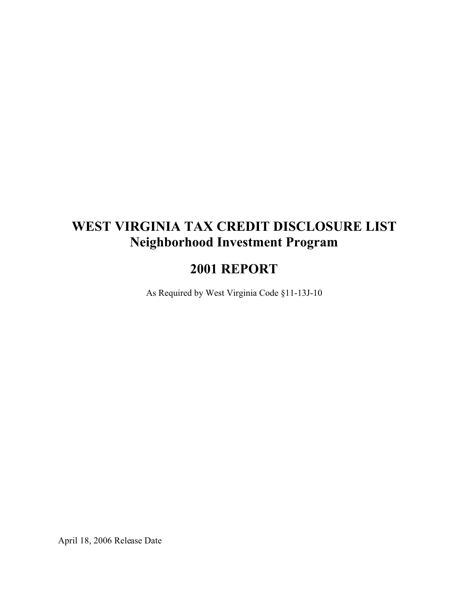# **WEST VIRGINIA TAX CREDIT DISCLOSURE LIST Neighborhood Investment Program**

## **2001 REPORT**

As Required by West Virginia Code §11-13J-10

April 18, 2006 Release Date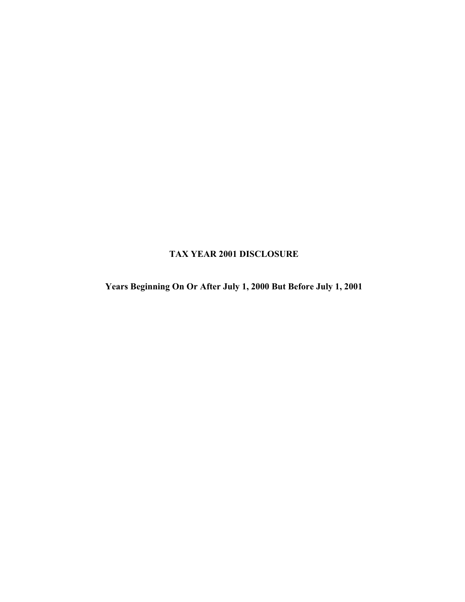### **TAX YEAR 2001 DISCLOSURE**

**Years Beginning On Or After July 1, 2000 But Before July 1, 2001**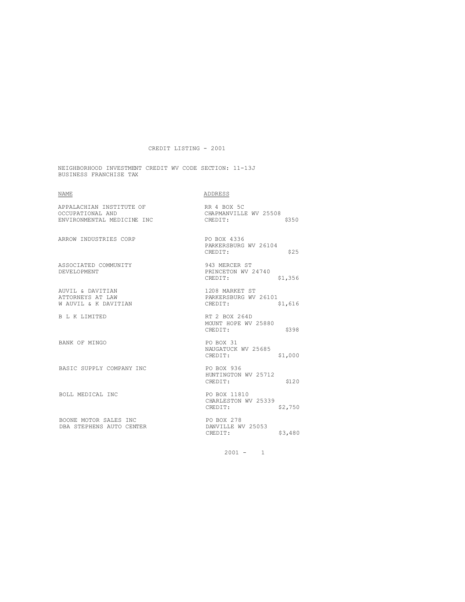NEIGHBORHOOD INVESTMENT CREDIT WV CODE SECTION: 11-13J BUSINESS FRANCHISE TAX

| <b>NAME</b>                                                                | <b>ADDRESS</b>                                               |
|----------------------------------------------------------------------------|--------------------------------------------------------------|
| APPALACHIAN INSTITUTE OF<br>OCCUPATIONAL AND<br>ENVIRONMENTAL MEDICINE INC | RR 4 BOX 5C<br>CHAPMANVILLE WV 25508<br>CREDIT:<br>\$350     |
| ARROW INDUSTRIES CORP                                                      | PO BOX 4336<br>PARKERSBURG WV 26104<br>\$25<br>CREDIT:       |
| ASSOCIATED COMMUNITY<br>DEVELOPMENT                                        | 943 MERCER ST<br>PRINCETON WV 24740<br>\$1,356<br>CREDIT:    |
| AUVIL & DAVITIAN<br>ATTORNEYS AT LAW<br>W AUVIL & K DAVITIAN               | 1208 MARKET ST<br>PARKERSBURG WV 26101<br>CREDIT:<br>\$1,616 |
| B L K LIMITED                                                              | RT 2 BOX 264D<br>MOUNT HOPE WV 25880<br>CREDIT:<br>\$398     |
| <b>BANK OF MINGO</b>                                                       | PO BOX 31<br>NAUGATUCK WV 25685<br>CREDIT:<br>\$1,000        |
| BASIC SUPPLY COMPANY INC                                                   | PO BOX 936<br>HUNTINGTON WV 25712<br>CREDIT:<br>\$120        |
| BOLL MEDICAL INC                                                           | PO BOX 11810<br>CHARLESTON WV 25339<br>CREDIT:<br>\$2,750    |
| BOONE MOTOR SALES INC<br>DBA STEPHENS AUTO CENTER                          | PO BOX 278<br>DANVILLE WV 25053<br>CREDIT:<br>\$3,480        |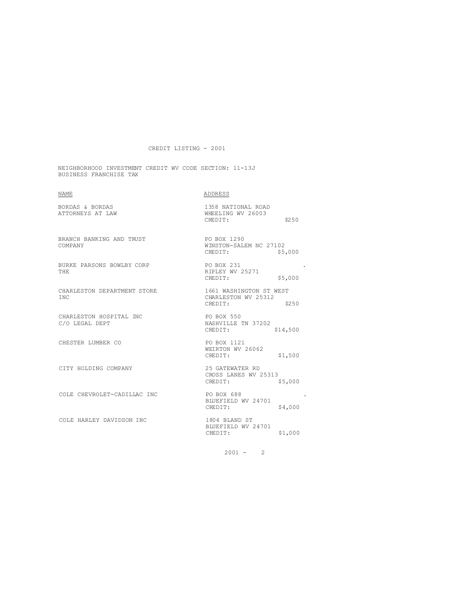NEIGHBORHOOD INVESTMENT CREDIT WV CODE SECTION: 11-13J BUSINESS FRANCHISE TAX

| <b>NAME</b>                               | ADDRESS                                                            |
|-------------------------------------------|--------------------------------------------------------------------|
| BORDAS & BORDAS<br>ATTORNEYS AT LAW       | 1358 NATIONAL ROAD<br>WHEELING WV 26003<br>\$250<br>CREDIT:        |
| BRANCH BANKING AND TRUST<br>COMPANY       | PO BOX 1290<br>WINSTON-SALEM NC 27102<br>\$5,000<br>CREDIT:        |
| BURKE PARSONS BOWLBY CORP<br>THE.         | PO BOX 231<br>RIPLEY WV 25271<br>\$5,000<br>CREDIT:                |
| CHARLESTON DEPARTMENT STORE<br><b>TNC</b> | 1661 WASHINGTON ST WEST<br>CHARLESTON WV 25312<br>\$250<br>CREDIT: |
| CHARLESTON HOSPITAL INC<br>C/O LEGAL DEPT | PO BOX 550<br>NASHVILLE TN 37202<br>CREDIT:<br>\$14,500            |
| CHESTER LUMBER CO                         | PO BOX 1121<br>WEIRTON WV 26062<br>\$1,500<br>CREDIT:              |
| CITY HOLDING COMPANY                      | 25 GATEWATER RD<br>CROSS LANES WV 25313<br>CREDIT:<br>\$5,000      |
| COLE CHEVROLET-CADILLAC INC               | PO BOX 688<br>BLUEFIELD WV 24701<br>CREDIT:<br>\$4,000             |
| COLE HARLEY DAVIDSON INC                  | 1804 BLAND ST<br>BLUEFIELD WV 24701<br>\$1,000<br>CREDIT:          |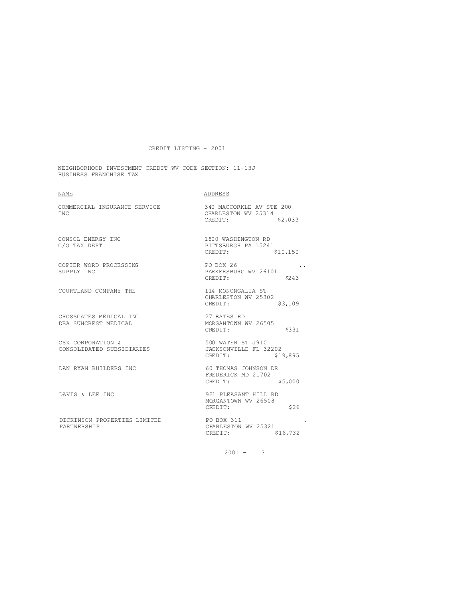NEIGHBORHOOD INVESTMENT CREDIT WV CODE SECTION: 11-13J BUSINESS FRANCHISE TAX

| NAME                                           | ADDRESS                                                               |
|------------------------------------------------|-----------------------------------------------------------------------|
| COMMERCIAL INSURANCE SERVICE<br><b>TNC</b>     | 340 MACCORKLE AV STE 200<br>CHARLESTON WV 25314<br>\$2,033<br>CREDIT: |
| CONSOL ENERGY INC<br>C/O TAX DEPT              | 1800 WASHINGTON RD<br>PITTSBURGH PA 15241<br>CREDIT:<br>\$10,150      |
| COPIER WORD PROCESSING<br>SUPPLY INC           | PO BOX 26<br>PARKERSBURG WV 26101<br>\$243<br>CREDIT:                 |
| COURTLAND COMPANY THE                          | 114 MONONGALIA ST<br>CHARLESTON WV 25302<br>\$3,109<br>CREDIT:        |
| CROSSGATES MEDICAL INC<br>DBA SUNCREST MEDICAL | 27 BATES RD<br>MORGANTOWN WV 26505<br>\$331<br>CREDIT:                |
| CSX CORPORATION &<br>CONSOLIDATED SUBSIDIARIES | 500 WATER ST J910<br>JACKSONVILLE FL 32202<br>CREDIT:<br>\$19,895     |
| DAN RYAN BUILDERS INC                          | 60 THOMAS JOHNSON DR<br>FREDERICK MD 21702<br>CREDIT:<br>\$5,000      |
| DAVIS & LEE INC                                | 921 PLEASANT HILL RD<br>MORGANTOWN WV 26508<br>\$26<br>CREDIT:        |
| DICKINSON PROPERTIES LIMITED<br>PARTNERSHIP    | PO BOX 311<br>CHARLESTON WV 25321<br>\$16,732<br>CREDIT:              |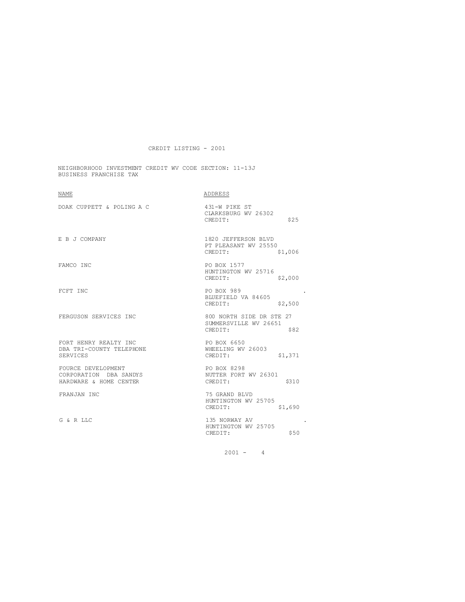NEIGHBORHOOD INVESTMENT CREDIT WV CODE SECTION: 11-13J BUSINESS FRANCHISE TAX

| NAME                                                                   | ADDRESS                                                              |
|------------------------------------------------------------------------|----------------------------------------------------------------------|
| DOAK CUPPETT & POLING A C                                              | 431-W PIKE ST<br>CLARKSBURG WV 26302<br>\$25<br>CREDIT:              |
| E B J COMPANY                                                          | 1820 JEFFERSON BLVD<br>PT PLEASANT WV 25550<br>CREDIT:<br>\$1,006    |
| FAMCO INC                                                              | PO BOX 1577<br>HUNTINGTON WV 25716<br>\$2,000<br>CREDIT:             |
| FCFT INC                                                               | PO BOX 989<br>BLUEFIELD VA 84605<br>\$2,500<br>CREDIT:               |
| FERGUSON SERVICES INC                                                  | 800 NORTH SIDE DR STE 27<br>SUMMERSVILLE WV 26651<br>CREDIT:<br>\$82 |
| FORT HENRY REALTY INC<br>DBA TRI-COUNTY TELEPHONE<br>SERVICES          | PO BOX 6650<br>WHEELING WV 26003<br>\$1,371<br>CREDIT:               |
| FOURCE DEVELOPMENT<br>CORPORATION DBA SANDYS<br>HARDWARE & HOME CENTER | PO BOX 8298<br>NUTTER FORT WV 26301<br>CREDIT:<br>\$310              |
| FRANJAN INC                                                            | 75 GRAND BLVD<br>HUNTINGTON WV 25705<br>CREDIT:<br>\$1,690           |
| G & R LLC                                                              | 135 NORWAY AV<br>HUNTINGTON WV 25705<br>CREDIT:<br>\$50              |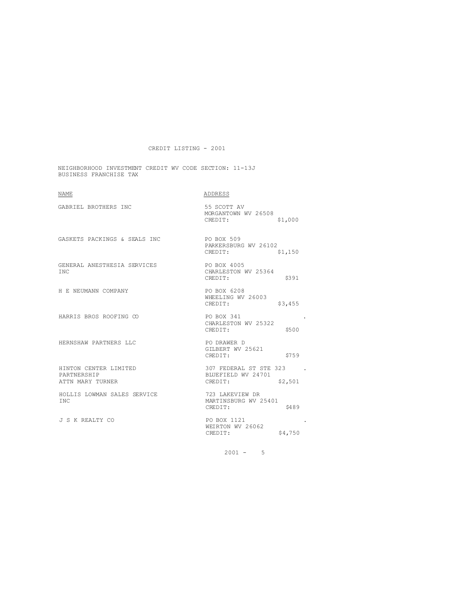NEIGHBORHOOD INVESTMENT CREDIT WV CODE SECTION: 11-13J BUSINESS FRANCHISE TAX

| ADDRESS                                                            |
|--------------------------------------------------------------------|
| 55 SCOTT AV<br>MORGANTOWN WV 26508<br>\$1,000<br>CREDIT:           |
| <b>PO BOX 509</b><br>PARKERSBURG WV 26102<br>CREDIT:<br>\$1,150    |
| PO BOX 4005<br>CHARLESTON WV 25364<br>CREDIT:<br>\$391             |
| PO BOX 6208<br>WHEELING WV 26003<br>\$3,455<br>CREDIT:             |
| PO BOX 341<br>CHARLESTON WV 25322<br>\$500<br>CREDIT:              |
| PO DRAWER D<br>GILBERT WV 25621<br>\$759<br>CREDIT:                |
| 307 FEDERAL ST STE 323<br>BLUEFIELD WV 24701<br>CREDIT:<br>\$2,501 |
| 723 LAKEVIEW DR<br>MARTINSBURG WV 25401<br>CREDIT:<br>\$489        |
| PO BOX 1121<br>WEIRTON WV 26062<br>CREDIT:<br>\$4,750              |
|                                                                    |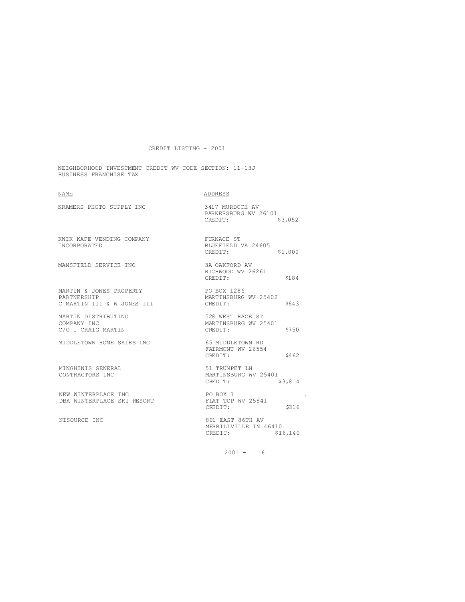NEIGHBORHOOD INVESTMENT CREDIT WV CODE SECTION: 11-13J BUSINESS FRANCHISE TAX

| <b>NAME</b>                                                          | ADDRESS                                                          |
|----------------------------------------------------------------------|------------------------------------------------------------------|
| KRAMERS PHOTO SUPPLY INC                                             | 3417 MURDOCH AV<br>PARKERSBURG WV 26101<br>CREDIT:<br>\$3,052    |
| KWIK KAFE VENDING COMPANY<br><b>TNCORPORATED</b>                     | FURNACE ST<br>BLUEFIELD VA 24605<br>CREDIT:<br>\$1,000           |
| MANSFIELD SERVICE INC                                                | 3A OAKFORD AV<br>RICHWOOD WV 26261<br>\$184<br>CREDIT:           |
| MARTIN & JONES PROPERTY<br>PARTNERSHIP<br>C MARTIN III & W JONES III | PO BOX 1286<br>MARTINSBURG WV 25402<br>CREDIT:<br>\$643          |
| MARTIN DISTRIBUTING<br>COMPANY INC<br>C/O J CRAIG MARTIN             | 528 WEST RACE ST<br>MARTINSBURG WV 25401<br>\$750<br>CREDIT:     |
| MIDDLETOWN HOME SALES INC                                            | 65 MIDDLETOWN RD<br>FAIRMONT WV 26554<br>CREDIT:<br>S462         |
| MINGHINIS GENERAL<br>CONTRACTORS INC                                 | 51 TRUMPET LN<br>MARTINSBURG WV 25401<br>\$3,814<br>CREDIT:      |
| NEW WINTERPLACE INC<br>DBA WINTERPLACE SKI RESORT                    | PO BOX 1<br>FLAT TOP WV 25841<br>\$316<br>CREDIT:                |
| NISOURCE INC                                                         | 801 EAST 86TH AV<br>MERRILLVILLE IN 46410<br>CREDIT:<br>\$16,140 |
|                                                                      |                                                                  |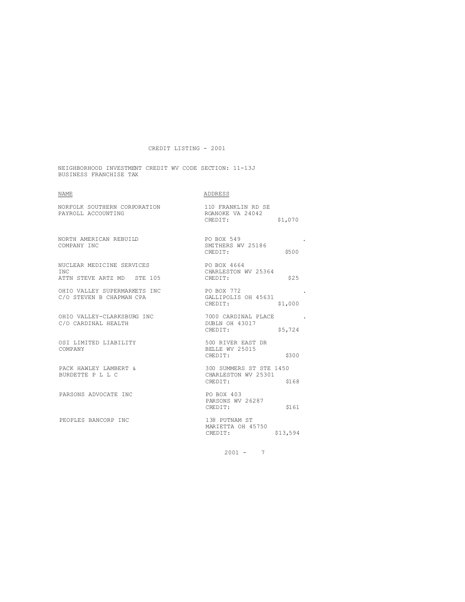NEIGHBORHOOD INVESTMENT CREDIT WV CODE SECTION: 11-13J BUSINESS FRANCHISE TAX

| <b>NAME</b>                                                     | ADDRESS                                                            |
|-----------------------------------------------------------------|--------------------------------------------------------------------|
| NORFOLK SOUTHERN CORPORATION<br>PAYROLL ACCOUNTING              | 110 FRANKLIN RD SE<br>ROANOKE VA 24042<br>CREDIT:<br>\$1,070       |
| NORTH AMERICAN REBUILD<br>COMPANY INC                           | PO BOX 549<br>SMITHERS WV 25186<br>\$500<br>CREDIT:                |
| NUCLEAR MEDICINE SERVICES<br>TNC.<br>ATTN STEVE ARTZ MD STE 105 | PO BOX 4664<br>CHARLESTON WV 25364<br>\$25<br>CREDIT:              |
| OHIO VALLEY SUPERMARKETS INC<br>C/O STEVEN B CHAPMAN CPA        | PO BOX 772<br>GALLIPOLIS OH 45631<br>CREDIT:<br>\$1,000            |
| OHIO VALLEY-CLARKSBURG INC<br>C/O CARDINAL HEALTH               | 7000 CARDINAL PLACE<br>DUBLN OH 43017<br>\$5,724<br>CREDIT:        |
| OSI LIMITED LIABILITY<br>COMPANY                                | 500 RIVER EAST DR<br>BELLE WV 25015<br>CREDIT:<br>\$300            |
| PACK HAWLEY LAMBERT &<br>BURDETTE P L L C                       | 300 SUMMERS ST STE 1450<br>CHARLESTON WV 25301<br>CREDIT:<br>\$168 |
| PARSONS ADVOCATE INC                                            | PO BOX 403<br>PARSONS WV 26287<br>\$161<br>CREDIT:                 |
| PEOPLES BANCORP INC                                             | 138 PUTNAM ST<br>MARIETTA OH 45750<br>CREDIT:<br>\$13,594          |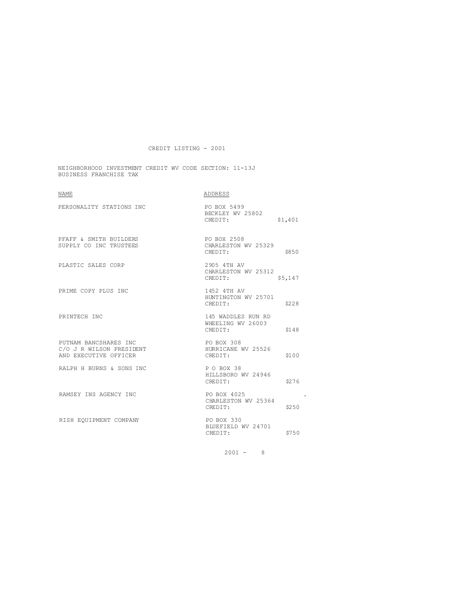NEIGHBORHOOD INVESTMENT CREDIT WV CODE SECTION: 11-13J BUSINESS FRANCHISE TAX

| NAME                                                                       | ADDRESS                                            |         |
|----------------------------------------------------------------------------|----------------------------------------------------|---------|
| PERSONALITY STATIONS INC                                                   | PO BOX 5499<br>BECKLEY WV 25802<br>CREDIT:         | \$1,401 |
| PFAFF & SMITH BUILDERS<br>SUPPLY CO INC TRUSTEES                           | PO BOX 2508<br>CHARLESTON WV 25329<br>CREDIT:      | \$850   |
| PLASTIC SALES CORP                                                         | 2905 4TH AV<br>CHARLESTON WV 25312<br>CREDIT:      | \$5,147 |
| PRIME COPY PLUS INC                                                        | 1452 4TH AV<br>HUNTINGTON WV 25701<br>CREDIT:      | \$228   |
| PRINTECH INC                                                               | 145 WADDLES RUN RD<br>WHEELING WV 26003<br>CREDIT: | \$148   |
| PUTNAM BANCSHARES INC<br>C/O J R WILSON PRESIDENT<br>AND EXECUTIVE OFFICER | PO BOX 308<br>HURRICANE WV 25526<br>CREDIT:        | \$100   |
| RALPH H BURNS & SONS INC                                                   | PO BOX 38<br>HILLSBORO WV 24946<br>CREDIT:         | \$276   |
| RAMSEY INS AGENCY INC                                                      | PO BOX 4025<br>CHARLESTON WV 25364<br>CREDIT:      | \$250   |
| RISH EQUIPMENT COMPANY                                                     | PO BOX 330<br>BLUEFIELD WV 24701<br>CREDIT:        | \$750   |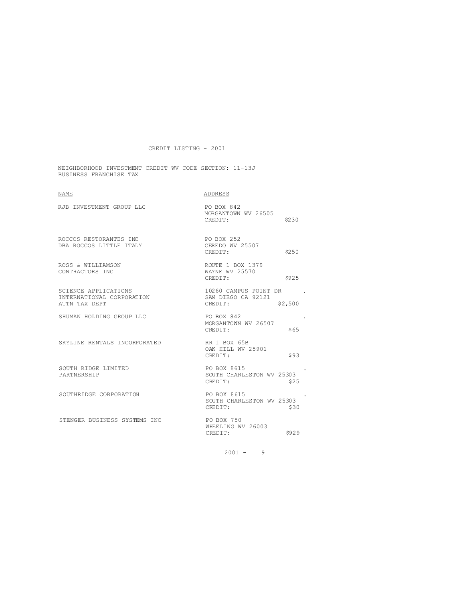NEIGHBORHOOD INVESTMENT CREDIT WV CODE SECTION: 11-13J BUSINESS FRANCHISE TAX

| NAME                                                               | ADDRESS                                                           |
|--------------------------------------------------------------------|-------------------------------------------------------------------|
| RJB INVESTMENT GROUP LLC                                           | PO BOX 842<br>MORGANTOWN WV 26505<br>CREDIT:<br>\$230             |
| ROCCOS RESTORANTES INC<br>DBA ROCCOS LITTLE ITALY                  | PO BOX 252<br>CEREDO WV 25507<br>\$250<br>CREDIT:                 |
| ROSS & WILLIAMSON<br>CONTRACTORS INC                               | ROUTE 1 BOX 1379<br>WAYNE WV 25570<br>\$925<br>CREDIT:            |
| SCIENCE APPLICATIONS<br>INTERNATIONAL CORPORATION<br>ATTN TAX DEPT | 10260 CAMPUS POINT DR<br>SAN DIEGO CA 92121<br>\$2,500<br>CREDIT: |
| SHUMAN HOLDING GROUP LLC                                           | PO BOX 842<br>MORGANTOWN WV 26507<br>CREDIT:<br>\$65              |
| SKYLINE RENTALS INCORPORATED                                       | RR 1 BOX 65B<br>OAK HILL WV 25901<br>\$93<br>CREDIT:              |
| SOUTH RIDGE LIMITED<br>PARTNERSHIP                                 | PO BOX 8615<br>SOUTH CHARLESTON WV 25303<br>CREDIT:<br>\$25       |
| SOUTHRIDGE CORPORATION                                             | PO BOX 8615<br>SOUTH CHARLESTON WV 25303<br>CREDIT:<br>\$30       |
| STENGER BUSINESS SYSTEMS INC                                       | PO BOX 750<br>WHEELING WV 26003<br>CREDIT:<br>\$929               |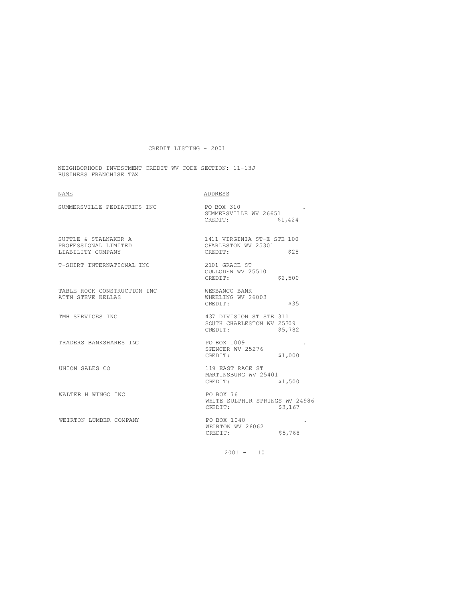NEIGHBORHOOD INVESTMENT CREDIT WV CODE SECTION: 11-13J BUSINESS FRANCHISE TAX

| <b>NAME</b>                                                       | ADDRESS                                                         |         |
|-------------------------------------------------------------------|-----------------------------------------------------------------|---------|
| SUMMERSVILLE PEDIATRICS INC                                       | PO BOX 310<br>SUMMERSVILLE WV 26651<br>CREDIT:                  | \$1,424 |
| SUTTLE & STALNAKER A<br>PROFESSIONAL LIMITED<br>LIABILITY COMPANY | 1411 VIRGINIA ST-E STE 100<br>CHARLESTON WV 25301<br>CREDIT:    | \$25    |
| T-SHIRT INTERNATIONAL INC                                         | 2101 GRACE ST<br>CULLODEN WV 25510<br>CREDIT:                   | \$2,500 |
| TABLE ROCK CONSTRUCTION INC<br>ATTN STEVE KELLAS                  | WESBANCO BANK<br>WHEELING WV 26003<br>CREDIT:                   | \$35    |
| TMH SERVICES INC                                                  | 437 DIVISION ST STE 311<br>SOUTH CHARLESTON WV 25309<br>CREDIT: | \$5,782 |
| TRADERS BANKSHARES INC                                            | PO BOX 1009<br>SPENCER WV 25276<br>CREDIT:                      | \$1,000 |
| UNION SALES CO                                                    | 119 EAST RACE ST<br>MARTINSBURG WV 25401<br>CREDIT:             | \$1,500 |
| WALTER H WINGO INC                                                | PO BOX 76<br>WHITE SULPHUR SPRINGS WV 24986<br>CREDIT:          | \$3,167 |
| WEIRTON LUMBER COMPANY                                            | PO BOX 1040<br>WEIRTON WV 26062<br>CREDIT:                      | \$5,768 |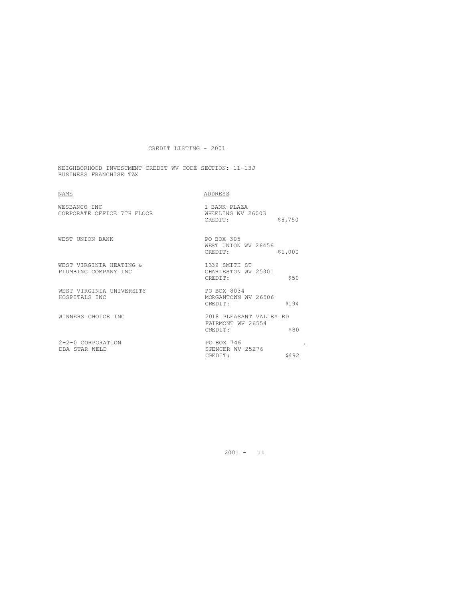NEIGHBORHOOD INVESTMENT CREDIT WV CODE SECTION: 11-13J BUSINESS FRANCHISE TAX

| <b>NAME</b>                                     | ADDRESS                                                         |
|-------------------------------------------------|-----------------------------------------------------------------|
| WESBANCO INC<br>CORPORATE OFFICE 7TH FLOOR      | 1 BANK PLAZA<br>WHEELING WV 26003<br>\$8,750<br>CREDIT:         |
| WEST UNION BANK                                 | PO BOX 305<br>WEST UNION WV 26456<br>\$1,000<br>CREDIT:         |
| WEST VIRGINIA HEATING &<br>PLUMBING COMPANY INC | 1339 SMITH ST<br>CHARLESTON WV 25301<br>\$50<br>CREDIT:         |
| WEST VIRGINIA UNIVERSITY<br>HOSPITALS INC       | PO BOX 8034<br>MORGANTOWN WV 26506<br>S194<br>CREDIT:           |
| WINNERS CHOICE INC                              | 2018 PLEASANT VALLEY RD<br>FAIRMONT WV 26554<br>\$80<br>CREDIT: |
| $2 - 2 - 0$ CORPORATION<br>DBA STAR WELD        | PO BOX 746<br>SPENCER WV 25276<br>\$492<br>CREDIT:              |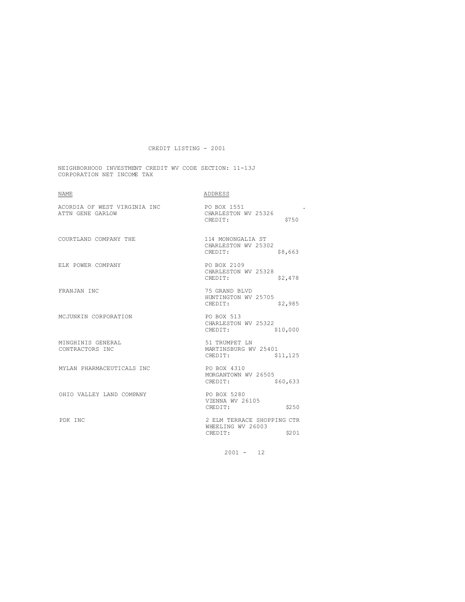NEIGHBORHOOD INVESTMENT CREDIT WV CODE SECTION: 11-13J CORPORATION NET INCOME TAX

| NAME                                             | ADDRESS                                                             |
|--------------------------------------------------|---------------------------------------------------------------------|
| ACORDIA OF WEST VIRGINIA INC<br>ATTN GENE GARLOW | PO BOX 1551<br>CHARLESTON WV 25326<br>\$750<br>CREDIT:              |
| COURTLAND COMPANY THE                            | 114 MONONGALIA ST<br>CHARLESTON WV 25302<br>CREDIT:<br>\$8,663      |
| ELK POWER COMPANY                                | PO BOX 2109<br>CHARLESTON WV 25328<br>\$2,478<br>CREDIT:            |
| FRANJAN INC                                      | 75 GRAND BLVD<br>HUNTINGTON WV 25705<br>CREDIT:<br>\$2,985          |
| MCJUNKIN CORPORATION                             | PO BOX 513<br>CHARLESTON WV 25322<br>\$10,000<br>CREDIT:            |
| MINGHINIS GENERAL<br>CONTRACTORS INC             | 51 TRUMPET LN<br>MARTINSBURG WV 25401<br>CREDIT:<br>\$11,125        |
| MYLAN PHARMACEUTICALS INC                        | PO BOX 4310<br>MORGANTOWN WV 26505<br>CREDIT:<br>\$60,633           |
| OHIO VALLEY LAND COMPANY                         | PO BOX 5280<br>VIENNA WV 26105<br>CREDIT:<br>\$250                  |
| PDK INC                                          | 2 ELM TERRACE SHOPPING CTR<br>WHEELING WV 26003<br>\$201<br>CREDIT: |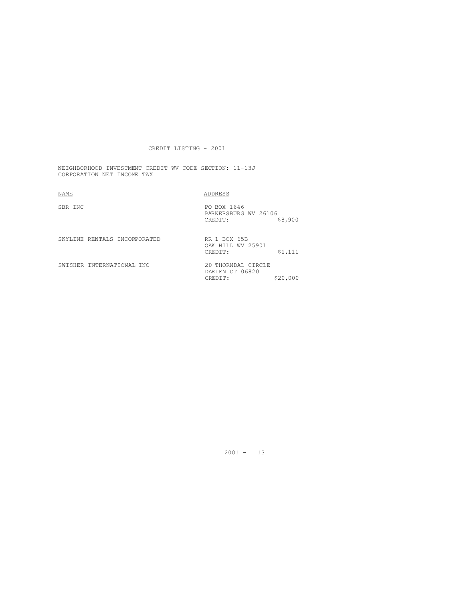NEIGHBORHOOD INVESTMENT CREDIT WV CODE SECTION: 11-13J CORPORATION NET INCOME TAX

SBR INC PO BOX 1646

 $\underline{\texttt{NDDRESS}}$ 

|                              | PARKERSBURG WV 26106                  |          |
|------------------------------|---------------------------------------|----------|
|                              | CREDIT:                               | \$8,900  |
|                              |                                       |          |
| SKYLINE RENTALS INCORPORATED | RR 1 BOX 65B<br>OAK HILL WV 25901     |          |
|                              | CREDIT:                               | \$1,111  |
| SWISHER INTERNATIONAL INC    | 20 THORNDAL CIRCLE<br>DARIEN CT 06820 |          |
|                              | CREDIT:                               | \$20,000 |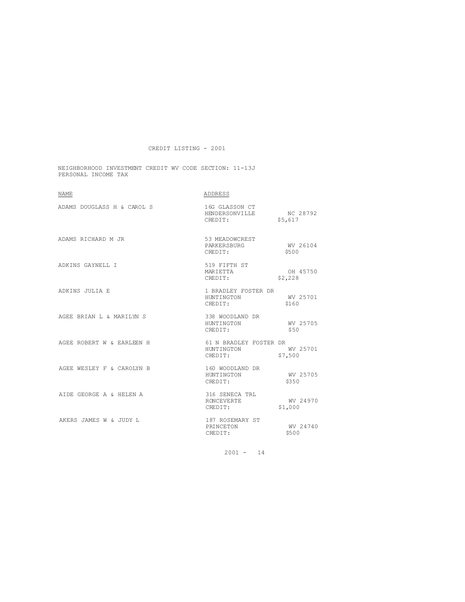NEIGHBORHOOD INVESTMENT CREDIT WV CODE SECTION: 11-13J PERSONAL INCOME TAX

| <b>NAME</b>                | ADDRESS                                              |                     |
|----------------------------|------------------------------------------------------|---------------------|
| ADAMS DOUGLASS H & CAROL S | 16G GLASSON CT<br>HENDERSONVILLE NC 28792<br>CREDIT: | \$5,617             |
| ADAMS RICHARD M JR         | 53 MEADOWCREST<br>PARKERSBURG<br>CREDIT:             | WV 26104<br>\$500   |
| ADKINS GAYNELL I           | 519 FIFTH ST<br>MARIETTA<br>CREDIT:                  | OH 45750<br>\$2,228 |
| ADKINS JULIA E             | 1 BRADLEY FOSTER DR<br>HUNTINGTON<br>CREDIT:         | WV 25701<br>\$160   |
| AGEE BRIAN L & MARILYN S   | 338 WOODLAND DR<br>HUNTINGTON<br>CREDIT:             | WV 25705<br>\$50    |
| AGEE ROBERT W & EARLEEN H  | 61 N BRADLEY FOSTER DR<br>HUNTINGTON<br>CREDIT:      | WV 25701<br>\$7,500 |
| AGEE WESLEY F & CAROLYN B  | 160 WOODLAND DR<br>HUNTINGTON<br>CREDIT:             | MV 25705<br>\$350   |
| AIDE GEORGE A & HELEN A    | 316 SENECA TRL<br>RONCEVERTE<br>CREDIT:              | WV 24970<br>\$1,000 |
| AKERS JAMES W & JUDY L     | 187 ROSEMARY ST<br>PRINCETON<br>CREDIT:              | WV 24740<br>\$500   |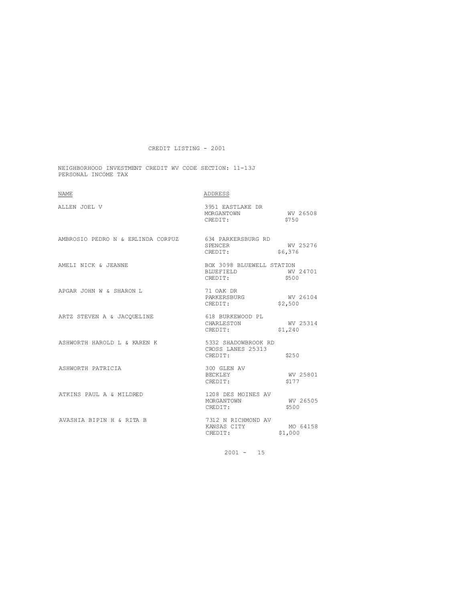NEIGHBORHOOD INVESTMENT CREDIT WV CODE SECTION: 11-13J PERSONAL INCOME TAX

| <b>NAME</b>                                          | ADDRESS                                                            |                     |
|------------------------------------------------------|--------------------------------------------------------------------|---------------------|
| ALLEN JOEL V                                         | 3951 EASTLAKE DR<br>MORGANTOWN<br>CREDIT:                          | WV 26508<br>\$750   |
| AMBROSIO PEDRO N & ERLINDA CORPUZ 634 PARKERSBURG RD | <b>SPENCER</b><br>CREDIT:                                          | WV 25276<br>\$6,376 |
| AMELI NICK & JEANNE                                  | BOX 3098 BLUEWELL STATION<br>BLUEFIELD WV 24701<br>CREDIT:         | \$500               |
| APGAR JOHN W & SHARON L                              | 71 OAK DR<br>71 OAK DK<br>PARKERSBURG MV 26104<br>CERNITT: \$2,500 |                     |
| ARTZ STEVEN A & JACQUELINE                           | 618 BURKEWOOD PL<br>CHARLESTON<br>\$1,240<br>CREDIT:               | WV 25314            |
| ASHWORTH HAROLD L & KAREN K 5332 SHADOWBROOK RD      | CROSS LANES 25313<br>CREDIT:                                       | \$250               |
| ASHWORTH PATRICIA                                    | 300 GLEN AV<br>BECKLEY<br>CREDIT:                                  | WV 25801<br>S177    |
| ATKINS PAUL A & MILDRED                              | 1208 DES MOINES AV<br>MORGANTOWN<br>CREDIT:                        | WV 26505<br>\$500   |
| AVASHIA BIPIN H & RITA B                             | 7312 N RICHMOND AV<br>KANSAS CITY<br>CREDIT:                       | MO 64158<br>\$1,000 |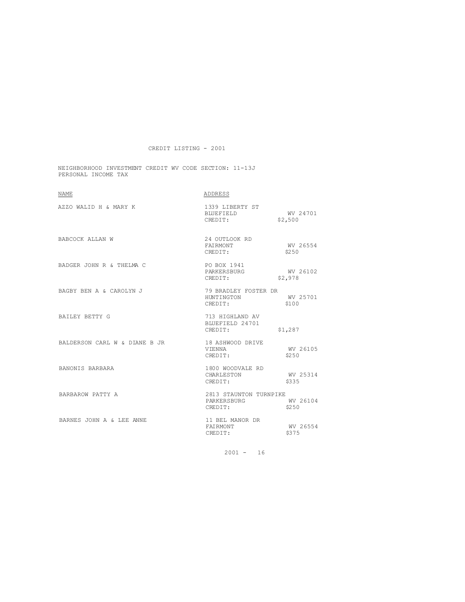NEIGHBORHOOD INVESTMENT CREDIT WV CODE SECTION: 11-13J PERSONAL INCOME TAX

| <b>NAME</b>                   | ADDRESS                                          |                     |
|-------------------------------|--------------------------------------------------|---------------------|
| AZZO WALID H & MARY K         | 1339 LIBERTY ST<br>BIUEFIELD<br>CREDIT:          | WV 24701<br>\$2,500 |
| BABCOCK ALLAN W               | 24 OUTLOOK RD<br>FAIRMONT<br>CREDIT:             | WV 26554<br>\$2.50  |
| BADGER JOHN R & THELMA C      | PO BOX 1941<br>PARKERSBURG<br>CREDIT:            | WV 26102<br>\$2,978 |
| BAGBY BEN A & CAROLYN J       | 79 BRADLEY FOSTER DR<br>HUNTINGTON<br>CREDIT:    | WV 25701<br>\$100   |
| BAILEY BETTY G                | 713 HIGHLAND AV<br>BLUEFIELD 24701<br>CREDIT:    | \$1,287             |
| BALDERSON CARL W & DIANE B JR | 18 ASHWOOD DRIVE<br>VIENNA<br>CREDIT:            | WV 26105<br>\$2.50  |
| BANONIS BARBARA               | 1800 WOODVALE RD<br>CHARLESTON<br>CREDIT:        | WV 25314<br>\$335   |
| BARBAROW PATTY A              | 2813 STAUNTON TURNPIKE<br>PARKERSBURG<br>CREDIT: | WV 26104<br>\$250   |
| BARNES JOHN A & LEE ANNE      | 11 BEL MANOR DR<br>FAIRMONT<br>CREDIT:           | WV 26554<br>\$375   |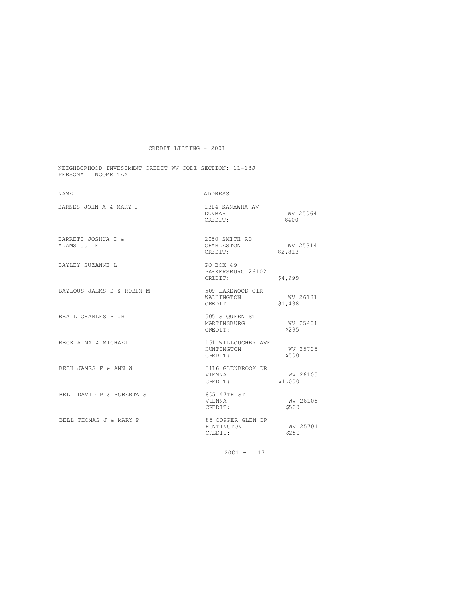NEIGHBORHOOD INVESTMENT CREDIT WV CODE SECTION: 11-13J PERSONAL INCOME TAX

| <b>NAME</b>                       | ADDRESS                                     |                     |
|-----------------------------------|---------------------------------------------|---------------------|
| BARNES JOHN A & MARY J            | 1314 KANAWHA AV<br>DUNBAR<br>CREDIT:        | WV 25064<br>\$400   |
| BARRETT JOSHUA I &<br>ADAMS JULIE | 2050 SMITH RD<br>CHARLESTON<br>CREDIT:      | WV 25314<br>\$2,813 |
| BAYLEY SUZANNE L                  | PO BOX 49<br>PARKERSBURG 26102<br>CREDIT:   | \$4,999             |
| BAYLOUS JAEMS D & ROBIN M         | 509 LAKEWOOD CIR<br>WASHINGTON<br>CREDIT:   | WV 26181<br>\$1,438 |
| BEALL CHARLES R JR                | 505 S OUEEN ST<br>MARTINSBURG<br>CREDIT:    | WV 25401<br>\$295   |
| BECK ALMA & MICHAEL               | 151 WILLOUGHBY AVE<br>HUNTINGTON<br>CREDIT: | WV 25705<br>\$500   |
| BECK JAMES F & ANN W              | 5116 GLENBROOK DR<br>VIENNA<br>CREDIT:      | WV 26105<br>\$1,000 |
| BELL DAVID P & ROBERTA S          | 805 47TH ST<br>VIENNA<br>CREDIT:            | WV 26105<br>\$500   |
| BELL THOMAS J & MARY P            | 85 COPPER GLEN DR<br>HUNTINGTON<br>CREDIT:  | WV 25701<br>\$250   |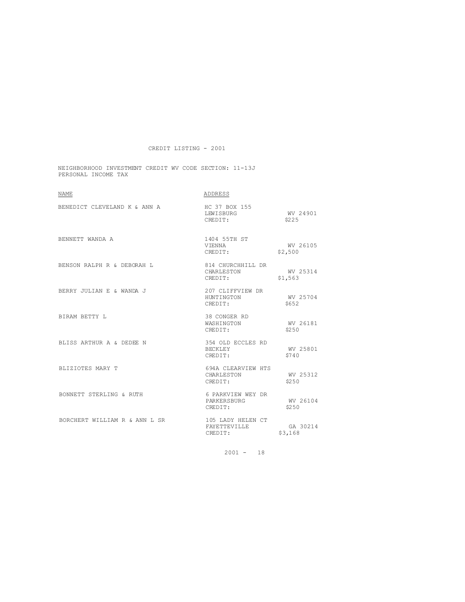NEIGHBORHOOD INVESTMENT CREDIT WV CODE SECTION: 11-13J PERSONAL INCOME TAX

| <b>NAME</b>                   | ADDRESS                                      |                     |
|-------------------------------|----------------------------------------------|---------------------|
| BENEDICT CLEVELAND K & ANN A  | HC 37 BOX 155<br>LEWISBURG<br>CREDIT:        | WV 24901<br>\$225   |
| BENNETT WANDA A               | 1404 55TH ST<br>VIENNA<br>CREDIT:            | WV 26105<br>\$2,500 |
| BENSON RALPH R & DEBORAH L    | 814 CHURCHHILL DR<br>CHARLESTON<br>CREDIT:   | WV 25314<br>\$1,563 |
| BERRY JULIAN E & WANDA J      | 207 CLIFFVIEW DR<br>HUNTINGTON<br>CREDIT:    | WV 25704<br>S652    |
| BIRAM BETTY L                 | 38 CONGER RD<br>WASHINGTON<br>CREDIT:        | WV 26181<br>\$250   |
| BLISS ARTHUR A & DEDEE N      | 354 OLD ECCLES RD<br>BECKLEY<br>CREDIT:      | WV 25801<br>\$740   |
| BLIZIOTES MARY T              | 694A CLEARVIEW HTS<br>CHARLESTON<br>CREDIT:  | WV 25312<br>\$2.50  |
| BONNETT STERLING & RUTH       | 6 PARKVIEW WEY DR<br>PARKERSBURG<br>CREDIT:  | WV 26104<br>\$250   |
| BORCHERT WILLIAM R & ANN L SR | 105 LADY HELEN CT<br>FAYETTEVILLE<br>CREDIT: | GA 30214<br>\$3,168 |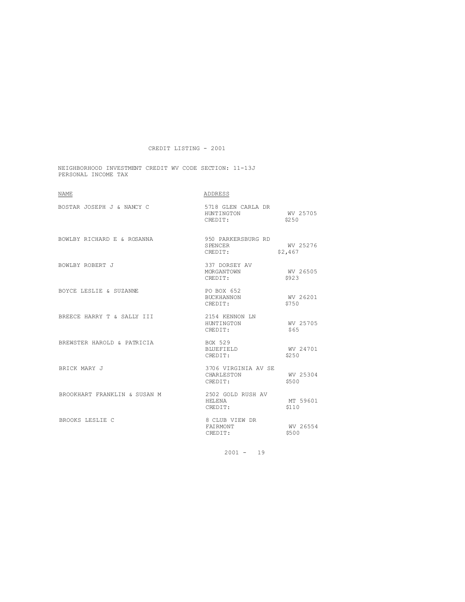NEIGHBORHOOD INVESTMENT CREDIT WV CODE SECTION: 11-13J PERSONAL INCOME TAX

| <b>NAME</b>                  | ADDRESS                                      |                     |
|------------------------------|----------------------------------------------|---------------------|
| BOSTAR JOSEPH J & NANCY C    | 5718 GLEN CARLA DR<br>HUNTINGTON<br>CREDIT:  | WV 25705<br>\$250   |
| BOWLBY RICHARD E & ROSANNA   | 950 PARKERSBURG RD<br>SPENCER<br>CREDIT:     | WV 25276<br>\$2,467 |
| BOWLBY ROBERT J              | 337 DORSEY AV<br>MORGANTOWN<br>CREDIT:       | WV 26505<br>\$923   |
| BOYCE LESLIE & SUZANNE       | PO BOX 652<br>BUCKHANNON<br>CREDIT:          | WV 26201<br>\$750   |
| BREECE HARRY T & SALLY III   | 2154 KENNON LN<br>HUNTINGTON<br>CREDIT:      | WV 25705<br>\$65    |
| BREWSTER HAROLD & PATRICIA   | BOX 529<br>BLUEFIELD<br>CREDIT:              | WV 24701<br>\$2.50  |
| BRICK MARY J                 | 3706 VIRGINIA AV SE<br>CHARLESTON<br>CREDIT: | WV 25304<br>\$500   |
| BROOKHART FRANKLIN & SUSAN M | 2502 GOLD RUSH AV<br>HELENA<br>CREDIT:       | MT 59601<br>\$110   |
| BROOKS LESLIE C              | 8 CLUB VIEW DR<br>FAIRMONT<br>CREDIT:        | WV 26554<br>\$500   |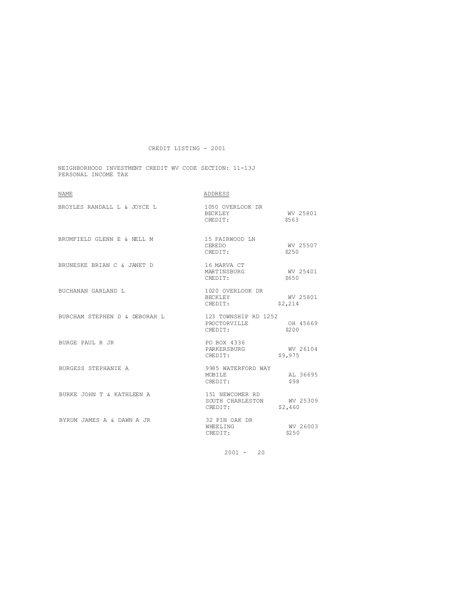NEIGHBORHOOD INVESTMENT CREDIT WV CODE SECTION: 11-13J PERSONAL INCOME TAX

| <b>NAME</b>                               | ADDRESS                                                 |                     |
|-------------------------------------------|---------------------------------------------------------|---------------------|
| BROYLES RANDALL L & JOYCE L               | 1050 OVERLOOK DR<br>BECKLEY<br>CREDIT:                  | WV 25801<br>\$563   |
| BRUMFIELD GLENN E & NELL M 15 FAIRWOOD LN | CEREDO<br>CREDIT:                                       | WV 25507<br>\$2.50  |
| BRUNESKE BRIAN C & JANET D                | 16 MARVA CT<br>MARTINSBURG<br>CREDIT:                   | WV 25401<br>\$650   |
| BUCHANAN GARLAND L                        | 1020 OVERLOOK DR<br>BECKLEY<br>CREDIT:                  | WV 25801<br>\$2,214 |
| BURCHAM STEPHEN D & DEBORAH L             | 123 TOWNSHIP RD 1252<br>PROCTORVILLE<br>CREDIT:         | OH 45669<br>\$200   |
| BURGE PAUL R JR                           | PO BOX 4336<br>PARKERSBURG<br>CREDIT:                   | WV 26104<br>\$9,975 |
| BURGESS STEPHANIE A                       | 9985 WATERFORD WAY<br>MOBILE<br>CREDIT:                 | AL 36695<br>\$98    |
| BURKE JOHN T & KATHLEEN A                 | 151 NEWCOMER RD<br>SOUTH CHARLESTON WV 25309<br>CREDIT: | \$2,460             |
| BYRUM JAMES A & DAWN A JR                 | 32 PIN OAK DR<br>WHEELING<br>CREDIT:                    | WV 26003<br>\$250   |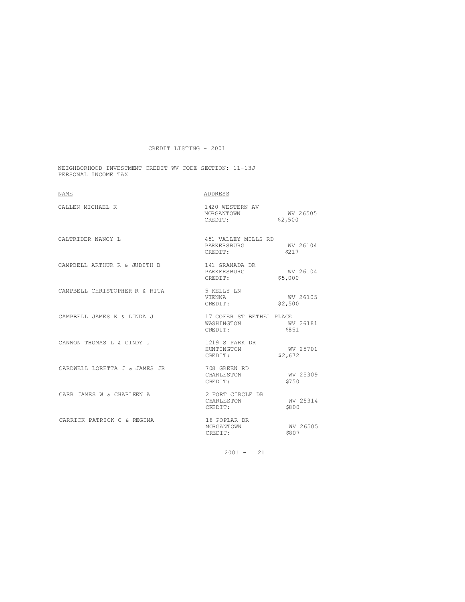NEIGHBORHOOD INVESTMENT CREDIT WV CODE SECTION: 11-13J PERSONAL INCOME TAX

| <b>NAME</b>                   | ADDRESS                                                    |                     |
|-------------------------------|------------------------------------------------------------|---------------------|
| CALLEN MICHAEL K              | 1420 WESTERN AV<br>MORGANTOWN<br>CREDIT:                   | WV 26505<br>\$2,500 |
| CALTRIDER NANCY L             | 451 VALLEY MILLS RD<br>PARKERSBURG<br>CREDIT:              | WV 26104<br>\$217   |
| CAMPBELL ARTHUR R & JUDITH B  | 141 GRANADA DR<br>PARKERSBURG<br>CREDIT:                   | WV 26104<br>\$5,000 |
| CAMPBELL CHRISTOPHER R & RITA | 5 KELLY LN<br>VIENNA<br>CREDIT:                            | WV 26105<br>\$2,500 |
| CAMPBELL JAMES K & LINDA J    | 17 COFER ST BETHEL PLACE<br>WASHINGTON WV 26181<br>CREDIT: | \$851               |
| CANNON THOMAS L & CINDY J     | 1219 S PARK DR<br>HUNTINGTON<br>CREDIT:                    | WV 25701<br>\$2,672 |
| CARDWELL LORETTA J & JAMES JR | 708 GREEN RD<br>CHARLESTON<br>CREDIT:                      | WV 25309<br>\$750   |
| CARR JAMES W & CHARLEEN A     | 2 FORT CIRCLE DR<br>CHARLESTON<br>CREDIT:                  | WV 25314<br>\$800   |
| CARRICK PATRICK C & REGINA    | 18 POPLAR DR<br>MORGANTOWN<br>CREDIT:                      | WV 26505<br>\$807   |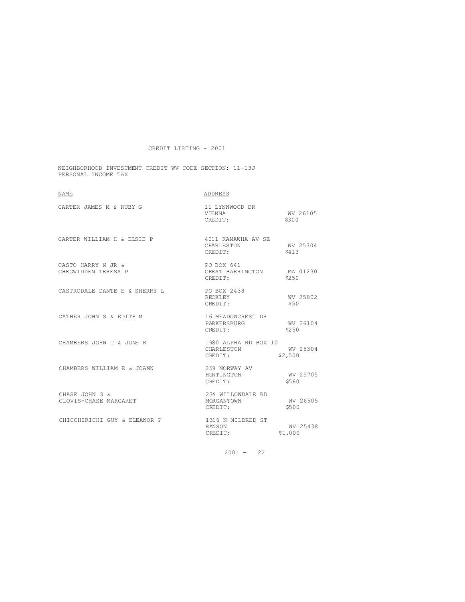NEIGHBORHOOD INVESTMENT CREDIT WV CODE SECTION: 11-13J PERSONAL INCOME TAX

| <b>NAME</b>                               | ADDRESS                                            |                     |
|-------------------------------------------|----------------------------------------------------|---------------------|
| CARTER JAMES M & RUBY G                   | 11 LYNNWOOD DR<br>V TENNA<br>CREDIT:               | WV 26105<br>\$300   |
| CARTER WILLIAM H & ELSIE P                | 4011 KANAWHA AV SE<br>CHARLESTON<br>CREDIT:        | WV 25304<br>\$413   |
| CASTO HARRY N JR &<br>CHEGWIDDEN TERESA P | PO BOX 641<br>GREAT BARRINGTON MA 01230<br>CREDIT: | \$250               |
| CASTRODALE DANTE E & SHERRY L             | PO BOX 2438<br>BECKLEY<br>CREDIT:                  | WV 25802<br>\$50    |
| CATHER JOHN S & EDITH M                   | 16 MEADOWCREST DR<br>PARKERSBURG<br>CREDIT:        | WV 26104<br>\$250   |
| CHAMBERS JOHN T & JUNE R                  | 1980 ALPHA RD BOX 10<br>CHARLESTON<br>CREDIT:      | WV 25304<br>\$2,500 |
| CHAMBERS WILLIAM E & JOANN                | 259 NORWAY AV<br>HUNTINGTON<br>CREDIT:             | WV 25705<br>\$560   |
| CHASE JOHN G &<br>CLOVIS-CHASE MARGARET   | 234 WILLOWDALE RD<br>MORGANTOWN<br>CREDIT:         | WV 26505<br>\$500   |
| CHICCHIRICHI GUY & ELEANOR P              | 1316 N MILDRED ST<br>RANSON<br>CREDIT:             | WV 25438<br>\$1,000 |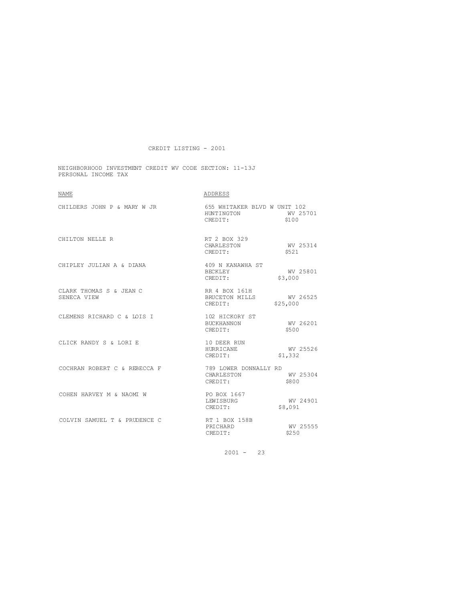NEIGHBORHOOD INVESTMENT CREDIT WV CODE SECTION: 11-13J PERSONAL INCOME TAX

| <b>NAME</b>                            | ADDRESS                                                        |                     |
|----------------------------------------|----------------------------------------------------------------|---------------------|
| CHILDERS JOHN P & MARY W JR            | 655 WHITAKER BLVD W UNIT 102<br>HUNTINGTON WV 25701<br>CREDIT: | \$100               |
| CHILTON NELLE R                        | RT 2 BOX 329<br>CHARLESTON<br>CREDIT:                          | WV 25314<br>\$521   |
| CHIPLEY JULIAN A & DIANA               | 409 N KANAWHA ST<br>BECKLEY<br>CREDIT:                         | WV 25801<br>\$3,000 |
| CLARK THOMAS S & JEAN C<br>SENECA VIEW | RR 4 BOX 161H<br>BRUCETON MILLS WV 26525<br>CREDIT:            | \$25,000            |
| CLEMENS RICHARD C & LOIS I             | 102 HICKORY ST<br>BUCKHANNON<br>CREDIT:                        | WV 26201<br>\$500   |
| CLICK RANDY S & LORI E                 | 10 DEER RUN<br>HURRICANE<br>CREDIT:                            | WV 25526<br>\$1,332 |
| COCHRAN ROBERT C & REBECCA F           | 789 LOWER DONNALLY RD<br>CHARLESTON<br>CREDIT:                 | WV 25304<br>\$800   |
| COHEN HARVEY M & NAOMI W               | PO BOX 1667<br>LEWISBURG<br>CREDIT:                            | WV 24901<br>\$8,091 |
| COLVIN SAMUEL T & PRUDENCE C           | RT 1 BOX 158B<br>PRICHARD<br>CREDIT:                           | WV 25555<br>\$250   |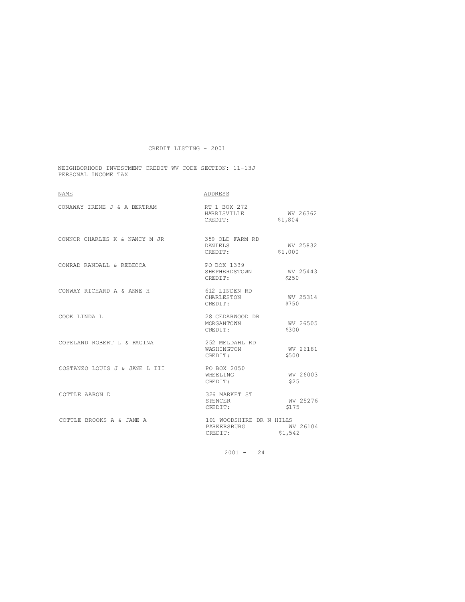NEIGHBORHOOD INVESTMENT CREDIT WV CODE SECTION: 11-13J PERSONAL INCOME TAX

| <b>NAME</b>                   | ADDRESS                                            |                     |
|-------------------------------|----------------------------------------------------|---------------------|
| CONAWAY IRENE J & A BERTRAM   | RT 1 BOX 272<br>HARRISVILLE WV 26362<br>CREDIT:    | \$1,804             |
| CONNOR CHARLES K & NANCY M JR | 359 OLD FARM RD<br>DANIELS<br>CREDIT:              | WV 25832<br>\$1,000 |
| CONRAD RANDALL & REBECCA      | PO BOX 1339<br>SHEPHERDSTOWN<br>CREDIT:            | WV 25443<br>\$250   |
| CONWAY RICHARD A & ANNE H     | 612 LINDEN RD<br>CHARLESTON<br>CREDIT:             | WV 25314<br>\$750   |
| COOK LINDA L                  | 28 CEDARWOOD DR<br>MORGANTOWN<br>CREDIT:           | WV 26505<br>\$300   |
| COPELAND ROBERT L & RAGINA    | 252 MELDAHL RD<br>WASHINGTON<br>CREDIT:            | WV 26181<br>\$500   |
| COSTANZO LOUIS J & JANE L III | PO BOX 2050<br>WHEELING<br>CREDIT:                 | WV 26003<br>\$25    |
| COTTLE AARON D                | 326 MARKET ST<br>SPENCER<br>CREDIT:                | WV 25276<br>\$175   |
| COTTLE BROOKS A & JANE A      | 101 WOODSHIRE DR N HILLS<br>PARKERSBURG<br>CREDIT: | WV 26104<br>\$1,542 |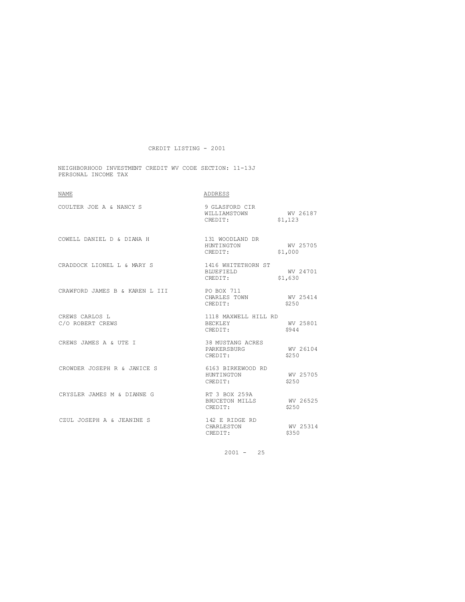NEIGHBORHOOD INVESTMENT CREDIT WV CODE SECTION: 11-13J PERSONAL INCOME TAX

| <b>NAME</b>                        | ADDRESS                                           |                     |
|------------------------------------|---------------------------------------------------|---------------------|
| COULTER JOE A & NANCY S            | 9 GLASFORD CIR<br>WILLIAMSTOWN<br>CREDIT:         | WV 26187<br>\$1,123 |
| COWELL DANIEL D & DIANA H          | 131 WOODLAND DR<br>HUNTINGTON<br>CREDIT:          | WV 25705<br>\$1,000 |
| CRADDOCK LIONEL L & MARY S         | 1416 WHITETHORN ST<br>BLUEFIELD<br>CREDIT:        | WV 24701<br>\$1,630 |
| CRAWFORD JAMES B & KAREN L III     | PO BOX 711<br>CHARLES TOWN<br>CREDIT:             | WV 25414<br>\$250   |
| CREWS CARLOS L<br>C/O ROBERT CREWS | 1118 MAXWELL HILL RD<br>BECKLEY<br>CREDIT:        | WV 25801<br>\$944   |
| CREWS JAMES A & UTE I              | 38 MUSTANG ACRES<br>PARKERSBURG<br>CREDIT:        | WV 26104<br>\$250   |
| CROWDER JOSEPH R & JANICE S        | 6163 BIRKEWOOD RD<br><b>HUNTINGTON</b><br>CREDIT: | WV 25705<br>\$2.50  |
| CRYSLER JAMES M & DIANNE G         | RT 3 BOX 259A<br>BRUCETON MILLS<br>CREDIT:        | WV 26525<br>\$250   |
| CZUL JOSEPH A & JEANINE S          | 142 E RIDGE RD<br>CHARLESTON<br>CREDIT:           | WV 25314<br>\$350   |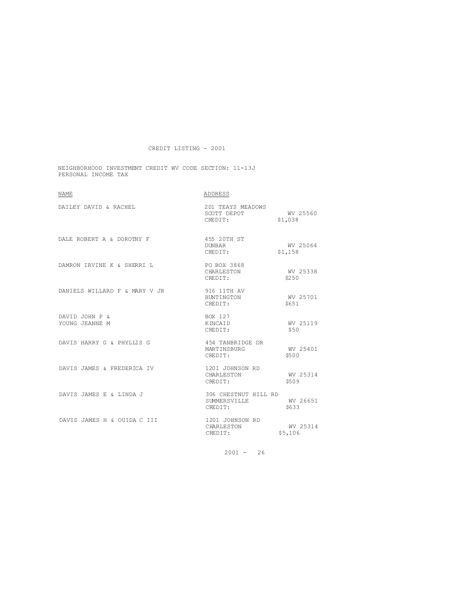NEIGHBORHOOD INVESTMENT CREDIT WV CODE SECTION: 11-13J PERSONAL INCOME TAX

| <b>NAME</b>                      | ADDRESS                                                                 |                     |
|----------------------------------|-------------------------------------------------------------------------|---------------------|
| DATLEY DAVID & RACHEL            | 201 TEAYS MEADOWS<br>SCOTT DEPOT WV 25560<br>CREDIT: \$1.038<br>CREDIT: | \$1,038             |
| DALE ROBERT A & DOROTHY F        | 455 20TH ST<br>DUNBAR<br>CREDIT:                                        | WV 25064<br>\$1,158 |
| DAMRON IRVINE K & SHERRI L       | PO BOX 3868<br>CHARLESTON<br>CREDIT:                                    | WV 25338<br>\$250   |
| DANIELS WILLARD F & MARY V JR    | 916 11TH AV<br>HUNTINGTON WV 25701<br>CREDIT:                           | \$651               |
| DAVID JOHN P &<br>YOUNG JEANNE M | BOX 127<br>KINCAID<br>CREDIT:                                           | WV 25119<br>\$50    |
| DAVIS HARRY G & PHYLLIS G        | 454 TANBRIDGE DR<br>MARTINSBURG<br>CREDIT:                              | WV 25401<br>\$500   |
| DAVIS JAMES & FREDERICA IV       | 1201 JOHNSON RD<br>CHARLESTON WV 25314<br>CREDIT:                       | \$509               |
| DAVIS JAMES E & LINDA J          | 306 CHESTNUT HILL RD<br>SUMMERSVILLE<br>CREDIT:                         | WV 26651<br>\$633   |
| DAVIS JAMES H & OUIDA C III      | 1201 JOHNSON RD<br>CHARLESTON<br>CREDIT:                                | WV 25314<br>\$5,106 |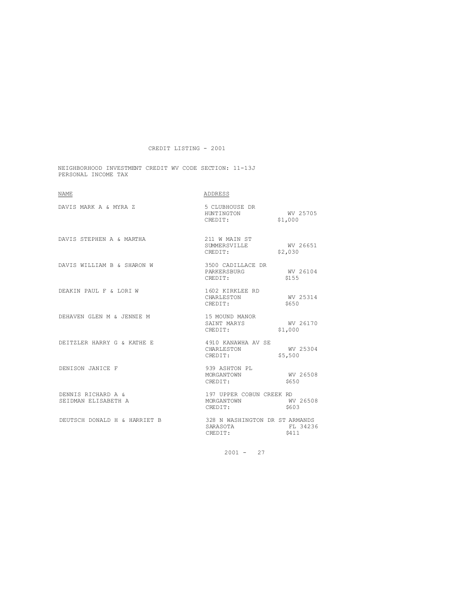NEIGHBORHOOD INVESTMENT CREDIT WV CODE SECTION: 11-13J PERSONAL INCOME TAX

| <b>NAME</b>                               | ADDRESS                                                    |                     |
|-------------------------------------------|------------------------------------------------------------|---------------------|
| DAVIS MARK A & MYRA Z                     | 5 CLUBHOUSE DR<br>HUNTINGTON WV 25705<br>CREDIT:           | \$1,000             |
| DAVIS STEPHEN A & MARTHA                  | 211 W MAIN ST<br>SUMMERSVILLE<br>CREDIT:                   | WV 26651<br>\$2,030 |
| DAVIS WILLIAM B & SHARON W                | 3500 CADILLACE DR<br>PARKERSBURG<br>CERTER<br>CREDIT:      | WV 26104<br>\$155   |
| DEAKIN PAUL F & LORI W                    | 1602 KIRKLEE RD<br>CHARLESTON<br>CREDIT:                   | WV 25314<br>\$650   |
| DEHAVEN GLEN M & JENNIE M                 | 15 MOUND MANOR<br>SAINT MARYS<br>CREDIT:                   | WV 26170<br>\$1,000 |
| DEITZLER HARRY G & KATHE E                | 4910 KANAWHA AV SE<br>CHARLESTON<br>CREDIT:                | WV 25304<br>\$5,500 |
| DENISON JANICE F                          | 939 ASHTON PL<br>MORGANTOWN<br>CREDIT:                     | WV 26508<br>\$650   |
| DENNIS RICHARD A &<br>SEIDMAN ELISABETH A | 197 UPPER COBUN CREEK RD<br>MORGANTOWN WV 26508<br>CREDIT: | \$603               |
| DEUTSCH DONALD H & HARRIET B              | 328 N WASHINGTON DR ST ARMANDS<br>SARASOTA<br>CREDIT:      | FL 34236<br>\$411   |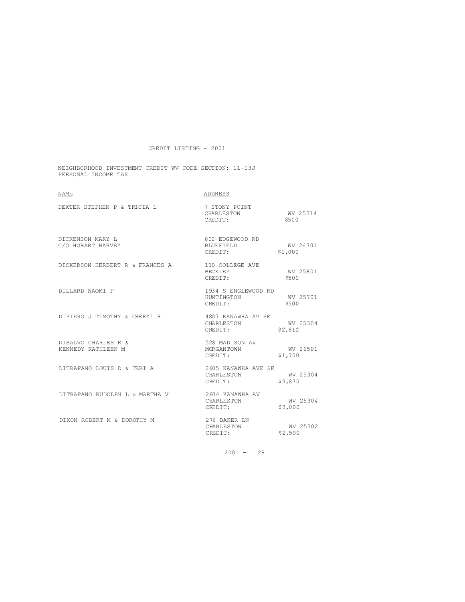NEIGHBORHOOD INVESTMENT CREDIT WV CODE SECTION: 11-13J PERSONAL INCOME TAX

| <b>NAME</b>                                     | ADDRESS                                               |                               |
|-------------------------------------------------|-------------------------------------------------------|-------------------------------|
| DEXTER STEPHEN P & TRICIA L                     | 7 STONY POINT<br>CHARLESTON WV 25314<br>CREDIT:       | \$500                         |
| DICKENSON MARY L<br>C/O HOBART HARVEY           | 800 EDGEWOOD RD<br>BLUEFIELD<br>CREDIT:<br>CREDIT:    | WV 24701<br>\$1,000           |
| DICKERSON HERBERT R & FRANCES A 110 COLLEGE AVE | BECKLEY WV 25801<br>CREDIT:                           | \$500                         |
| DILLARD NAOMI F                                 | 1934 S ENGLEWOOD RD<br>HUNTINGTON<br>CREDIT:          | WV 25701<br>\$500             |
| DIPIERO J TIMOTHY & CHERYL R                    | 4807 KANAWHA AV SE<br>CHARLESTON<br>CREDIT:           | WV 25304<br>$WV$ 2<br>\$2,812 |
| DISALVO CHARLES R &<br>KENNEDY KATHLEEN M       | 528 MADISON AV<br>MORGANTOWN<br>CREDIT:               | WV 26501<br>\$1,700           |
| DITRAPANO LOUIS D & TERI A                      | 2605 KANAWHA AVE SE<br>CHARLESTON WV 25304<br>CREDIT: | \$3,875                       |
| DITRAPANO RUDOLPH L & MARTHA V                  | 2604 KANAWHA AV<br>CHARLESTON<br>CREDIT:              | WV 25304<br>\$3,000           |
| DIXON ROBERT M & DOROTHY M                      | 276 BAKER LN<br>CHARLESTON<br>CREDIT:                 | WV 25302<br>\$2,500           |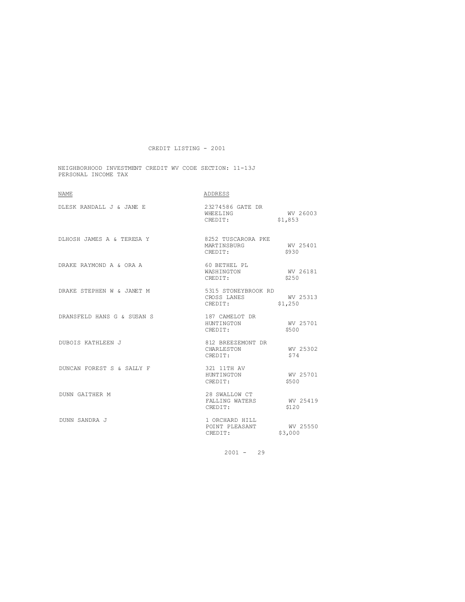NEIGHBORHOOD INVESTMENT CREDIT WV CODE SECTION: 11-13J PERSONAL INCOME TAX

| <b>NAME</b>                | ADDRESS                                       |                     |
|----------------------------|-----------------------------------------------|---------------------|
| DLESK RANDALL J & JANE E   | 23274586 GATE DR<br>WHEELING<br>CREDIT:       | WV 26003<br>\$1,853 |
| DLHOSH JAMES A & TERESA Y  | 8252 TUSCARORA PKE<br>MARTINSBURG<br>CREDIT:  | WV 25401<br>\$930   |
| DRAKE RAYMOND A & ORA A    | 60 BETHEL PL<br>WASHINGTON<br>CREDIT:         | WV 26181<br>\$250   |
| DRAKE STEPHEN W & JANET M  | 5315 STONEYBROOK RD<br>CROSS LANES<br>CREDIT: | WV 25313<br>\$1,250 |
| DRANSFELD HANS G & SUSAN S | 187 CAMELOT DR<br>HUNTINGTON<br>CREDIT:       | WV 25701<br>\$500   |
| DUBOIS KATHLEEN J          | 812 BREEZEMONT DR<br>CHARLESTON<br>CREDIT:    | WV 25302<br>\$74    |
| DUNCAN FOREST S & SALLY F  | 321 11TH AV<br>HUNTINGTON<br>CREDIT:          | WV 25701<br>\$500   |
| <b>DUNN GAITHER M</b>      | 28 SWALLOW CT<br>FALLING WATERS<br>CREDIT:    | WV 25419<br>\$120   |
| DUNN SANDRA J              | 1 ORCHARD HILL<br>POINT PLEASANT<br>CREDIT:   | WV 25550<br>\$3,000 |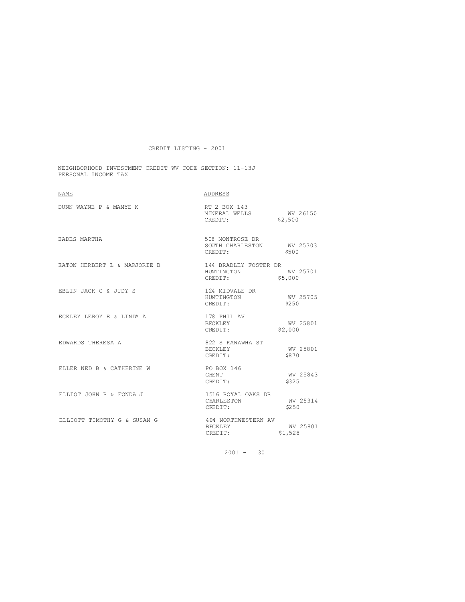NEIGHBORHOOD INVESTMENT CREDIT WV CODE SECTION: 11-13J PERSONAL INCOME TAX

| <b>NAME</b>                  | ADDRESS                                                 |                     |
|------------------------------|---------------------------------------------------------|---------------------|
| DUNN WAYNE P & MAMYE K       | RT 2 BOX 143<br>MINERAL WELLS WV 26150<br>CREDIT:       | \$2,500             |
| EADES MARTHA                 | 508 MONTROSE DR<br>SOUTH CHARLESTON WV 25303<br>CREDIT: | \$500               |
| EATON HERBERT L & MARJORIE B | 144 BRADLEY FOSTER DR<br>HUNTINGTON WV 25701<br>CREDIT: | \$5,000             |
| EBLIN JACK C & JUDY S        | 124 MIDVALE DR<br>HUNTINGTON<br>CREDIT:                 | WV 25705<br>\$250   |
| ECKLEY LEROY E & LINDA A     | 178 PHIL AV<br>BECKLEY<br>CREDIT:                       | WV 25801<br>\$2,000 |
| EDWARDS THERESA A            | 822 S KANAWHA ST<br><b>BECKLEY</b><br>CREDIT:           | WV 25801<br>\$870   |
| ELLER NED B & CATHERINE W    | PO BOX 146<br>GHENT<br>CREDIT:                          | WV 25843<br>\$325   |
| ELLIOT JOHN R & FONDA J      | 1516 ROYAL OAKS DR<br>CHARLESTON<br>CREDIT:             | WV 25314<br>\$250   |
| ELLIOTT TIMOTHY G & SUSAN G  | 404 NORTHWESTERN AV<br>BECKLEY<br>CREDIT:               | WV 25801<br>\$1,528 |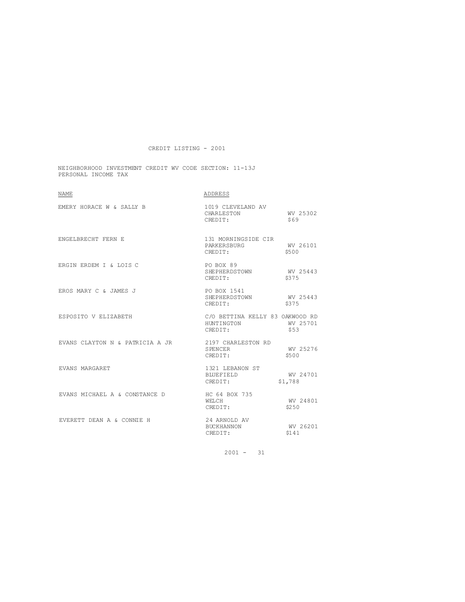NEIGHBORHOOD INVESTMENT CREDIT WV CODE SECTION: 11-13J PERSONAL INCOME TAX

| <b>NAME</b>                     | ADDRESS                                                  |                     |
|---------------------------------|----------------------------------------------------------|---------------------|
| EMERY HORACE W & SALLY B        | 1019 CLEVELAND AV<br>CHARLESTON<br>CREDIT:               | WV 25302<br>\$69    |
| ENGELBRECHT FERN E              | 131 MORNINGSIDE CIR<br>PARKERSBURG<br>CREDIT:            | WV 26101<br>\$500   |
| ERGIN ERDEM I & LOIS C          | PO BOX 89<br>SHEPHERDSTOWN WV 25443<br>CREDIT:           | \$375               |
| EROS MARY C & JAMES J           | PO BOX 1541<br>SHEPHERDSTOWN<br>CREDIT:                  | WV 25443<br>\$375   |
| ESPOSITO V ELIZABETH            | C/O BETTINA KELLY 83 OAKWOOD RD<br>HINTINGTON<br>CREDIT: | WV 25701<br>\$53    |
| EVANS CLAYTON N & PATRICIA A JR | 2197 CHARLESTON RD<br>SPENCER<br>CREDIT:                 | WV 25276<br>\$500   |
| EVANS MARGARET                  | 1321 LEBANON ST<br>BLUEFIELD<br>CREDIT:                  | WV 24701<br>\$1,788 |
| EVANS MICHAEL A & CONSTANCE D   | HC 64 BOX 735<br>WELCH.<br>CREDIT:                       | WV 24801<br>\$250   |
| EVERETT DEAN A & CONNIE H       | 24 ARNOLD AV<br>BUCKHANNON<br>CREDIT:                    | WV 26201<br>\$141   |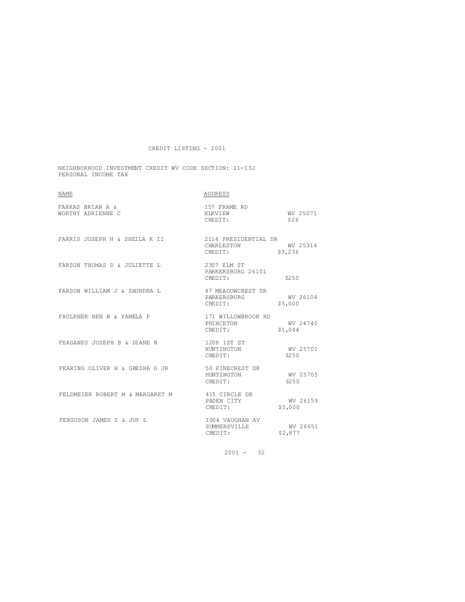NEIGHBORHOOD INVESTMENT CREDIT WV CODE SECTION: 11-13J PERSONAL INCOME TAX

| <b>NAME</b>                           | ADDRESS                                           |                     |
|---------------------------------------|---------------------------------------------------|---------------------|
| FARKAS BRIAN A &<br>WORTHY ADRIENNE C | 157 FRAME RD<br>ELKVIEW<br>CREDIT:                | WV 25071<br>\$26    |
| FARRIS JOSEPH H & SHEILA K II         | 2114 PRESIDENTIAL DR<br>CHARLESTON<br>CREDIT:     | WV 25314<br>\$3,236 |
| FARSON THOMAS D & JULIETTE L          | 2307 ELM ST<br>PARKERSBURG 26101<br>CREDIT:       | \$250               |
| FARSON WILLIAM J & SAUNDRA L          | 47 MEADOWCREST DR<br>PARKERSBURG<br>CREDIT:       | WV 26104<br>\$5,000 |
| FAULKNER BEN B & PAMELA P             | 171 WILLOWBROOK RD<br>PRINCETON<br>CREDIT:        | WV 24740<br>\$1,044 |
| FEAGANES JOSEPH B & DIANE N           | 1208 1ST ST<br>HUNTINGTON<br>CREDIT:              | WV 25701<br>\$250   |
| FEARING OLIVER H & GRESHA G JR        | 50 PINECREST DR<br>HUNTINGTON WV 25705<br>CREDIT: | \$250               |
| FELDMEIER ROBERT M & MARGARET M       | 415 CIRCLE DR<br>PADEN CITY<br>CREDIT:            | WV 26159<br>\$5,000 |
| FERGUSON JAMES S & JOY L              | 1004 VAUGHAN AV<br>SUMMERSVILLE<br>CREDIT:        | WV 26651<br>\$2,877 |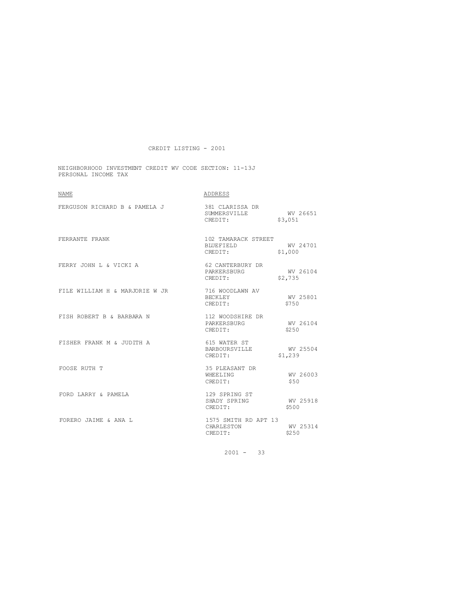NEIGHBORHOOD INVESTMENT CREDIT WV CODE SECTION: 11-13J PERSONAL INCOME TAX

| <b>NAME</b>                    | ADDRESS                                             |                     |
|--------------------------------|-----------------------------------------------------|---------------------|
| FERGUSON RICHARD B & PAMELA J  | 381 CLARISSA DR<br>SUMMERSVILLE WV 26651<br>CREDIT: | \$3,051             |
| FERRANTE FRANK                 | 102 TAMARACK STREET<br>BLUEFIELD<br>CREDIT:         | WV 24701<br>\$1,000 |
| FERRY JOHN L & VICKI A         | 62 CANTERBURY DR<br>PARKERSBURG<br>CREDIT:          | WV 26104<br>\$2,735 |
| FILE WILLIAM H & MARJORIE W JR | 716 WOODLAWN AV<br><b>BECKLEY</b><br>CREDIT:        | WV 25801<br>\$750   |
| FISH ROBERT B & BARBARA N      | 112 WOODSHIRE DR<br>PARKERSBURG<br>CREDIT:          | WV 26104<br>\$250   |
| FISHER FRANK M & JUDITH A      | 615 WATER ST<br>BARBOURSVILLE WV 25504<br>CREDIT:   | \$1,239             |
| FOOSE RUTH T                   | 35 PLEASANT DR<br>WHEELING<br>CREDIT:               | WV 26003<br>\$50    |
| FORD LARRY & PAMELA            | 129 SPRING ST<br>SHADY SPRING<br>CREDIT:            | WV 25918<br>\$500   |
| FORERO JAIME & ANA L           | 1575 SMITH RD APT 13<br>CHARLESTON<br>CREDIT:       | WV 25314<br>\$250   |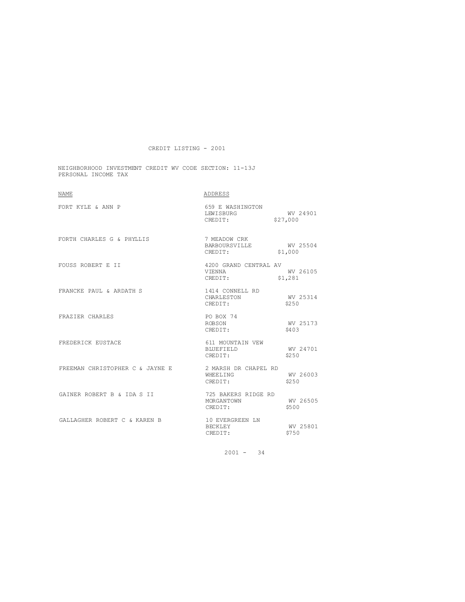NEIGHBORHOOD INVESTMENT CREDIT WV CODE SECTION: 11-13J PERSONAL INCOME TAX

| <b>NAME</b>                     | ADDRESS                                             |                     |
|---------------------------------|-----------------------------------------------------|---------------------|
| FORT KYLE & ANN P               | 659 E WASHINGTON<br>LEWISBURG<br>CREDIT: \$27,000   | WV 24901            |
| FORTH CHARLES G & PHYLLIS       | 7 MEADOW CRK<br>BARBOURSVILLE<br>CREDIT:            | WV 25504<br>\$1,000 |
| FOUSS ROBERT E II               | 4200 GRAND CENTRAL AV<br>V TENNA<br>CREDIT: \$1,281 | WV 26105            |
| FRANCKE PAUL & ARDATH S         | 1414 CONNELL RD<br>CHARLESTON<br>CREDIT:            | WV 25314<br>\$250   |
| FRAZIER CHARLES                 | PO BOX 74<br>ROBSON<br>CREDIT:                      | WV 25173<br>\$403   |
| FREDERICK EUSTACE               | 611 MOUNTAIN VEW<br>BLUEFIELD<br>CREDIT:            | WV 24701<br>\$250   |
| FREEMAN CHRISTOPHER C & JAYNE E | 2 MARSH DR CHAPEL RD<br>WHEELING<br>CREDIT:         | WV 26003<br>\$2.50  |
| GAINER ROBERT B & IDA S II      | 725 BAKERS RIDGE RD<br>MORGANTOWN<br>CREDIT:        | WV 26505<br>\$500   |
| GALLAGHER ROBERT C & KAREN B    | 10 EVERGREEN LN<br>BECKLEY<br>CREDIT:               | WV 25801<br>\$750   |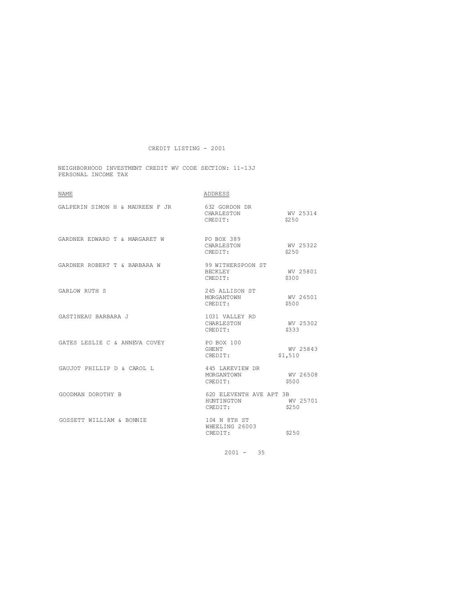NEIGHBORHOOD INVESTMENT CREDIT WV CODE SECTION: 11-13J PERSONAL INCOME TAX

| NAME                            | ADDRESS                                          |                     |
|---------------------------------|--------------------------------------------------|---------------------|
| GALPERIN SIMON H & MAUREEN F JR | 632 GORDON DR<br>CHARLESTON<br>CREDIT:           | WV 25314<br>\$250   |
| GARDNER EDWARD T & MARGARET W   | PO BOX 389<br>CHARLESTON<br>CREDIT:              | WV 25322<br>\$250   |
| GARDNER ROBERT T & BARBARA W    | 99 WITHERSPOON ST<br>BECKLEY<br>CREDIT:          | WV 25801<br>\$300   |
| <b>GARLOW RUTH S</b>            | 245 ALLISON ST<br>MORGANTOWN<br>CREDIT:          | WV 26501<br>\$500   |
| GASTINEAU BARBARA J             | 1031 VALLEY RD<br>CHARLESTON<br>CREDIT:          | WV 25302<br>\$333   |
| GATES LESLIE C & ANNEVA COVEY   | PO BOX 100<br>GHENT<br>CREDIT:                   | WV 25843<br>\$1,510 |
| GAUJOT PHILLIP D & CAROL L      | 445 LAKEVIEW DR<br>MORGANTOWN<br>CREDIT:         | WV 26508<br>\$500   |
| GOODMAN DOROTHY B               | 620 ELEVENTH AVE APT 3B<br>HUNTINGTON<br>CREDIT: | WV 25701<br>\$250   |
| GOSSETT WILLIAM & BONNIE        | 104 N 8TH ST<br>WHEELING 26003<br>CREDIT:        | \$250               |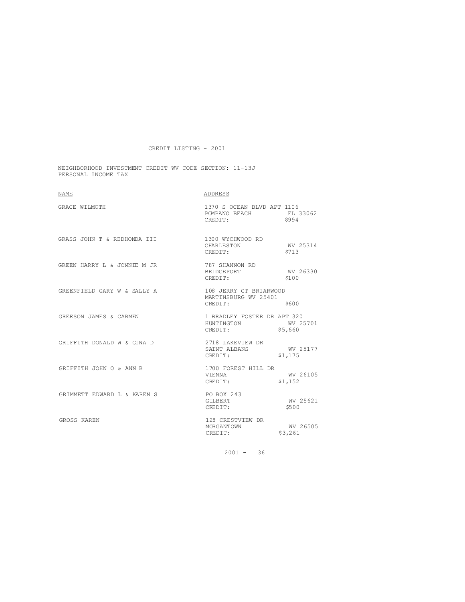NEIGHBORHOOD INVESTMENT CREDIT WV CODE SECTION: 11-13J PERSONAL INCOME TAX

| <b>NAME</b>                 | ADDRESS                                                                                                                                                                                                                                 |                     |
|-----------------------------|-----------------------------------------------------------------------------------------------------------------------------------------------------------------------------------------------------------------------------------------|---------------------|
| GRACE WILMOTH               | 1370 S OCEAN BLVD APT 1106<br>POMPANO BEACH FL 33062<br>CREDIT: \$994<br>CREDIT:                                                                                                                                                        |                     |
| GRASS JOHN T & REDHONDA III | 1300 WYCHWOOD RD<br>CHARLESTON WV 25314<br>CREDIT:                                                                                                                                                                                      | \$713               |
| GREEN HARRY L & JONNIE M JR | 787 SHANNON RD<br><b>BRIDGEPORT</b><br>CREDIT:                                                                                                                                                                                          | WV 26330<br>\$100   |
| GREENFIELD GARY W & SALLY A | 108 JERRY CT BRIARWOOD<br>MARTINSBURG WV 25401<br>CREDIT:                                                                                                                                                                               | \$600               |
| GREESON JAMES & CARMEN      | 1 BRADLEY FOSTER DR APT 320<br>HUNTINGTON WV 25701<br>CREDIT: \$5,660                                                                                                                                                                   |                     |
| GRIFFITH DONALD W & GINA D  | $\begin{tabular}{lllllllll} \multicolumn{2}{c}{2718} \text{ LAKEVIEW DR} & & & & & & & & \\ \multicolumn{2}{c}{\text{SAINT} } \text{ ALBANS} & & & & & & & \\ \multicolumn{2}{c}{\text{CREDIT:}} & & & & & \text{S1,175} \end{tabular}$ |                     |
| GRIFFITH JOHN O & ANN B     | 1700 FOREST HILL DR<br>V TENNA<br>CREDIT: $$1,152$                                                                                                                                                                                      | WV 26105            |
| GRIMMETT EDWARD L & KAREN S | PO BOX 243<br>GILBERT<br>CREDIT:                                                                                                                                                                                                        | WV 25621<br>\$500   |
| GROSS KAREN                 | 128 CRESTVIEW DR<br>MORGANTOWN<br>CREDIT:                                                                                                                                                                                               | WV 26505<br>\$3,261 |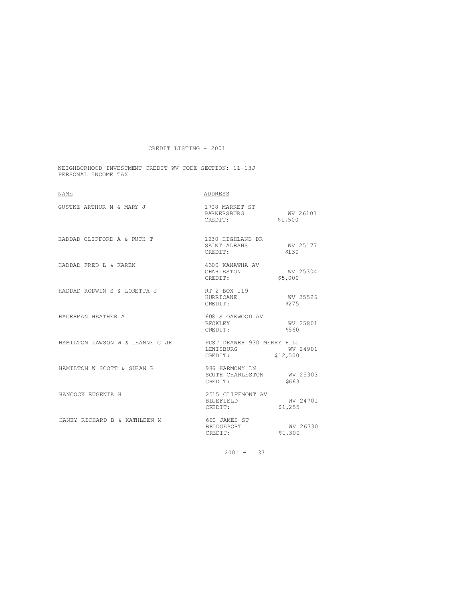NEIGHBORHOOD INVESTMENT CREDIT WV CODE SECTION: 11-13J PERSONAL INCOME TAX

| <b>NAME</b>                                                | ADDRESS                                                                 |  |
|------------------------------------------------------------|-------------------------------------------------------------------------|--|
| GUSTKE ARTHUR N & MARY J                                   | 1708 MARKET ST<br>PARKERSBURG WV 26101<br>\$1,500<br>CREDIT:            |  |
| HADDAD CLIFFORD A & RUTH T                                 | 1230 HIGHLAND DR<br>SAINT ALBANS<br>WV 25177<br>\$130<br>CREDIT:        |  |
| HADDAD FRED L & KAREN                                      | 4300 KANAWHA AV<br>WV 25304<br>CHARLESTON<br>\$5,000<br>CREDIT:         |  |
| HADDAD RODWIN S & LORETTA J                                | RT 2 BOX 119<br>WV 25526<br>HURRICANE<br>\$275<br>CREDIT:               |  |
| HAGERMAN HEATHER A                                         | 608 S OAKWOOD AV<br>WV 25801<br>BECKLEY<br>\$560<br>CREDIT:             |  |
| HAMILTON LAWSON W & JEANNE G JR POST DRAWER 930 MERRY HILL | WV 24901<br>LEWISBURG<br>\$12,500<br>CREDIT:                            |  |
| HAMILTON W SCOTT & SUSAN B                                 | 986 HARMONY LN<br>SOUTH CHARLESTON WV 25303<br>CREDIT:<br>\$663         |  |
| HANCOCK EUGENIA H                                          | 2515 CLIFFMONT AV<br>WV 24701<br><b>BLUEFIELD</b><br>\$1,255<br>CREDIT: |  |
| HANEY RICHARD B & KATHLEEN M                               | 600 JAMES ST<br>WV 26330<br>BRIDGEPORT<br>\$1,300<br>CREDIT:            |  |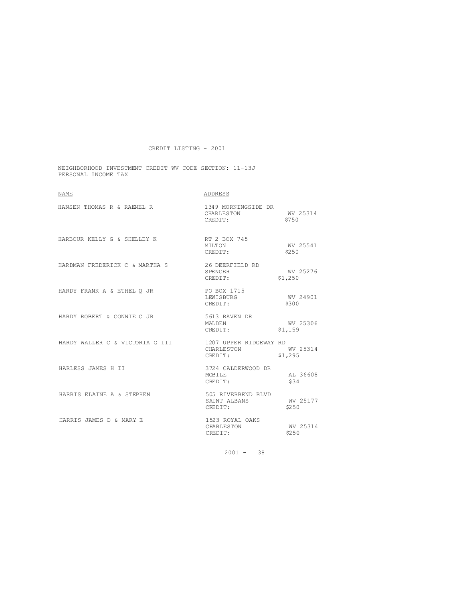NEIGHBORHOOD INVESTMENT CREDIT WV CODE SECTION: 11-13J PERSONAL INCOME TAX

| <b>NAME</b>                                            | ADDRESS                                        |                     |
|--------------------------------------------------------|------------------------------------------------|---------------------|
| HANSEN THOMAS R & RAENEL R                             | 1349 MORNINGSIDE DR<br>CHARLESTON<br>CREDIT:   | WV 25314<br>\$750   |
| HARBOUR KELLY G & SHELLEY K                            | RT 2 BOX 745<br>MILTON<br>CREDIT:              | WV 25541<br>\$250   |
| HARDMAN FREDERICK C & MARTHA S                         | 26 DEERFIELD RD<br>SPENCER<br>CREDIT:          | WV 25276<br>\$1,250 |
| HARDY FRANK A & ETHEL O JR                             | PO BOX 1715<br>LEWISBURG<br>CREDIT:            | WV 24901<br>\$300   |
| HARDY ROBERT & CONNIE C JR                             | 5613 RAVEN DR<br>MALDEN<br>CREDIT:             | WV 25306<br>\$1,159 |
| HARDY WALLER C & VICTORIA G III 1207 UPPER RIDGEWAY RD | CHARLESTON<br>CREDIT:                          | WV 25314<br>\$1,295 |
| HARLESS JAMES H II                                     | 3724 CALDERWOOD DR<br><b>MOBILE</b><br>CREDIT: | AL 36608<br>\$34    |
| HARRIS ELAINE A & STEPHEN                              | 505 RIVERBEND BLVD<br>SAINT ALBANS<br>CREDIT:  | WV 25177<br>\$250   |
| HARRIS JAMES D & MARY E                                | 1523 ROYAL OAKS<br>CHARLESTON<br>CREDIT:       | WV 25314<br>\$250   |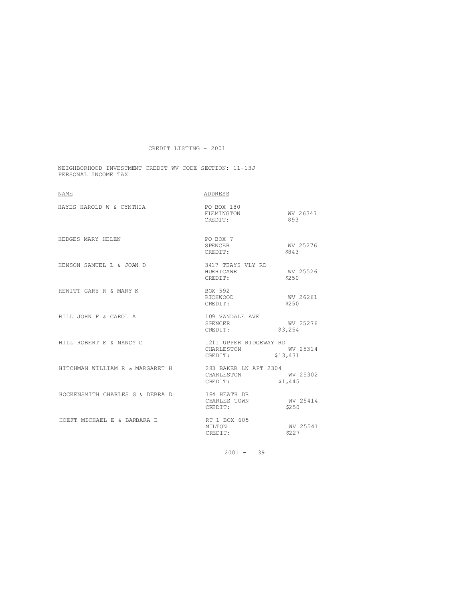NEIGHBORHOOD INVESTMENT CREDIT WV CODE SECTION: 11-13J PERSONAL INCOME TAX

| <b>NAME</b>                     | ADDRESS                                                     |                     |
|---------------------------------|-------------------------------------------------------------|---------------------|
| HAYES HAROLD W & CYNTHIA        | PO BOX 180<br>WV 26347<br>FLEMINGTON<br>CREDIT:             | \$93                |
| HEDGES MARY HELEN               | PO BOX 7<br>SPENCER<br>CREDIT:                              | WV 25276<br>\$843   |
| HENSON SAMUEL L & JOAN D        | 3417 TEAYS VLY RD<br>HURRICANE<br>CREDIT:                   | WV 25526<br>\$250   |
| HEWITT GARY R & MARY K          | BOX 592<br>RICHWOOD<br>CREDIT:                              | WV 26261<br>\$250   |
| HILL JOHN F & CAROL A           | 109 VANDALE AVE<br>SPENCER<br>CREDIT:                       | WV 25276<br>\$3,254 |
| HILL ROBERT E & NANCY C         | 1211 UPPER RIDGEWAY RD<br>CHARLESTON<br>CREDIT:<br>\$13,431 | WV 25314            |
| HITCHMAN WILLIAM R & MARGARET H | 283 BAKER LN APT 2304<br>CHARLESTON<br>CREDIT:              | WV 25302<br>\$1,445 |
| HOCKENSMITH CHARLES S & DEBRA D | 184 HEATH DR<br>CHARLES TOWN<br>CREDIT:                     | WV 25414<br>\$250   |
| HOEFT MICHAEL E & BARBARA E     | RT 1 BOX 605<br>MILTON<br>CREDIT:                           | WV 25541<br>\$227   |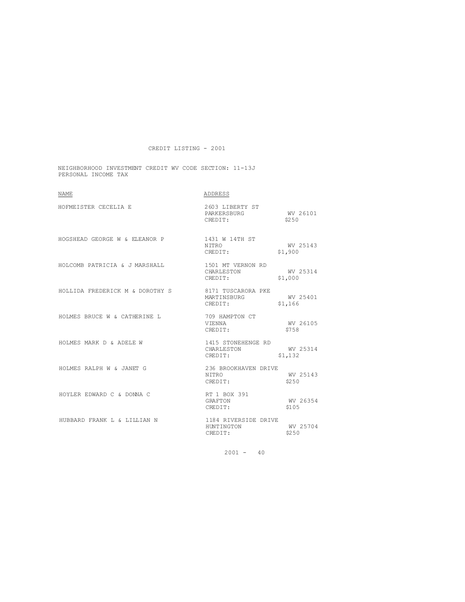NEIGHBORHOOD INVESTMENT CREDIT WV CODE SECTION: 11-13J PERSONAL INCOME TAX

| <b>NAME</b>                     | ADDRESS                                         |                     |
|---------------------------------|-------------------------------------------------|---------------------|
| HOFMEISTER CECELIA E            | 2603 LIBERTY ST<br>PARKERSBURG<br>CREDIT:       | WV 26101<br>\$250   |
| HOGSHEAD GEORGE W & ELEANOR P   | 1431 W 14TH ST<br>NITRO<br>CREDIT:              | WV 25143<br>\$1,900 |
| HOLCOMB PATRICIA & J MARSHALL   | 1501 MT VERNON RD<br>CHARLESTON<br>CREDIT:      | WV 25314<br>\$1,000 |
| HOLLIDA FREDERICK M & DOROTHY S | 8171 TUSCARORA PKE<br>MARTINSBURG<br>CREDIT:    | WV 25401<br>\$1,166 |
| HOLMES BRUCE W & CATHERINE L    | 709 HAMPTON CT<br>VIENNA<br>CREDIT:             | WV 26105<br>\$758   |
| HOLMES MARK D & ADELE W         | 1415 STONEHENGE RD<br>CHARLESTON<br>CREDIT:     | WV 25314<br>\$1,132 |
| HOLMES RALPH W & JANET G        | 236 BROOKHAVEN DRIVE<br><b>NTTRO</b><br>CREDIT: | WV 25143<br>\$250   |
| HOYLER EDWARD C & DONNA C       | RT 1 BOX 391<br>GRAFTON<br>CREDIT:              | WV 26354<br>\$105   |
| HUBBARD FRANK L & LILLIAN N     | 1184 RIVERSIDE DRIVE<br>HUNTINGTON<br>CREDIT:   | WV 25704<br>\$250   |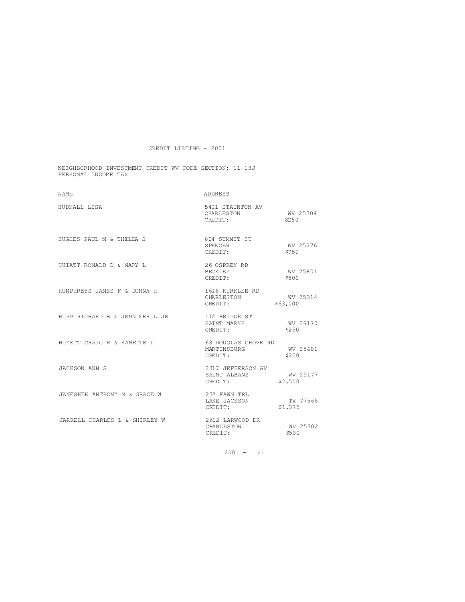NEIGHBORHOOD INVESTMENT CREDIT WV CODE SECTION: 11-13J PERSONAL INCOME TAX

| <b>NAME</b>                    | ADDRESS                                               |                      |
|--------------------------------|-------------------------------------------------------|----------------------|
| HUDNALL LISA                   | 5401 STAUNTON AV<br>CHARLESTON<br>CREDIT:             | WV 25304<br>\$2.50   |
| HUGHES PAUL M & THELDA S       | 804 SUMMIT ST<br>SPENCER<br>CREDIT:                   | WV 25276<br>\$750    |
| HUTATT RONALD D & MARY L       | 26 OSPREY RD<br>BECKLEY<br>CREDIT:                    | WV 25801<br>\$500    |
| HUMPHREYS JAMES F & DONNA H    | 1616 KIRKLEE RD<br>CHARLESTON                         | WV 25314<br>\$63,000 |
| HUPP RICHARD B & JENNIFER L JR | 112 BRIDGE ST<br>SAINT MARYS WV 26170<br>CREDIT:      | \$250                |
| HUYETT CRAIG R & KANETTE L     | 68 DOUGLAS GROVE RD<br>MARTINSBURG<br>CREDIT:         | WV 25401<br>\$2.50   |
| JACKSON ANN S                  | 2317 JEFFERSON AV<br>SAINT ALBANS WV 25177<br>CREDIT: | \$2,500              |
| JANESHEK ANTHONY M & GRACE W   | 232 FAWN TRL<br>LAKE JACKSON<br>CREDIT:               | TX 77566<br>\$1,375  |
| JARRELL CHARLES L & SHIRLEY W  | 2612 LARWOOD DR<br>CHARLESTON<br>CREDIT:              | WV 25302<br>\$500    |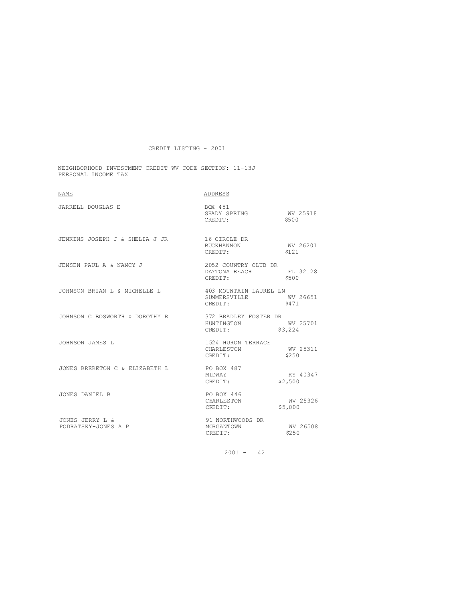NEIGHBORHOOD INVESTMENT CREDIT WV CODE SECTION: 11-13J PERSONAL INCOME TAX

| <b>NAME</b>                                 | ADDRESS                                                         |                     |
|---------------------------------------------|-----------------------------------------------------------------|---------------------|
| JARRELL DOUGLAS E                           | BOX 451<br>SHADY SPRING WV 25918<br>CREDIT:                     | \$500               |
| JENKINS JOSEPH J & SHELIA J JR 16 CIRCLE DR | <b>BUCKHANNON</b><br>CREDIT:                                    | WV 26201<br>\$121   |
| JENSEN PAUL A & NANCY J                     | 2052 COUNTRY CLUB DR<br>DAYTONA BEACH FL 32128<br>CREDIT: \$500 |                     |
| JOHNSON BRIAN L & MICHELLE L                | 403 MOUNTAIN LAUREL LN<br>SUMMERSVILLE WV 26651<br>CREDIT:      | \$471               |
| JOHNSON C BOSWORTH & DOROTHY R              | 372 BRADLEY FOSTER DR<br>HUNTINGTON<br>CREDIT:                  | WV 25701<br>\$3,224 |
| JOHNSON JAMES L                             | 1524 HURON TERRACE<br>CHARLESTON<br>CREDIT:<br>CREDIT:          | WV 25311<br>\$250   |
| JONES BRERETON C & ELIZABETH L              | PO BOX 487<br>MTDWAY<br>CREDIT:                                 | KY 40347<br>\$2,500 |
| JONES DANTEL B                              | PO BOX 446<br>CHARLESTON<br>CREDIT:                             | WV 25326<br>\$5,000 |
| JONES JERRY L &<br>PODRATSKY-JONES A P      | 91 NORTHWOODS DR<br>MORGANTOWN<br>CREDIT:                       | WV 26508<br>\$250   |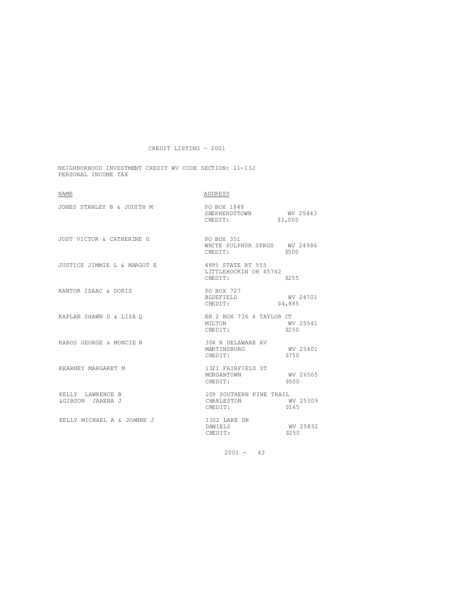NEIGHBORHOOD INVESTMENT CREDIT WV CODE SECTION: 11-13J PERSONAL INCOME TAX

| <b>NAME</b>                          | ADDRESS                                                      |                     |
|--------------------------------------|--------------------------------------------------------------|---------------------|
| JONES STANLEY B & JUDITH M           | PO BOX 1848<br>SHEPHERDSTOWN WV 25443<br>CREDIT:             | \$1,000             |
| JOST VICTOR & CATHERINE G            | <b>PO BOX 351</b><br>WHITE SULPHUR SPRGS WV 24986<br>CREDIT: | \$500               |
| JUSTICE JIMMIE L & MARGOT E          | 4895 STATE RT 555<br>LITTLEHOCKIN OH 45742<br>CREDIT:        | \$255               |
| KANTOR ISAAC & DORIS                 | PO BOX 727<br>BLUEFIELD<br>CREDIT:                           | WV 24701<br>\$4,885 |
| KAPLAN SHAWN D & LISA O              | ER 2 BOX 736 4 TAYLOR CT<br>MTI TON<br>CREDIT:               | WV 25541<br>\$250   |
| KAROS GEORGE & MONCIE R              | 304 N DELAWARE AV<br>MARTINSBURG<br>CREDIT:                  | WV 25401<br>\$750   |
| KEARNEY MARGARET M                   | 1321 FAIRFIELD ST<br>MORGANTOWN<br>CREDIT:                   | WV 26505<br>\$500   |
| KELLY LAWRENCE B<br>&GIBSON JARENA J | 209 SOUTHERN PINE TRAIL<br>CHARLESTON<br>CREDIT:             | WV 25309<br>\$165   |
| KELLY MICHAEL A & JOANNE J           | 1102 LAKE DR<br>DANIELS<br>CREDIT:                           | WV 25832<br>\$250   |
|                                      |                                                              |                     |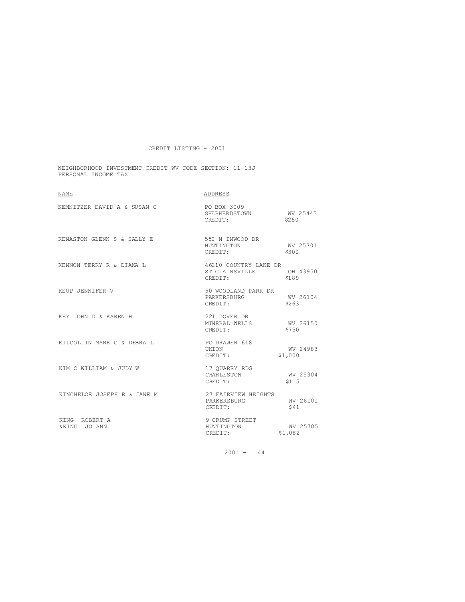NEIGHBORHOOD INVESTMENT CREDIT WV CODE SECTION: 11-13J PERSONAL INCOME TAX

| <b>NAME</b>                   | ADDRESS                                                     |                     |
|-------------------------------|-------------------------------------------------------------|---------------------|
| KEMNITZER DAVID A & SUSAN C   | PO BOX 3009<br>SHEPHERDSTOWN<br>CREDIT:                     | WV 25443<br>\$2.50  |
| KENASTON GLENN S & SALLY E    | 550 N INWOOD DR<br>HUNTINGTON<br>CREDIT:                    | WV 25701<br>\$300   |
| KENNON TERRY R & DIANA L      | 46210 COUNTRY LAKE DR<br>ST CLAIRSVILLE OH 43950<br>CREDIT: | \$189               |
| KEUP JENNIFER V               | 50 WOODLAND PARK DR<br>PARKERSBURG<br>CREDIT:               | WV 26104<br>\$263   |
| KEY JOHN D & KAREN H          | 221 DOVER DR<br>MINERAL WELLS<br>CREDIT:                    | WV 26150<br>\$750   |
| KILCOLLIN MARK C & DEBRA L    | PO DRAWER 618<br>UNION<br>CREDIT:                           | WV 24983<br>\$1,000 |
| KIM C WILLIAM & JUDY W        | 17 OUARRY RDG<br>CHARLESTON<br>CREDIT:                      | WV 25304<br>\$115   |
| KINCHELOE JOSEPH R & JANE M   | 27 FAIRVIEW HEIGHTS<br>PARKERSBURG<br>CREDIT:               | WV 26101<br>\$41    |
| KING ROBERT A<br>&KING JO ANN | 9 CRUMP STREET<br>HUNTINGTON<br>CREDIT:                     | WV 25705<br>\$1,082 |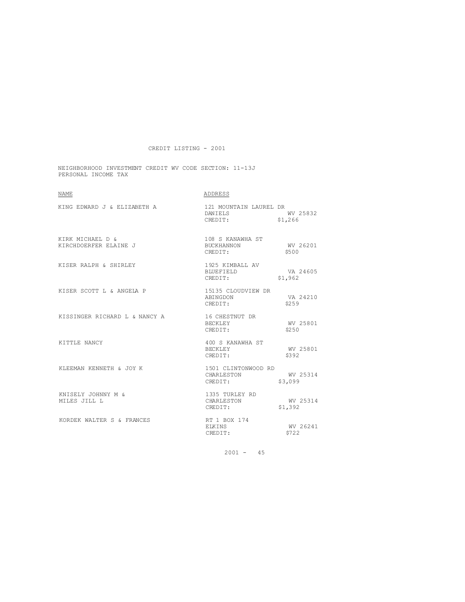NEIGHBORHOOD INVESTMENT CREDIT WV CODE SECTION: 11-13J PERSONAL INCOME TAX

| <b>NAME</b>                               | ADDRESS                                             |                     |
|-------------------------------------------|-----------------------------------------------------|---------------------|
| KING EDWARD J & ELIZABETH A               | 121 MOUNTAIN LAUREL DR<br><b>DANTELS</b><br>CREDIT: | WV 25832<br>\$1,266 |
| KIRK MICHAEL D &<br>KIRCHDOERFER ELAINE J | 108 S KANAWHA ST<br><b>BUCKHANNON</b><br>CREDIT:    | WV 26201<br>\$500   |
| KISER RALPH & SHIRLEY                     | 1925 KIMBALL AV<br>BLUEFIELD<br>CREDIT:             | VA 24605<br>\$1,962 |
| KISER SCOTT L & ANGELA P                  | 15135 CLOUDVIEW DR<br>ABINGDON<br>CREDIT:           | VA 24210<br>\$2.59  |
| KISSINGER RICHARD L & NANCY A             | 16 CHESTNUT DR<br><b>BECKLEY</b><br>CREDIT:         | WV 25801<br>\$2.50  |
| KITTLE NANCY                              | 400 S KANAWHA ST<br>BECKLEY<br>CREDIT:              | WV 25801<br>\$392   |
| KLEEMAN KENNETH & JOY K                   | 1501 CLINTONWOOD RD<br>CHARLESTON<br>CREDIT:        | WV 25314<br>\$3,099 |
| KNISELY JOHNNY M &<br>MILES JILL L        | 1335 TURLEY RD<br>CHARLESTON<br>CREDIT:             | WV 25314<br>\$1,392 |
| KORDEK WALTER S & FRANCES                 | RT 1 BOX 174<br><b>EIKINS</b><br>CREDIT:            | WV 26241<br>\$722   |
|                                           |                                                     |                     |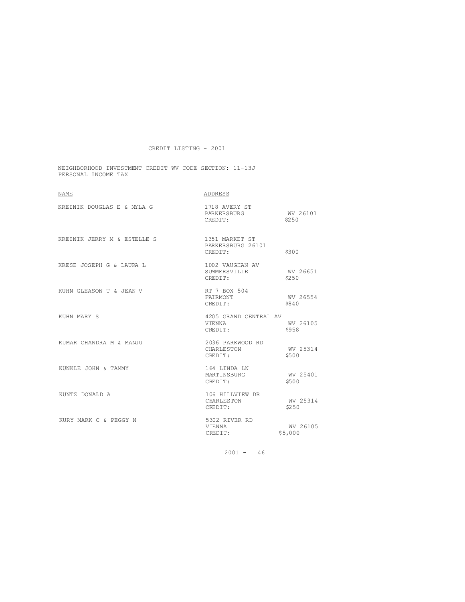NEIGHBORHOOD INVESTMENT CREDIT WV CODE SECTION: 11-13J PERSONAL INCOME TAX

| NAME                        | ADDRESS                                           |                     |
|-----------------------------|---------------------------------------------------|---------------------|
| KREINIK DOUGLAS E & MYLA G  | 1718 AVERY ST<br>PARKERSBURG<br>CREDIT:           | WV 26101<br>\$2.50  |
| KREINIK JERRY M & ESTELLE S | 1351 MARKET ST<br>PARKERSBURG 26101<br>CREDIT:    | \$300               |
| KRESE JOSEPH G & LAURA L    | 1002 VAUGHAN AV<br><b>SUMMERSVILLE</b><br>CREDIT: | WV 26651<br>\$250   |
| KUHN GLEASON T & JEAN V     | RT 7 BOX 504<br>FAIRMONT<br>CREDIT:               | WV 26554<br>\$840   |
| KUHN MARY S                 | 4205 GRAND CENTRAL AV<br><b>VTENNA</b><br>CREDIT: | WV 26105<br>\$958   |
| KUMAR CHANDRA M & MANJU     | 2036 PARKWOOD RD<br>CHARLESTON<br>CREDIT:         | WV 25314<br>\$500   |
| KUNKLE JOHN & TAMMY         | 164 LINDA LN<br>MARTINSBURG<br>CREDIT:            | WV 25401<br>\$500   |
| KUNTZ DONALD A              | 106 HILLVIEW DR<br>CHARLESTON<br>CREDIT:          | WV 25314<br>\$250   |
| KURY MARK C & PEGGY N       | 5302 RIVER RD<br>VIENNA<br>CREDIT:                | WV 26105<br>\$5,000 |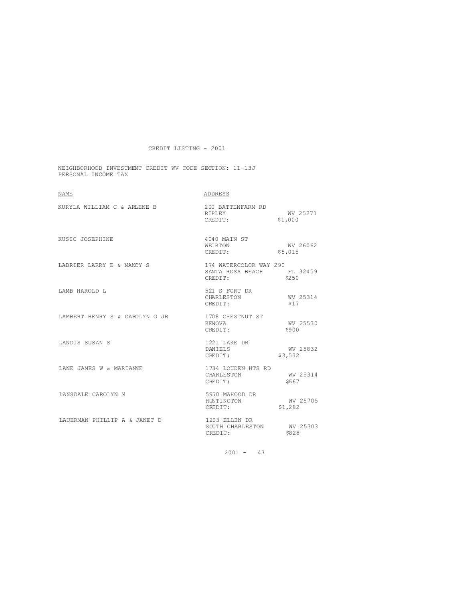NEIGHBORHOOD INVESTMENT CREDIT WV CODE SECTION: 11-13J PERSONAL INCOME TAX

| <b>NAME</b>                    | ADDRESS                                                        |                     |
|--------------------------------|----------------------------------------------------------------|---------------------|
| KURYLA WILLIAM C & ARLENE B    | 200 BATTENFARM RD<br>RIPLEY<br>CREDIT: \$1,000                 | WV 25271            |
| KUSIC JOSEPHINE                | 4040 MAIN ST<br>WEIRTON<br>CREDIT:                             | WV 26062<br>\$5,015 |
| LABRIER LARRY E & NANCY S      | 174 WATERCOLOR WAY 290<br>SANTA ROSA BEACH FL 32459<br>CREDIT: | \$250               |
| LAMB HAROLD L                  | 521 S FORT DR<br>CHARLESTON<br>CREDIT:                         | WV 25314<br>\$17    |
| LAMBERT HENRY S & CAROLYN G JR | 1708 CHESTNUT ST<br>KENOVA<br>CREDIT:                          | WV 25530<br>\$900   |
| LANDIS SUSAN S                 | 1221 LAKE DR<br>DANIELS<br>CREDIT:                             | WV 25832<br>\$3,532 |
| LANE JAMES W & MARIANNE        | 1734 LOUDEN HTS RD<br>CHARLESTON WV 25314<br>CREDIT: \$667     |                     |
| LANSDALE CAROLYN M             | 5950 MAHOOD DR<br>HUNTINGTON<br>CREDIT:                        | WV 25705<br>\$1,282 |
| LAUERMAN PHILLIP A & JANET D   | 1203 ELLEN DR<br>SOUTH CHARLESTON WV 25303<br>CREDIT:          | \$828               |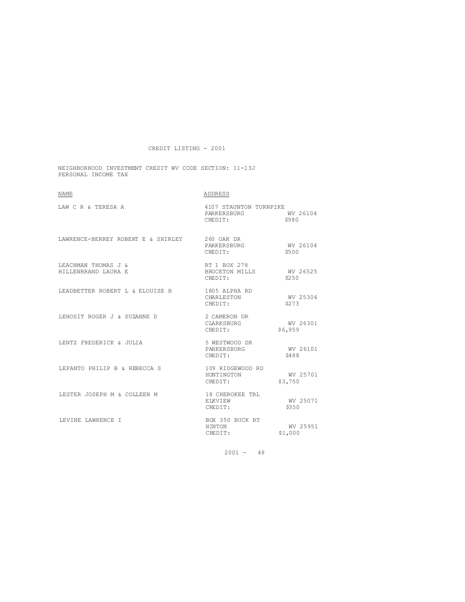NEIGHBORHOOD INVESTMENT CREDIT WV CODE SECTION: 11-13J PERSONAL INCOME TAX

| NAME                                          | ADDRESS                                          |                     |
|-----------------------------------------------|--------------------------------------------------|---------------------|
| LAW C R & TERESA A                            | 4107 STAUNTON TURNPIKE<br>PARKERSBURG<br>CREDIT: | WV 26104<br>\$980   |
| LAWRENCE-BERREY ROBERT E & SHIRLEY 260 OAK DR | PARKERSBURG<br>CREDIT:                           | WV 26104<br>\$500   |
| LEACHMAN THOMAS J &<br>HILLENBRAND LAURA E    | RT 1 BOX 278<br>BRUCETON MILLS<br>CREDIT:        | WV 26525<br>\$2.50  |
| LEADBETTER ROBERT L & ELOUISE H               | 1805 ALPHA RD<br>CHARLESTON<br>CREDIT:           | WV 25304<br>\$273   |
| LEHOSIT ROGER J & SUZANNE D                   | 2 CAMERON DR<br>CLARKSBURG<br>CREDIT:            | WV 26301<br>\$6,959 |
| LENTZ FREDERICK & JULIA                       | 5 WESTWOOD DR<br>PARKERSBURG<br>CREDIT:          | WV 26101<br>\$488   |
| LEPANTO PHILIP B & REBECCA S                  | 109 RIDGEWOOD RD<br>HUNTINGTON<br>CREDIT:        | WV 25701<br>\$3,750 |
| LESTER JOSEPH M & COLLEEN M                   | 18 CHEROKEE TRL<br>EIKVIEW<br>CREDIT:            | WV 25071<br>\$350   |
| LEVINE LAWRENCE I                             | BOX 350 BUCK RT<br>HINTON<br>CREDIT:             | WV 25951<br>\$1,000 |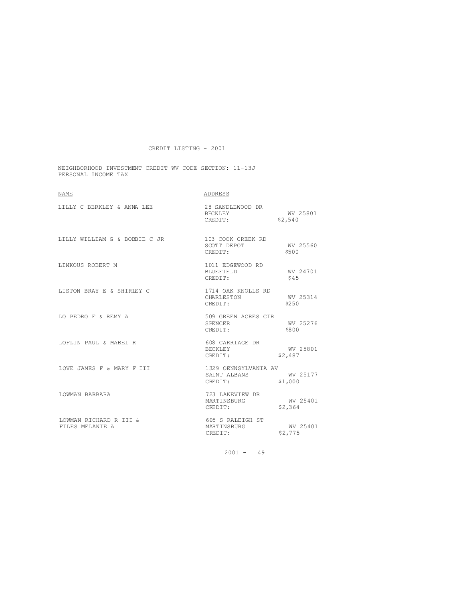NEIGHBORHOOD INVESTMENT CREDIT WV CODE SECTION: 11-13J PERSONAL INCOME TAX

| <b>NAME</b>                                     | ADDRESS                                                  |                     |
|-------------------------------------------------|----------------------------------------------------------|---------------------|
| LILLY C BERKLEY & ANNA LEE                      | 28 SANDLEWOOD DR<br>BECKLEY WV 25801<br>CREDIT: \$2,540  |                     |
| LILLY WILLIAM G & BOBBIE C JR 103 COOK CREEK RD | SCOTT DEPOT<br>CREDIT:                                   | WV 25560<br>\$500   |
| LINKOUS ROBERT M                                | 1011 EDGEWOOD RD<br>BLUEFIELD WV 24701<br>CREDIT:        | \$45                |
| LISTON BRAY E & SHIRLEY C                       | 1714 OAK KNOLLS RD<br>CHARLESTON<br>CREDIT:              | WV 25314<br>\$250   |
| LO PEDRO F & REMY A                             | 509 GREEN ACRES CIR<br>SPENCER<br>CREDIT:                | WV 25276<br>\$800   |
| LOFLIN PAUL & MABEL R                           | 608 CARRIAGE DR<br>BECKLEY<br>CREDIT:                    | WV 25801<br>\$2,487 |
| LOVE JAMES F & MARY F III                       | 1329 OENNSYLVANIA AV<br>SAINT ALBANS WV 25177<br>CREDIT: | \$1,000             |
| LOWMAN BARBARA                                  | 723 LAKEVIEW DR<br>MARTINSBURG<br>CREDIT:                | WV 25401<br>\$2,364 |
| LOWMAN RICHARD R III &<br>FILES MELANIE A       | 605 S RALEIGH ST<br>MARTINSBURG<br>Albert<br>CREDIT:     | WV 25401<br>\$2,775 |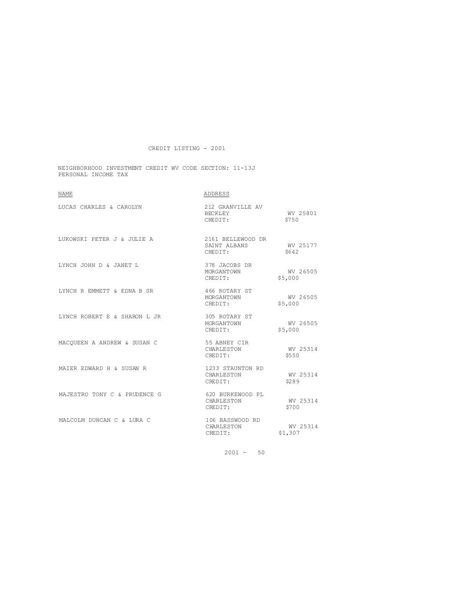NEIGHBORHOOD INVESTMENT CREDIT WV CODE SECTION: 11-13J PERSONAL INCOME TAX

| <b>NAME</b>                  | ADDRESS                                      |                     |
|------------------------------|----------------------------------------------|---------------------|
| LUCAS CHARLES & CAROLYN      | 212 GRANVILLE AV<br>BECKLEY<br>CREDIT:       | WV 25801<br>\$750   |
| LUKOWSKI PETER J & JULIE A   | 2161 BELLEWOOD DR<br>SAINT ALBANS<br>CREDIT: | WV 25177<br>S642    |
| LYNCH JOHN D & JANET L       | 378 JACOBS DR<br>MORGANTOWN<br>CREDIT:       | WV 26505<br>\$5,000 |
| LYNCH R EMMETT & EDNA B SR   | 466 ROTARY ST<br>MORGANTOWN<br>CREDIT:       | WV 26505<br>\$5,000 |
| LYNCH ROBERT E & SHARON L JR | 305 ROTARY ST<br>MORGANTOWN<br>CREDIT:       | WV 26505<br>\$5,000 |
| MACOUEEN A ANDREW & SUSAN C  | 55 ABNEY CIR<br>CHARLESTON<br>CREDIT:        | WV 25314<br>\$550   |
| MATER EDWARD H & SUSAN R     | 1233 STAUNTON RD<br>CHARLESTON<br>CREDIT:    | WV 25314<br>\$2.89  |
| MAJESTRO TONY C & PRUDENCE G | 620 BURKEWOOD PL<br>CHARLESTON<br>CREDIT:    | WV 25314<br>\$700   |
| MALCOLM DUNCAN C & LURA C    | 106 BASSWOOD RD<br>CHARLESTON<br>CREDIT:     | WV 25314<br>\$1,307 |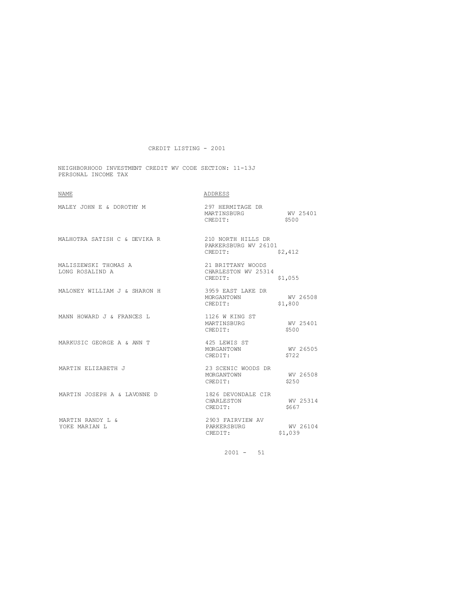NEIGHBORHOOD INVESTMENT CREDIT WV CODE SECTION: 11-13J PERSONAL INCOME TAX

| <b>NAME</b>                             | ADDRESS                                               |                     |
|-----------------------------------------|-------------------------------------------------------|---------------------|
| MALEY JOHN E & DOROTHY M                | 297 HERMITAGE DR<br>MARTINSBURG<br>CREDIT:            | WV 25401<br>\$500   |
| MALHOTRA SATISH C & DEVIKA R            | 210 NORTH HILLS DR<br>PARKERSBURG WV 26101<br>CREDIT: | \$2,412             |
| MALISZEWSKI THOMAS A<br>LONG ROSALIND A | 21 BRITTANY WOODS<br>CHARLESTON WV 25314<br>CREDIT:   | \$1,055             |
| MALONEY WILLIAM J & SHARON H            | 3959 EAST LAKE DR<br>MORGANTOWN<br>CREDIT:            | WV 26508<br>\$1,800 |
| MANN HOWARD J & FRANCES L               | 1126 W KING ST<br>MARTINSBURG<br>CREDIT:              | WV 25401<br>\$500   |
| MARKUSIC GEORGE A & ANN T               | 425 LEWIS ST<br>MORGANTOWN<br>CREDIT:                 | WV 26505<br>\$722   |
| MARTIN ELIZABETH J                      | 23 SCENIC WOODS DR<br>MORGANTOWN<br>CREDIT:           | WV 26508<br>\$2.50  |
| MARTIN JOSEPH A & LAVONNE D             | 1826 DEVONDALE CIR<br>CHARLESTON<br>CREDIT:           | WV 25314<br>\$667   |
| MARTIN RANDY L &<br>YOKE MARIAN L       | 2903 FAIRVIEW AV<br>PARKERSBURG<br>CREDIT:            | WV 26104<br>\$1,039 |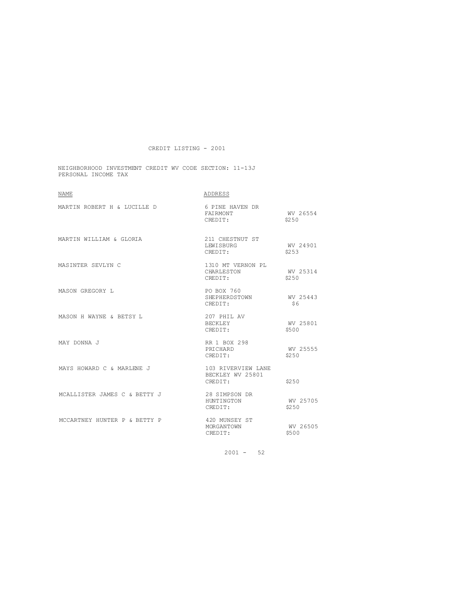NEIGHBORHOOD INVESTMENT CREDIT WV CODE SECTION: 11-13J PERSONAL INCOME TAX

| NAME                         | ADDRESS                                           |                    |
|------------------------------|---------------------------------------------------|--------------------|
| MARTIN ROBERT H & LUCILLE D  | 6 PINE HAVEN DR<br>FAIRMONT<br>CREDIT:            | WV 26554<br>\$250  |
| MARTIN WILLIAM & GLORIA      | 211 CHESTNUT ST<br>LEWISBURG<br>CREDIT:           | WV 24901<br>\$253  |
| MASINTER SEVLYN C            | 1310 MT VERNON PL<br>CHARLESTON<br>CREDIT:        | WV 25314<br>\$2.50 |
| MASON GREGORY L              | PO BOX 760<br>SHEPHERDSTOWN<br>CREDIT:            | WV 25443<br>\$6    |
| MASON H WAYNE & BETSY L      | 207 PHIL AV<br>BECKLEY<br>CREDIT:                 | WV 25801<br>\$500  |
| MAY DONNA J                  | RR 1 BOX 298<br>PRICHARD<br>CREDIT:               | WV 25555<br>\$2.50 |
| MAYS HOWARD C & MARLENE J    | 103 RIVERVIEW LANE<br>BECKLEY WV 25801<br>CREDIT: | \$250              |
| MCALLISTER JAMES C & BETTY J | 28 SIMPSON DR<br>HUNTINGTON<br>CREDIT:            | WV 25705<br>\$250  |
| MCCARTNEY HUNTER P & BETTY P | 420 MUNSEY ST<br>MORGANTOWN<br>CREDIT:            | WV 26505<br>\$500  |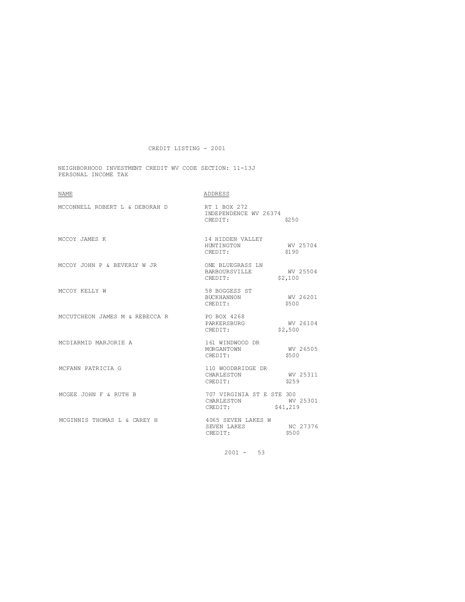NEIGHBORHOOD INVESTMENT CREDIT WV CODE SECTION: 11-13J PERSONAL INCOME TAX

| <b>NAME</b>                    | ADDRESS                                            |                      |
|--------------------------------|----------------------------------------------------|----------------------|
| MCCONNELL ROBERT L & DEBORAH D | RT 1 BOX 272<br>INDEPENDENCE WV 26374<br>CREDIT:   | \$250                |
| MCCOY JAMES K                  | 14 HIDDEN VALLEY<br>HUNTINGTON<br>CREDIT:          | WV 25704<br>\$190    |
| MCCOY JOHN P & BEVERLY W JR    | ONE BLUEGRASS LN<br>BARBOURSVILLE<br>CREDIT:       | WV 25504<br>\$2,100  |
| MCCOY KELLY W                  | 58 BOGGESS ST<br><b>BUCKHANNON</b><br>CREDIT:      | WV 26201<br>\$500    |
| MCCUTCHEON JAMES M & REBECCA R | PO BOX 4268<br>PARKERSBURG<br>CREDIT:              | WV 26104<br>\$2,500  |
| MCDIARMID MARJORIE A           | 161 WINDWOOD DR<br>MORGANTOWN<br>CREDIT:           | WV 26505<br>\$500    |
| MCFANN PATRICIA G              | 110 WOODBRIDGE DR<br>CHARLESTON<br>CREDIT:         | WV 25311<br>\$259    |
| MCGEE JOHN F & RUTH B          | 707 VIRGINIA ST E STE 300<br>CHARLESTON<br>CREDIT: | WV 25301<br>\$41,219 |
| MCGINNIS THOMAS L & CAREY H    | 4065 SEVEN LAKES W<br>SEVEN LAKES<br>CREDIT:       | NC 27376<br>\$500    |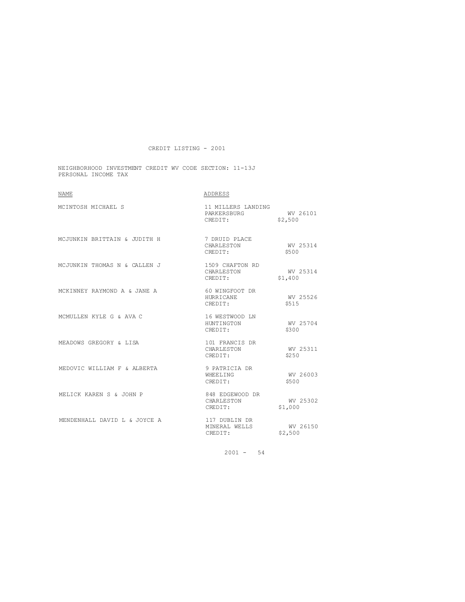NEIGHBORHOOD INVESTMENT CREDIT WV CODE SECTION: 11-13J PERSONAL INCOME TAX

| <b>NAME</b>                  | ADDRESS                                       |                     |
|------------------------------|-----------------------------------------------|---------------------|
| MCINTOSH MICHAEL S           | 11 MILLERS LANDING<br>PARKERSBURG<br>CREDIT:  | WV 26101<br>\$2,500 |
| MCJUNKIN BRITTAIN & JUDITH H | 7 DRUID PLACE<br>CHARLESTON<br>CREDIT:        | WV 25314<br>\$500   |
| MCJUNKIN THOMAS N & CALLEN J | 1509 CHAFTON RD<br>CHARLESTON<br>CREDIT:      | WV 25314<br>\$1,400 |
| MCKINNEY RAYMOND A & JANE A  | 60 WINGFOOT DR<br><b>HURRICANE</b><br>CREDIT: | WV 25526<br>\$515   |
| MCMULLEN KYLE G & AVA C      | 16 WESTWOOD LN<br>HUNTINGTON<br>CREDIT:       | WV 25704<br>\$300   |
| MEADOWS GREGORY & LISA       | 101 FRANCIS DR<br>CHARLESTON<br>CREDIT:       | WV 25311<br>\$2.50  |
| MEDOVIC WILLIAM F & ALBERTA  | 9 PATRICIA DR<br>WHEELTNG<br>CREDIT:          | WV 26003<br>\$500   |
| MELICK KAREN S & JOHN P      | 848 EDGEWOOD DR<br>CHARLESTON<br>CREDIT:      | WV 25302<br>\$1,000 |
| MENDENHALL DAVID L & JOYCE A | 117 DUBLIN DR<br>MINERAL WELLS<br>CREDIT:     | WV 26150<br>\$2,500 |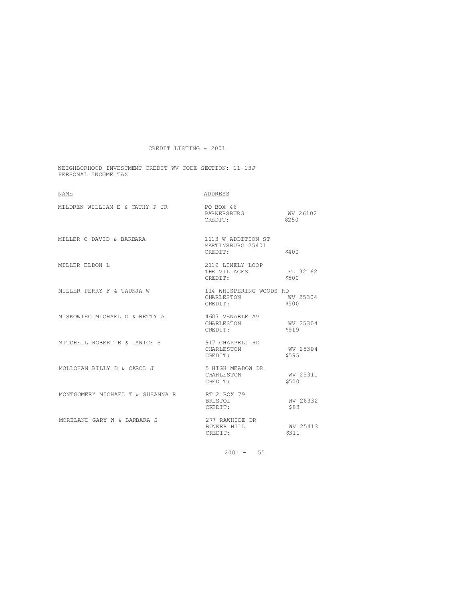NEIGHBORHOOD INVESTMENT CREDIT WV CODE SECTION: 11-13J PERSONAL INCOME TAX

| NAME                             | ADDRESS                                            |                    |
|----------------------------------|----------------------------------------------------|--------------------|
| MILDREN WILLIAM E & CATHY P JR   | PO BOX 46<br>PARKERSBURG<br>CREDIT:                | WV 26102<br>\$2.50 |
| MILLER C DAVID & BARBARA         | 1113 W ADDITION ST<br>MARTINSBURG 25401<br>CREDIT: | \$400              |
| MILLER ELDON L                   | 2119 LINELY LOOP<br>THE VILLAGES<br>CREDIT:        | FL 32162<br>\$500  |
| MILLER PERRY F & TAUNJA W        | 114 WHISPERING WOODS RD<br>CHARLESTON<br>CREDIT:   | WV 25304<br>\$500  |
| MISKOWIEC MICHAEL G & BETTY A    | 4607 VENABLE AV<br>CHARLESTON<br>CREDIT:           | WV 25304<br>\$919  |
| MITCHELL ROBERT E & JANICE S     | 917 CHAPPELL RD<br>CHARLESTON<br>CREDIT:           | WV 25304<br>\$595  |
| MOLLOHAN BILLY D & CAROL J       | 5 HIGH MEADOW DR<br>CHARLESTON<br>CREDIT:          | WV 25311<br>\$500  |
| MONTGOMERY MICHAEL T & SUSANNA R | RT 2 BOX 79<br><b>BRISTOL</b><br>CREDIT:           | WV 26332<br>\$83   |
| MORELAND GARY W & BARBARA S      | 277 RAWHIDE DR<br>BUNKER HILL<br>CREDIT:           | WV 25413<br>\$311  |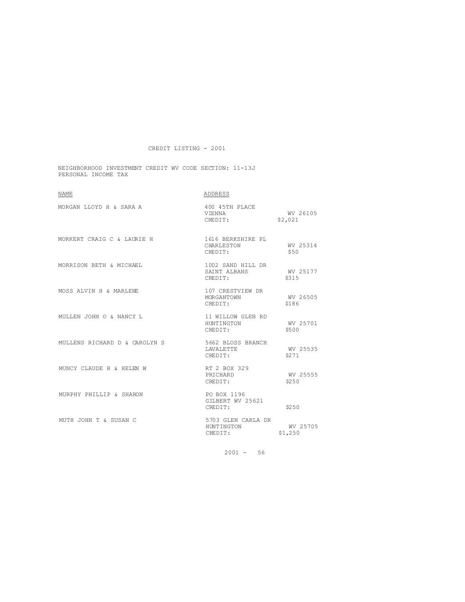NEIGHBORHOOD INVESTMENT CREDIT WV CODE SECTION: 11-13J PERSONAL INCOME TAX

| <b>NAME</b>                   | ADDRESS                                      |                     |
|-------------------------------|----------------------------------------------|---------------------|
| MORGAN LLOYD H & SARA A       | 400 45TH PLACE<br>VIENNA<br>CREDIT:          | WV 26105<br>\$2,021 |
| MORKERT CRAIG C & LAURIE H    | 1616 BERKSHIRE PL<br>CHARLESTON<br>CREDIT:   | WV 25314<br>\$50    |
| MORRISON BETH & MICHAEL       | 1002 SAND HILL DR<br>SAINT ALBANS<br>CREDIT: | WV 25177<br>\$315   |
| MOSS ALVIN H & MARLENE        | 107 CRESTVIEW DR<br>MORGANTOWN<br>CREDIT:    | WV 26505<br>\$186   |
| MULLEN JOHN O & NANCY L       | 11 WILLOW GLEN RD<br>HUNTINGTON<br>CREDIT:   | WV 25701<br>\$500   |
| MULLENS RICHARD D & CAROLYN S | 5662 BLOSS BRANCH<br>LAVALETTE<br>CREDIT:    | WV 25535<br>\$271   |
| MUNCY CLAUDE H & HELEN W      | RT 2 BOX 329<br>PRICHARD<br>CREDIT:          | WV 25555<br>\$250   |
| MURPHY PHILLIP & SHARON       | PO BOX 1196<br>GILBERT WV 25621<br>CREDIT:   | \$250               |
| MUTH JOHN T & SUSAN C         | 5703 GLEN CARLA DR<br>HUNTINGTON<br>CREDIT:  | WV 25705<br>\$1,250 |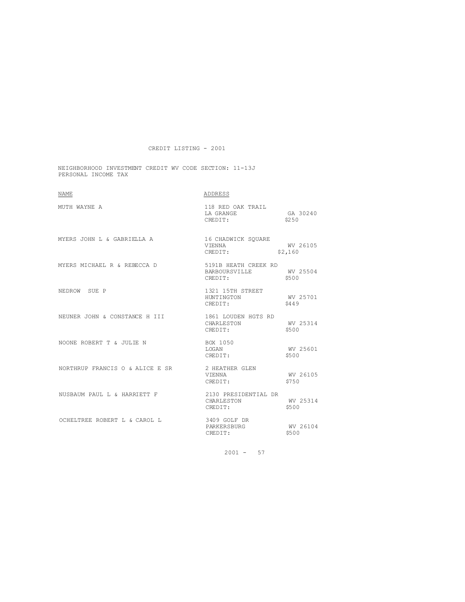NEIGHBORHOOD INVESTMENT CREDIT WV CODE SECTION: 11-13J PERSONAL INCOME TAX

| <b>NAME</b>                                                                                                                                                                                                              | ADDRESS                                                   |                     |
|--------------------------------------------------------------------------------------------------------------------------------------------------------------------------------------------------------------------------|-----------------------------------------------------------|---------------------|
| MUTH WAYNE A                                                                                                                                                                                                             | 118 RED OAK TRAIL<br>LA GRANGE<br>CREDIT:                 | GA 30240<br>\$250   |
| ${\tt MYERS} \hspace{0.2cm} {\tt JOHN} \hspace{0.2cm} {\tt L} \hspace{0.2cm} \& \hspace{0.2cm} {\tt GABRIELLA} \hspace{0.2cm} {\tt A} \hspace{1.2cm} {\tt 16} \hspace{0.2cm} {\tt CHADWICK} \hspace{0.2cm} {\tt SQUARE}$ | VIENNA<br>CREDIT:                                         | WV 26105<br>\$2,160 |
| MYERS MICHAEL R & REBECCA D                                                                                                                                                                                              | 5191B HEATH CREEK RD<br>BARBOURSVILLE WV 25504<br>CREDIT: | \$500               |
| NEDROW SUE P                                                                                                                                                                                                             | 1321 15TH STREET<br>HUNTINGTON<br>CREDIT:                 | WV 25701<br>\$449   |
| NEUNER JOHN & CONSTANCE H III                                                                                                                                                                                            | 1861 LOUDEN HGTS RD<br>CHARLESTON WV 25<br>CREDIT: \$500  | WV 25314            |
| NOONE ROBERT T & JULIE N                                                                                                                                                                                                 | BOX 1050<br>LOGAN<br>CREDIT:                              | WV 25601<br>\$500   |
| NORTHRUP FRANCIS O & ALICE E SR                                                                                                                                                                                          | 2 HEATHER GLEN<br>VIENNA<br>CREDIT:                       | WV 26105<br>\$750   |
| NUSBAUM PAUL L & HARRIETT F                                                                                                                                                                                              | 2130 PRESIDENTIAL DR<br>CHARLESTON WV 25314<br>CREDIT:    | \$500               |
| OCHELTREE ROBERT L & CAROL L                                                                                                                                                                                             | 3409 GOLF DR<br>PARKERSBURG<br>CREDIT:                    | WV 26104<br>\$500   |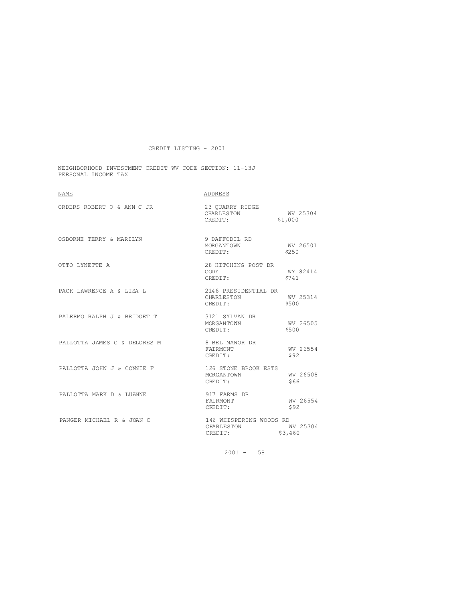NEIGHBORHOOD INVESTMENT CREDIT WV CODE SECTION: 11-13J PERSONAL INCOME TAX

| <b>NAME</b>                  | ADDRESS                                          |                     |
|------------------------------|--------------------------------------------------|---------------------|
| ORDERS ROBERT O & ANN C JR   | 23 OUARRY RIDGE<br>CHARLESTON<br>CREDIT:         | WV 25304<br>\$1,000 |
| OSBORNE TERRY & MARILYN      | 9 DAFFODIL RD<br>MORGANTOWN<br>CREDIT:           | WV 26501<br>\$2.50  |
| OTTO LYNETTE A               | 28 HITCHING POST DR<br>CODY<br>CREDIT:           | WY 82414<br>\$741   |
| PACK LAWRENCE A & LISA L     | 2146 PRESIDENTIAL DR<br>CHARLESTON<br>CREDIT:    | WV 25314<br>\$500   |
| PALERMO RALPH J & BRIDGET T  | 3121 SYLVAN DR<br>MORGANTOWN<br>CREDIT:          | WV 26505<br>\$500   |
| PALLOTTA JAMES C & DELORES M | 8 BEL MANOR DR<br>FAIRMONT<br>CREDIT:            | WV 26554<br>\$92    |
| PALLOTTA JOHN J & CONNIE F   | 126 STONE BROOK ESTS<br>MORGANTOWN<br>CREDIT:    | MV 26508<br>\$66    |
| PALLOTTA MARK D & LUANNE     | 917 FARMS DR<br>FAIRMONT<br>CREDIT:              | WV 26554<br>\$92    |
| PANGER MICHAEL R & JOAN C    | 146 WHISPERING WOODS RD<br>CHARLESTON<br>CREDIT: | WV 25304<br>\$3,460 |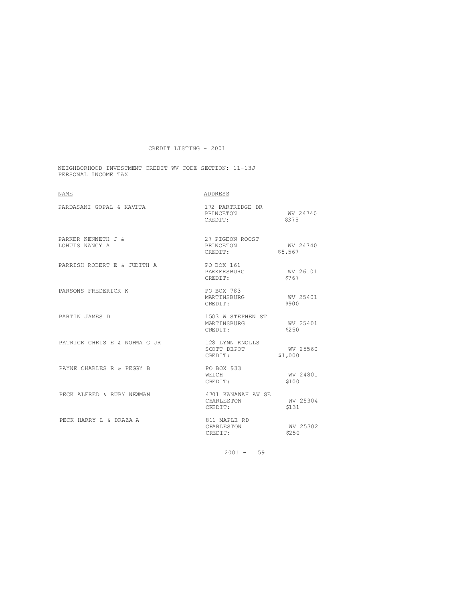NEIGHBORHOOD INVESTMENT CREDIT WV CODE SECTION: 11-13J PERSONAL INCOME TAX

| <b>NAME</b>                          | ADDRESS                                     |                     |
|--------------------------------------|---------------------------------------------|---------------------|
| PARDASANI GOPAL & KAVITA             | 172 PARTRIDGE DR<br>PRINCETON<br>CREDIT:    | WV 24740<br>\$375   |
| PARKER KENNETH J &<br>LOHUIS NANCY A | 27 PIGEON ROOST<br>PRINCETON<br>CREDIT:     | WV 24740<br>\$5,567 |
| PARRISH ROBERT E & JUDITH A          | PO BOX 161<br>PARKERSBURG<br>CREDIT:        | WV 26101<br>\$767   |
| PARSONS FREDERICK K                  | PO BOX 783<br>MARTINSBURG<br>CREDIT:        | WV 25401<br>\$900   |
| PARTIN JAMES D                       | 1503 W STEPHEN ST<br>MARTINSBURG<br>CREDIT: | WV 25401<br>\$250   |
| PATRICK CHRIS E & NORMA G JR         | 128 LYNN KNOLLS<br>SCOTT DEPOT<br>CREDIT:   | WV 25560<br>\$1,000 |
| PAYNE CHARLES R & PEGGY B            | PO BOX 933<br>WELCH.<br>CREDIT:             | WV 24801<br>\$100   |
| PECK ALFRED & RUBY NEWMAN            | 4701 KANAWAH AV SE<br>CHARLESTON<br>CREDIT: | WV 25304<br>\$131   |
| PECK HARRY L & DRAZA A               | 811 MAPLE RD<br>CHARLESTON<br>CREDIT:       | WV 25302<br>\$250   |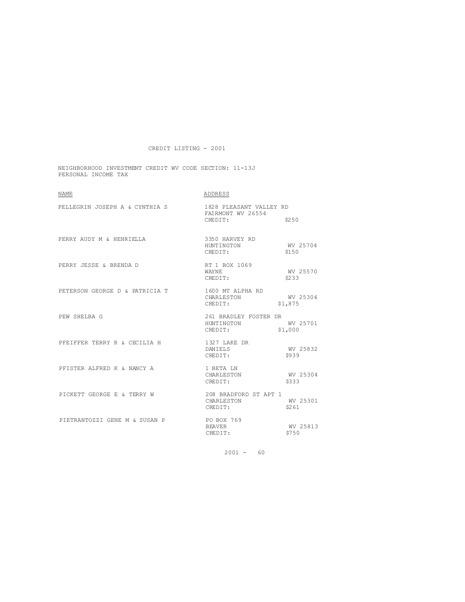NEIGHBORHOOD INVESTMENT CREDIT WV CODE SECTION: 11-13J PERSONAL INCOME TAX

| <b>NAME</b>                    | ADDRESS                                                 |                     |
|--------------------------------|---------------------------------------------------------|---------------------|
| PELLEGRIN JOSEPH A & CYNTHIA S | 1828 PLEASANT VALLEY RD<br>FAIRMONT WV 26554<br>CREDIT: | \$250               |
| PERRY AUDY M & HENRIELLA       | 3350 HARVEY RD<br>HUNTINGTON<br>CREDIT:                 | WV 25704<br>\$150   |
| PERRY JESSE & BRENDA D         | RT 1 BOX 1069<br>WAYNE.<br>CREDIT:                      | WV 25570<br>\$233   |
| PETERSON GEORGE D & PATRICIA T | 1600 MT ALPHA RD<br>CHARLESTON<br>CREDIT:               | WV 25304<br>\$1,875 |
| PEW SHELBA G                   | 261 BRADLEY FOSTER DR<br>HUNTINGTON<br>CREDIT:          | WV 25701<br>\$1,000 |
| PFEIFFER TERRY R & CECILIA H   | 1327 LAKE DR<br>DANIELS<br>CREDIT:                      | WV 25832<br>\$939   |
| PFISTER ALFRED K & NANCY A     | 1 BETA LN<br>CHARLESTON<br>CREDIT:                      | WV 25304<br>\$333   |
| PICKETT GEORGE E & TERRY W     | 208 BRADFORD ST APT 1<br>CHARLESTON<br>CREDIT:          | WV 25301<br>\$261   |
| PIETRANTOZZI GENE M & SUSAN P  | <b>PO BOX 769</b><br><b>BEAVER</b><br>CREDIT:           | WV 25813<br>\$750   |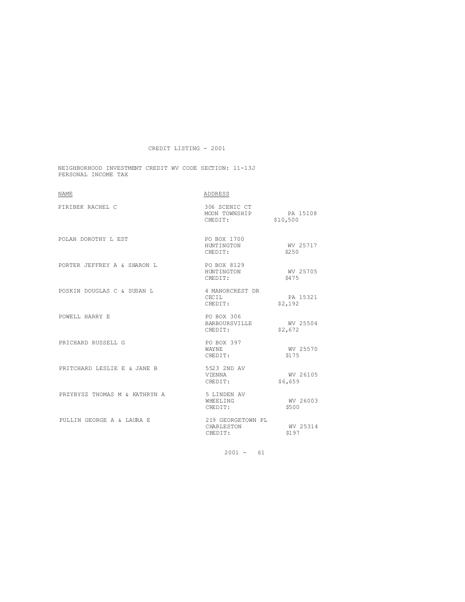NEIGHBORHOOD INVESTMENT CREDIT WV CODE SECTION: 11-13J PERSONAL INCOME TAX

| <b>NAME</b>                   | ADDRESS                                            |                     |
|-------------------------------|----------------------------------------------------|---------------------|
| PIRIBEK RACHEL C              | 306 SCENIC CT<br>MOON TOWNSHIP PA 15108<br>CREDIT: | \$10,500            |
| POLAN DOROTHY L EST           | PO BOX 1700<br>HUNTINGTON<br>CREDIT:               | WV 25717<br>\$250   |
| PORTER JEFFREY A & SHARON L   | PO BOX 8129<br>HUNTINGTON<br>CREDIT:               | WV 25705<br>\$475   |
| POSKIN DOUGLAS C & SUSAN L    | 4 MANORCREST DR<br>CECIL<br>CREDIT:                | PA 15321<br>\$2,192 |
| POWELL HARRY E                | PO BOX 306<br>BARBOURSVILLE<br>CREDIT:             | WV 25504<br>\$2,672 |
| PRICHARD RUSSELL G            | PO BOX 397<br>WAYNE.<br>CREDIT:                    | WV 25570<br>\$175   |
| PRITCHARD LESLIE E & JANE B   | 5523 2ND AV<br>VIENNA<br>CREDIT:                   | WV 26105<br>\$6,659 |
| PRZYBYSZ THOMAS M & KATHRYN A | 5 LINDEN AV<br>WHEELING<br>CREDIT:                 | WV 26003<br>\$500   |
| PULLIN GEORGE A & LAURA E     | 219 GEORGETOWN PL<br>CHARLESTON<br>CREDIT:         | WV 25314<br>\$197   |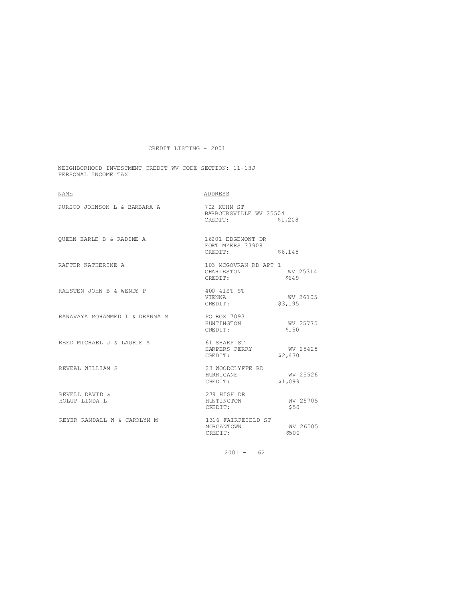NEIGHBORHOOD INVESTMENT CREDIT WV CODE SECTION: 11-13J PERSONAL INCOME TAX

| NAME                                       | ADDRESS                                          |                     |
|--------------------------------------------|--------------------------------------------------|---------------------|
| PURSOO JOHNSON L & BARBARA A               | 702 KUHN ST<br>BARBOURSVILLE WV 25504<br>CREDIT: | \$1,208             |
| OUEEN EARLE B & RADINE A                   | 16201 EDGEMONT DR<br>FORT MYERS 33908<br>CREDIT: | \$6,145             |
| RAFTER KATHERINE A                         | 103 MCGOVRAN RD APT 1<br>CHARLESTON<br>CREDIT:   | WV 25314<br>\$649   |
| RALSTEN JOHN B & WENDY P                   | 400 41ST ST<br>VIENNA<br>CREDIT:                 | WV 26105<br>\$3,195 |
| RANAVAYA MOHAMMED I & DEANNA M PO BOX 7093 | HUNTINGTON<br>CREDIT:                            | WV 25775<br>\$150   |
| REED MICHAEL J & LAURIE A                  | 61 SHARP ST<br>HARPERS FERRY<br>CREDIT:          | WV 25425<br>\$2,430 |
| REVEAL WILLIAM S                           | 23 WOODCLYFFE RD<br>HURRICANE<br>CREDIT:         | WV 25526<br>\$1,099 |
| REVELL DAVID &<br>HOLUP LINDA L            | 279 HIGH DR<br>HUNTINGTON<br>CREDIT:             | WV 25705<br>\$50    |
| REYER RANDALL W & CAROLYN M                | 1316 FAIRFEIELD ST<br>MORGANTOWN<br>CREDIT:      | WV 26505<br>\$500   |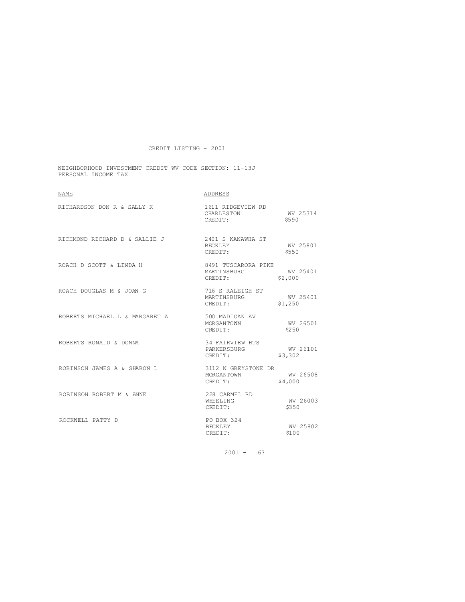NEIGHBORHOOD INVESTMENT CREDIT WV CODE SECTION: 11-13J PERSONAL INCOME TAX

| <b>NAME</b>                    | ADDRESS                                       |                     |
|--------------------------------|-----------------------------------------------|---------------------|
| RICHARDSON DON R & SALLY K     | 1611 RIDGEVIEW RD<br>CHARLESTON<br>CREDIT:    | WV 25314<br>\$590   |
| RICHMOND RICHARD D & SALLIE J  | 2401 S KANAWHA ST<br>BECKLEY<br>CREDIT:       | WV 25801<br>\$550   |
| ROACH D SCOTT & LINDA H        | 8491 TUSCARORA PIKE<br>MARTINSBURG<br>CREDIT: | WV 25401<br>\$2,000 |
| ROACH DOUGLAS M & JOAN G       | 716 S RALEIGH ST<br>MARTINSBURG<br>CREDIT:    | WV 25401<br>\$1,250 |
| ROBERTS MICHAEL L & MARGARET A | 500 MADIGAN AV<br>MORGANTOWN<br>CREDIT:       | WV 26501<br>\$250   |
| ROBERTS RONALD & DONNA         | 34 FAIRVIEW HTS<br>PARKERSBURG<br>CREDIT:     | WV 26101<br>\$3,302 |
| ROBINSON JAMES A & SHARON L    | 3112 N GREYSTONE DR<br>MORGANTOWN<br>CREDIT:  | WV 26508<br>\$4,000 |
| ROBINSON ROBERT M & ANNE       | 228 CARMEL RD<br>WHEELING<br>CREDIT:          | WV 26003<br>\$350   |
| ROCKWELL PATTY D               | PO BOX 324<br><b>BECKLEY</b><br>CREDIT:       | WV 25802<br>\$100   |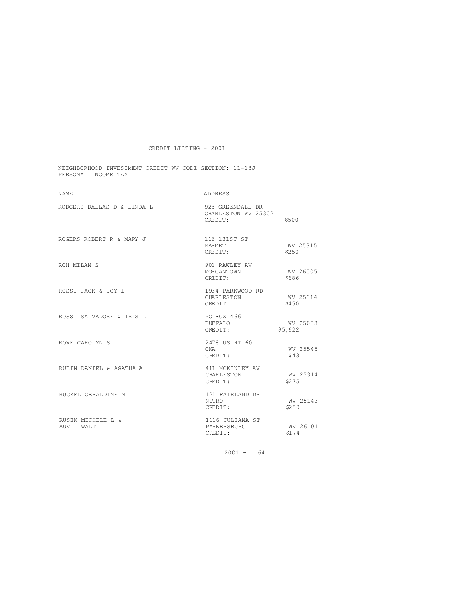NEIGHBORHOOD INVESTMENT CREDIT WV CODE SECTION: 11-13J PERSONAL INCOME TAX

| <b>NAME</b>                     | ADDRESS                                            |                     |
|---------------------------------|----------------------------------------------------|---------------------|
| RODGERS DALLAS D & LINDA L      | 923 GREENDALE DR<br>CHARLESTON WV 25302<br>CREDIT: | \$500               |
| ROGERS ROBERT R & MARY J        | 116 131ST ST<br>MARMET<br>CREDIT:                  | WV 25315<br>\$2.50  |
| ROH MILAN S                     | 901 RAWLEY AV<br>MORGANTOWN<br>CREDIT:             | WV 26505<br>\$686   |
| ROSSI JACK & JOY L              | 1934 PARKWOOD RD<br>CHARLESTON<br>CREDIT:          | WV 25314<br>\$450   |
| ROSSI SALVADORE & IRIS L        | PO BOX 466<br>BUFFALO<br>CREDIT:                   | WV 25033<br>\$5,622 |
| ROWE CAROLYN S                  | 2478 US RT 60<br>ONA<br>CREDIT:                    | WV 25545<br>\$43    |
| RUBIN DANIEL & AGATHA A         | 411 MCKINLEY AV<br>CHARLESTON<br>CREDIT:           | WV 25314<br>\$275   |
| RUCKEL GERALDINE M              | 121 FAIRLAND DR<br>N TTRO<br>CREDIT:               | WV 25143<br>\$2.50  |
| RUSEN MICHELE L &<br>AUVIL WALT | 1116 JULIANA ST<br>PARKERSBURG<br>CREDIT:          | WV 26101<br>\$174   |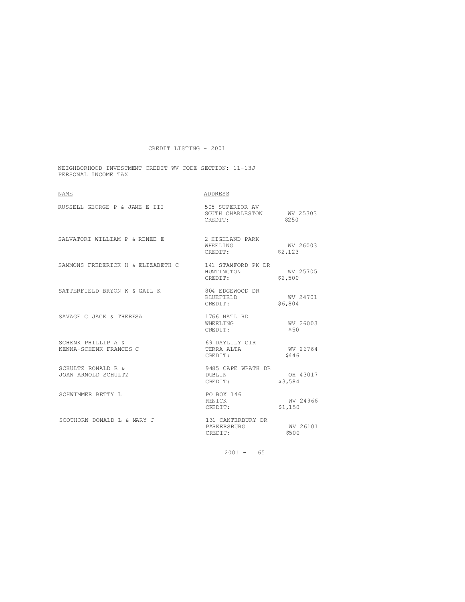NEIGHBORHOOD INVESTMENT CREDIT WV CODE SECTION: 11-13J PERSONAL INCOME TAX

| <b>NAME</b>                                  | ADDRESS                                                 |                     |
|----------------------------------------------|---------------------------------------------------------|---------------------|
| RUSSELL GEORGE P & JANE E III                | 505 SUPERIOR AV<br>SOUTH CHARLESTON WV 25303<br>CREDIT: | \$250               |
| SALVATORI WILLIAM P & RENEE E                | 2 HIGHLAND PARK<br>WHEELING<br>CREDIT:                  | WV 26003<br>\$2,123 |
| SAMMONS FREDERICK H & ELIZABETH C            | 141 STAMFORD PK DR<br>HUNTINGTON<br>CREDIT:             | WV 25705<br>\$2,500 |
| SATTERFIELD BRYON K & GAIL K                 | 804 EDGEWOOD DR<br><b>BLUEFIELD</b><br>CREDIT:          | WV 24701<br>\$6,804 |
| SAVAGE C JACK & THERESA                      | 1766 NATL RD<br>WHEELTNG<br>CREDIT:                     | WV 26003<br>\$50    |
| SCHENK PHILLIP A &<br>KENNA-SCHENK FRANCES C | 69 DAYLILY CIR<br>TERRA ALTA<br>CREDIT:                 | WV 26764<br>\$446   |
| SCHULTZ RONALD R &<br>JOAN ARNOLD SCHULTZ    | 9485 CAPE WRATH DR<br>DUBLIN<br>CREDIT:                 | OH 43017<br>\$3,584 |
| SCHWIMMER BETTY L                            | PO BOX 146<br>RENICK<br>CREDIT:                         | WV 24966<br>\$1,150 |
| SCOTHORN DONALD L & MARY J                   | 131 CANTERBURY DR<br>PARKERSBURG<br>CREDIT:             | WV 26101<br>\$500   |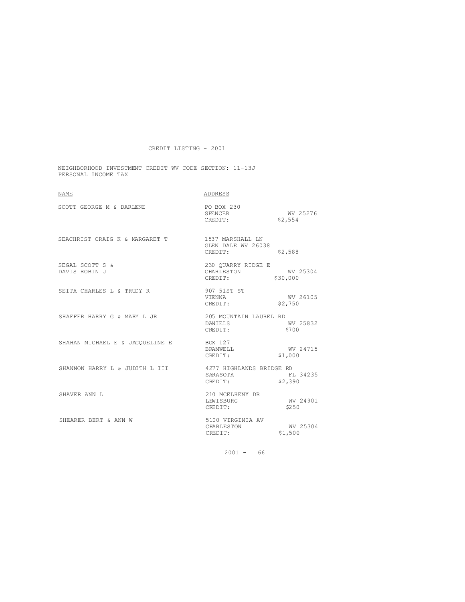NEIGHBORHOOD INVESTMENT CREDIT WV CODE SECTION: 11-13J PERSONAL INCOME TAX

| <b>NAME</b>                                             | ADDRESS                                            |                      |
|---------------------------------------------------------|----------------------------------------------------|----------------------|
| SCOTT GEORGE M & DARLENE                                | PO BOX 230<br>SPENCER WV 25276<br>CREDIT: $$2,554$ |                      |
| SEACHRIST CRAIG K & MARGARET T                          | 1537 MARSHALL LN<br>GLEN DALE WV 26038<br>CREDIT:  | \$2,588              |
| SEGAL SCOTT S &<br>DAVIS ROBIN J                        | 230 OUARRY RIDGE E<br>CHARLESTON<br>CREDIT:        | WV 25304<br>\$30,000 |
| SEITA CHARLES L & TRUDY R                               | 907 51ST ST<br>VIENNA<br>CREDIT:                   | WV 26105<br>\$2,750  |
| SHAFFER HARRY G & MARY L JR                             | 205 MOUNTAIN LAUREL RD<br>DANIELS<br>CREDIT:       | WV 25832<br>\$700    |
| SHAHAN MICHAEL E & JACQUELINE E BOX 127                 | BRAMWELL<br>CREDIT:                                | WV 24715<br>\$1,000  |
| SHANNON HARRY L & JUDITH L III 4277 HIGHLANDS BRIDGE RD | SARASOTA<br>CREDIT: \$2,390                        | FI 34235             |
| SHAVER ANN L                                            | 210 MCELHENY DR<br>LEWISBURG<br>CREDIT:            | WV 24901<br>\$250    |
| SHEARER BERT & ANN W                                    | 5100 VIRGINIA AV<br>CHARLESTON<br>CREDIT:          | WV 25304<br>\$1,500  |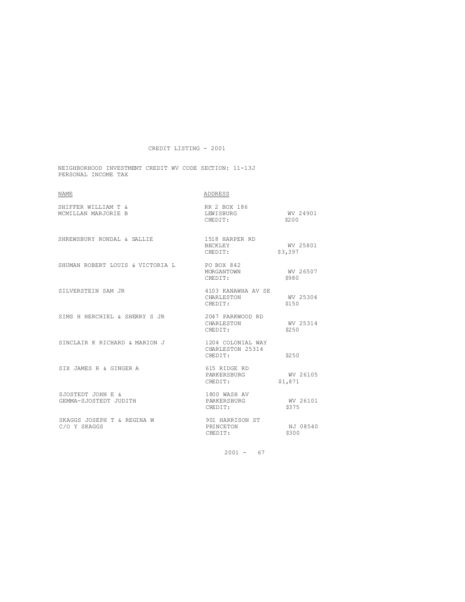NEIGHBORHOOD INVESTMENT CREDIT WV CODE SECTION: 11-13J PERSONAL INCOME TAX

| <b>NAME</b>                                 | ADDRESS                                          |                     |
|---------------------------------------------|--------------------------------------------------|---------------------|
| SHIFFER WILLIAM T &<br>MCMILLAN MARJORIE B  | RR 2 BOX 186<br>LEWISBURG<br>CREDIT:             | WV 24901<br>\$200   |
| SHREWSBURY RONDAL & SALLIE                  | 1518 HARPER RD<br>BECKLEY<br>CREDIT:             | WV 25801<br>\$3,397 |
| SHUMAN ROBERT LOUIS & VICTORIA L PO BOX 842 | MORGANTOWN<br>CREDIT:                            | WV 26507<br>\$980   |
| SILVERSTEIN SAM JR                          | 4103 KANAWHA AV SE<br>CHARLESTON<br>CREDIT:      | WV 25304<br>\$150   |
| SIMS H HERCHIEL & SHERRY S JR               | 2047 PARKWOOD RD<br>CHARLESTON<br>CREDIT:        | WV 25314<br>\$2.50  |
| SINCLAIR K RICHARD & MARION J               | 1204 COLONIAL WAY<br>CHARLESTON 25314<br>CREDIT: | \$250               |
| SIX JAMES R & GINGER A                      | 615 RIDGE RD<br>PARKERSBURG<br>CREDIT:           | WV 26105<br>\$1,871 |
| SJOSTEDT JOHN E &<br>GEMMA-SJOSTEDT JUDITH  | 1800 WASH AV<br>PARKERSBURG<br>CREDIT:           | WV 26101<br>\$375   |
| SKAGGS JOSEPH T & REGINA W<br>C/O Y SKAGGS  | 901 HARRISON ST<br>PRINCETON<br>CREDIT:          | NJ 08540<br>\$300   |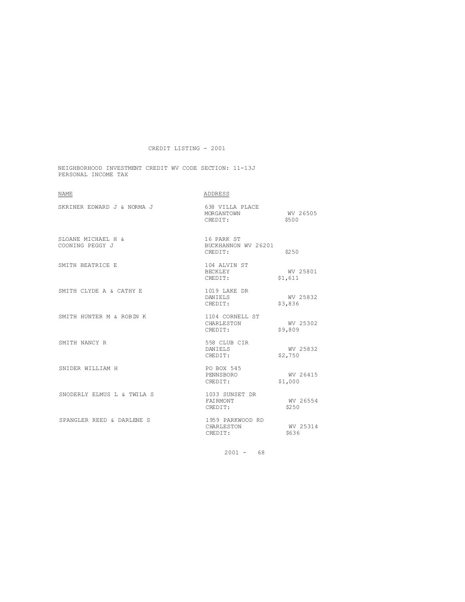NEIGHBORHOOD INVESTMENT CREDIT WV CODE SECTION: 11-13J PERSONAL INCOME TAX

| <b>NAME</b>                           | ADDRESS                                      |                     |
|---------------------------------------|----------------------------------------------|---------------------|
| SKRINER EDWARD J & NORMA J            | 638 VILLA PLACE<br>MORGANTOWN<br>CREDIT:     | WV 26505<br>\$500   |
| SLOANE MICHAEL H &<br>COONING PEGGY J | 16 PARK ST<br>BUCKHANNON WV 26201<br>CREDIT: | \$250               |
| SMITH BEATRICE E                      | 104 ALVIN ST<br>BECKLEY<br>CREDIT:           | WV 25801<br>\$1,611 |
| SMITH CLYDE A & CATHY E               | 1019 LAKE DR<br>DANIELS<br>CREDIT:           | WV 25832<br>\$3,836 |
| SMITH HUNTER M & ROBIN K              | 1104 CORNELL ST<br>CHARLESTON<br>CREDIT:     | WV 25302<br>\$9,809 |
| SMITH NANCY R                         | 558 CLUB CIR<br>DANIELS<br>CREDIT:           | WV 25832<br>\$2,750 |
| SNIDER WILLIAM H                      | PO BOX 545<br>PENNSBORO<br>CREDIT:           | WV 26415<br>\$1,000 |
| SNODERLY ELMUS L & TWILA S            | 1033 SUNSET DR<br>FAIRMONT<br>CREDIT:        | WV 26554<br>\$250   |
| SPANGLER REED & DARLENE S             | 1959 PARKWOOD RD<br>CHARLESTON<br>CREDIT:    | WV 25314<br>\$636   |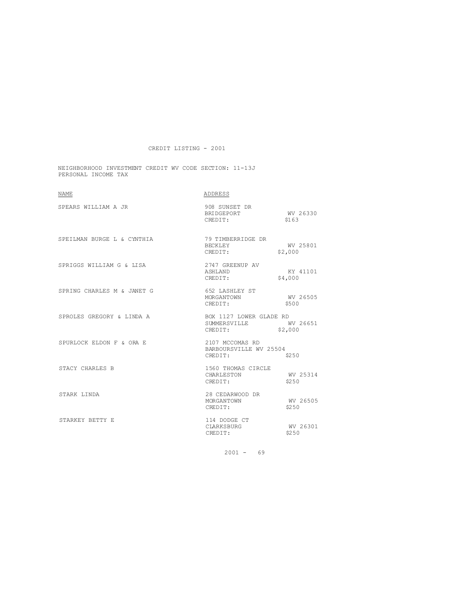NEIGHBORHOOD INVESTMENT CREDIT WV CODE SECTION: 11-13J PERSONAL INCOME TAX

| <b>NAME</b>                | ADDRESS                                              |                     |
|----------------------------|------------------------------------------------------|---------------------|
| SPEARS WILLIAM A JR        | 908 SUNSET DR<br>BRIDGEPORT<br>CREDIT:               | WV 26330<br>\$163   |
| SPEILMAN BURGE L & CYNTHIA | 79 TIMBERRIDGE DR<br>BECKLEY<br>CREDIT:              | WV 25801<br>\$2,000 |
| SPRIGGS WILLIAM G & LISA   | 2747 GREENUP AV<br>ASHLAND<br>CREDIT:                | KY 41101<br>\$4,000 |
| SPRING CHARLES M & JANET G | 652 LASHLEY ST<br>MORGANTOWN<br>CREDIT:              | WV 26505<br>\$500   |
| SPROLES GREGORY & LINDA A  | BOX 1127 LOWER GLADE RD<br>SUMMERSVILLE<br>CREDIT:   | WV 26651<br>\$2,000 |
| SPURLOCK ELDON F & ORA E   | 2107 MCCOMAS RD<br>BARBOURSVILLE WV 25504<br>CREDIT: | \$250               |
| STACY CHARLES B            | 1560 THOMAS CIRCLE<br>CHARLESTON<br>CREDIT:          | WV 25314<br>\$250   |
| STARK LINDA                | 28 CEDARWOOD DR<br>MORGANTOWN<br>CREDIT:             | WV 26505<br>\$250   |
| STARKEY BETTY E            | 114 DODGE CT<br>CLARKSBURG<br>CREDIT:                | WV 26301<br>\$250   |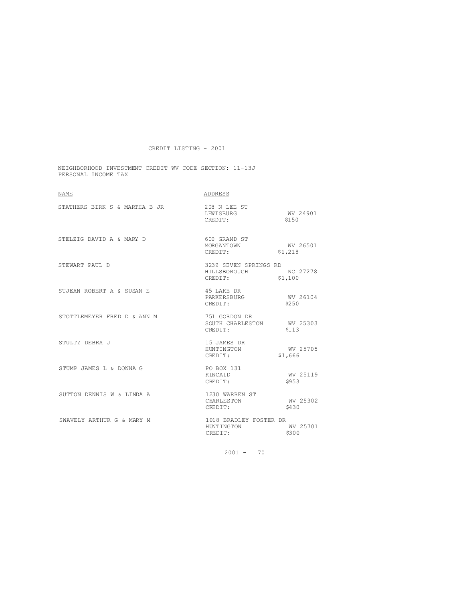NEIGHBORHOOD INVESTMENT CREDIT WV CODE SECTION: 11-13J PERSONAL INCOME TAX

| <b>NAME</b>                   | ADDRESS                                               |                                |
|-------------------------------|-------------------------------------------------------|--------------------------------|
| STATHERS BIRK S & MARTHA B JR | 208 N LEE ST<br>LEWISBURG<br>CREDIT:                  | WV 24901<br>\$150              |
| STELZIG DAVID A & MARY D      | 600 GRAND ST<br>MORGANTOWN<br>CREDIT:                 | WV 26501<br>\$1 218<br>\$1,218 |
| STEWART PAUL D                | 3239 SEVEN SPRINGS RD<br>HILLSBOROUGH<br>CREDIT:      | NC 27278<br>\$1,100            |
| STJEAN ROBERT A & SUSAN E     | 45 LAKE DR<br>PARKERSBURG<br>CREDIT:                  | WV 26104<br>\$250              |
| STOTTLEMEYER FRED D & ANN M   | 751 GORDON DR<br>SOUTH CHARLESTON WV 25303<br>CREDIT: | \$113                          |
| STULTZ DEBRA J                | 15 JAMES DR<br>HUNTINGTON<br>CREDIT:                  | WV 25705<br>\$1,666            |
| STUMP JAMES L & DONNA G       | PO BOX 131<br>KINCAID<br>CREDIT:                      | WV 25119<br>\$953              |
| SUTTON DENNIS W & LINDA A     | 1230 WARREN ST<br>CHARLESTON<br>CREDIT:               | WV 25302<br>\$430              |
| SWAVELY ARTHUR G & MARY M     | 1018 BRADLEY FOSTER DR<br>HUNTINGTON<br>CREDIT:       | WV 25701<br>\$300              |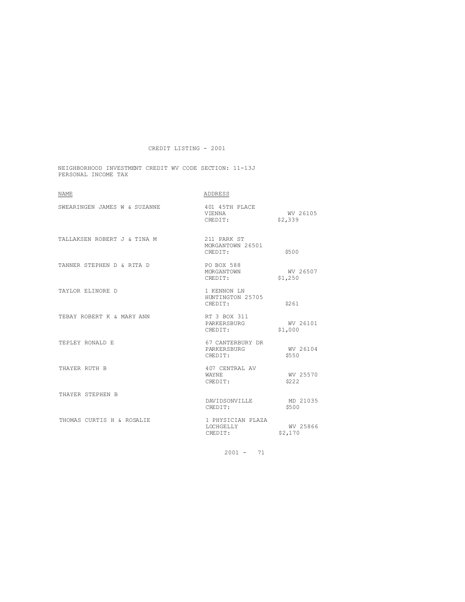NEIGHBORHOOD INVESTMENT CREDIT WV CODE SECTION: 11-13J PERSONAL INCOME TAX

| <b>NAME</b>                  | ADDRESS                                    |                     |
|------------------------------|--------------------------------------------|---------------------|
| SWEARINGEN JAMES W & SUZANNE | 401 45TH PLACE<br>VIENNA<br>CREDIT:        | WV 26105<br>\$2,339 |
| TALLAKSEN ROBERT J & TINA M  | 211 PARK ST<br>MORGANTOWN 26501<br>CREDIT: | \$500               |
| TANNER STEPHEN D & RITA D    | PO BOX 588<br>MORGANTOWN<br>CREDIT:        | WV 26507<br>\$1,250 |
| TAYLOR ELINORE D             | 1 KENNON LN<br>HUNTINGTON 25705<br>CREDIT: | \$261               |
| TEBAY ROBERT K & MARY ANN    | RT 3 BOX 311<br>PARKERSBURG<br>CREDIT:     | WV 26101<br>\$1,000 |
| TEPLEY RONALD E              | 67 CANTERBURY DR<br>PARKERSBURG<br>CREDIT: | WV 26104<br>\$550   |
| THAYER RUTH B                | 407 CENTRAL AV<br>WAYNE.<br>CREDIT:        | WV 25570<br>\$222   |
| THAYER STEPHEN B             | DAVIDSONVILLE<br>CREDIT:                   | MD 21035<br>\$500   |
| THOMAS CURTIS H & ROSALIE    | 1 PHYSICIAN PLAZA<br>LOCHGELLY<br>CREDIT:  | WV 25866<br>\$2,170 |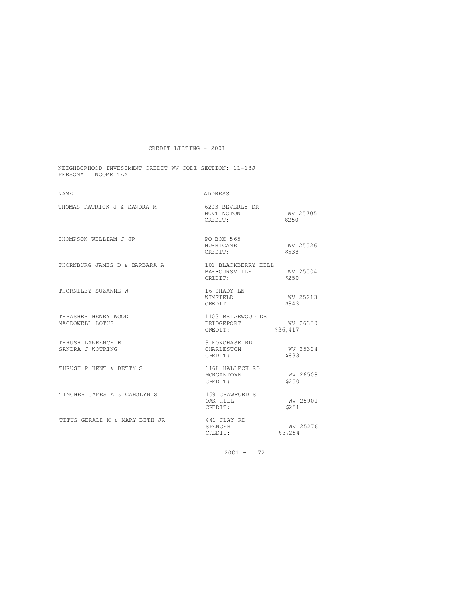NEIGHBORHOOD INVESTMENT CREDIT WV CODE SECTION: 11-13J PERSONAL INCOME TAX

| <b>NAME</b>                            | ADDRESS                                                  |                      |
|----------------------------------------|----------------------------------------------------------|----------------------|
| THOMAS PATRICK J & SANDRA M            | 6203 BEVERLY DR<br>HUNTINGTON<br>CREDIT:                 | WV 25705<br>\$2.50   |
| THOMPSON WILLIAM J JR                  | PO BOX 565<br>HURRICANE<br>CREDIT:                       | WV 25526<br>\$538    |
| THORNBURG JAMES D & BARBARA A          | 101 BLACKBERRY HILL<br>BARBOURSVILLE WV 25504<br>CREDIT: | \$250                |
| THORNILEY SUZANNE W                    | 16 SHADY LN<br>WINFIELD<br>CREDIT:                       | WV 25213<br>\$843    |
| THRASHER HENRY WOOD<br>MACDOWELL LOTUS | 1103 BRIARWOOD DR<br>BRIDGEPORT<br>CREDIT:               | WV 26330<br>\$36,417 |
| THRUSH LAWRENCE B<br>SANDRA J WOTRING  | 9 FOXCHASE RD<br>CHARLESTON<br>CREDIT:                   | WV 25304<br>\$833    |
| THRUSH P KENT & BETTY S                | 1168 HALLECK RD<br>MORGANTOWN<br>CREDIT:                 | WV 26508<br>\$250    |
| TINCHER JAMES A & CAROLYN S            | 159 CRAWFORD ST<br>OAK HILL<br>CREDIT:                   | WV 25901<br>\$251    |
| TITUS GERALD M & MARY BETH JR          | 441 CLAY RD<br>SPENCER<br>CREDIT:                        | WV 25276<br>\$3,254  |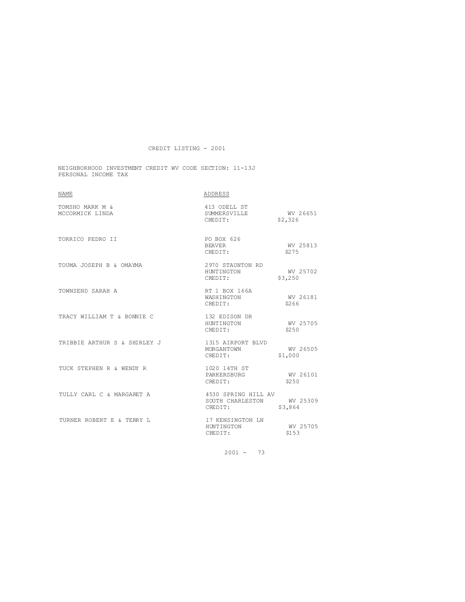#### NEIGHBORHOOD INVESTMENT CREDIT WV CODE SECTION: 11-13J PERSONAL INCOME TAX

| <b>NAME</b>                        | ADDRESS                                                     |                     |
|------------------------------------|-------------------------------------------------------------|---------------------|
| TOMSHO MARK M &<br>MCCORMICK LINDA | 413 ODELL ST<br>SUMMERSVILLE WV 26651<br>CREDIT:            | \$2,326             |
| TORRICO PEDRO II                   | PO BOX 626<br><b>BEAVER</b><br>CREDIT:                      | WV 25813<br>\$275   |
| TOUMA JOSEPH B & OMAYMA            | 2970 STAUNTON RD<br>HINTINGTON<br>CREDIT:                   | WV 25702<br>\$3,250 |
| TOWNSEND SARAH A                   | RT 1 BOX 166A<br>WASHINGTON<br>CREDIT:                      | WV 26181<br>\$266   |
| TRACY WILLIAM T & BONNIE C         | 132 EDISON DR<br>HUNTINGTON<br>CREDIT:                      | WV 25705<br>\$2.50  |
| TRIBBIE ARTHUR S & SHIRLEY J       | 1315 AIRPORT BLVD<br>MORGANTOWN<br>CREDIT:                  | WV 26505<br>\$1,000 |
| TUCK STEPHEN R & WENDY R           | 1020 14TH ST<br>PARKERSBURG<br>CREDIT:                      | WV 26101<br>\$250   |
| TULLY CARL C & MARGARET A          | 4530 SPRING HILL AV<br>SOUTH CHARLESTON WV 25309<br>CREDIT: | \$3,864             |
| TURNER ROBERT E & TERRY L          | 17 KENSINGTON LN<br>HUNTINGTON<br>CREDIT:                   | WV 25705<br>\$153   |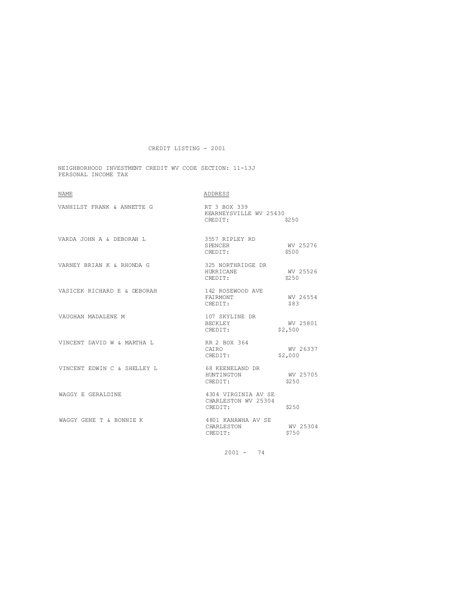NEIGHBORHOOD INVESTMENT CREDIT WV CODE SECTION: 11-13J PERSONAL INCOME TAX

| <b>NAME</b>                 | ADDRESS                                               |                     |
|-----------------------------|-------------------------------------------------------|---------------------|
| VANHILST FRANK & ANNETTE G  | RT 3 BOX 339<br>KEARNEYSVILLE WV 25430<br>CREDIT:     | \$250               |
| VARDA JOHN A & DEBORAH L    | 3557 RIPLEY RD<br>SPENCER<br>CREDIT:                  | WV 25276<br>\$500   |
| VARNEY BRIAN K & RHONDA G   | 325 NORTHRIDGE DR<br>HURRICANE<br>CREDIT:             | WV 25526<br>\$250   |
| VASICEK RICHARD E & DEBORAH | 142 ROSEWOOD AVE<br>FAIRMONT<br>CREDIT:               | WV 26554<br>\$83    |
| VAUGHAN MADALENE M          | 107 SKYLINE DR<br>BECKLEY<br>CREDIT:                  | WV 25801<br>\$2,500 |
| VINCENT DAVID W & MARTHA L  | RR 2 BOX 364<br><b>CATRO</b><br>CREDIT:               | WV 26337<br>\$2,000 |
| VINCENT EDWIN C & SHELLEY L | 68 KEENELAND DR<br>HUNTINGTON<br>CREDIT:              | WV 25705<br>\$250   |
| WAGGY E GERALDINE           | 4304 VIRGINIA AV SE<br>CHARLESTON WV 25304<br>CREDIT: | \$250               |
| WAGGY GENE T & BONNIE K     | 4801 KANAWHA AV SE<br>CHARLESTON<br>CREDIT:           | WV 25304<br>\$750   |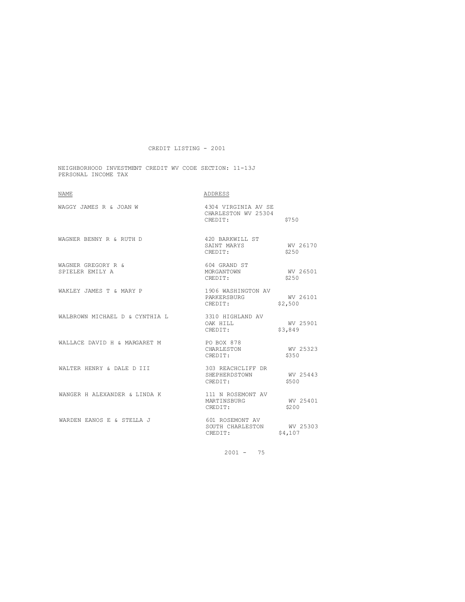NEIGHBORHOOD INVESTMENT CREDIT WV CODE SECTION: 11-13J PERSONAL INCOME TAX

| <b>NAME</b>                           | ADDRESS                                                 |                     |
|---------------------------------------|---------------------------------------------------------|---------------------|
| WAGGY JAMES R & JOAN W                | 4304 VIRGINIA AV SE<br>CHARLESTON WV 25304<br>CREDIT:   | \$750               |
| WAGNER BENNY R & RUTH D               | 420 BARKWILL ST<br>SAINT MARYS<br>CREDIT:               | WV 26170<br>\$2.50  |
| WAGNER GREGORY R &<br>SPIELER EMILY A | 604 GRAND ST<br>MORGANTOWN WV 26501<br>CREDIT:          | \$250               |
| WAKLEY JAMES T & MARY P               | 1906 WASHINGTON AV<br>PARKERSBURG<br>CREDIT:            | WV 26101<br>\$2,500 |
| WALBROWN MICHAEL D & CYNTHIA L        | 3310 HIGHLAND AV<br>OAK HILL<br>CREDIT:                 | WV 25901<br>\$3,849 |
| WALLACE DAVID H & MARGARET M          | PO BOX 878<br>CHARLESTON<br>CREDIT:                     | WV 25323<br>\$350   |
| WALTER HENRY & DALE D III             | 303 REACHCLIFF DR<br>SHEPHERDSTOWN WV 25443<br>CREDIT:  | \$500               |
| WANGER H ALEXANDER & LINDA K          | 111 N ROSEMONT AV<br>MARTINSBURG<br>CREDIT:             | WV 25401<br>\$200   |
| WARDEN EANOS E & STELLA J             | 601 ROSEMONT AV<br>SOUTH CHARLESTON WV 25303<br>CREDIT: | \$4,107             |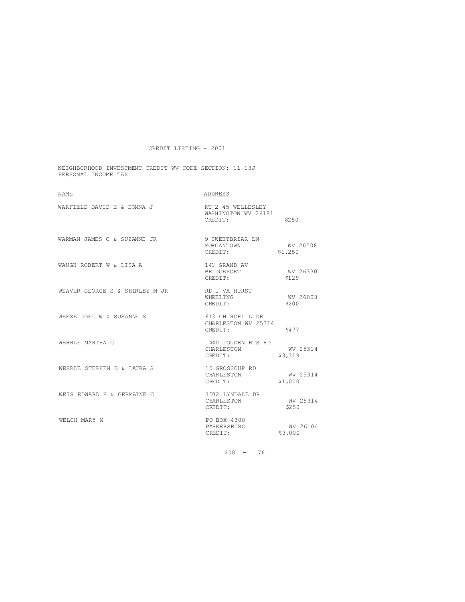NEIGHBORHOOD INVESTMENT CREDIT WV CODE SECTION: 11-13J PERSONAL INCOME TAX

| NAME                                        | ADDRESS                                             |                     |
|---------------------------------------------|-----------------------------------------------------|---------------------|
| WARFIELD DAVID E & DONNA J                  | RT 2 45 WELLESLEY<br>WASHINGTON WV 26181<br>CREDIT: | \$250               |
| WARMAN JAMES C & SUZANNE JR 9 SWEETBRIAR LN | MORGANTOWN<br>CREDIT:                               | WV 26508<br>\$1,250 |
| WAUGH ROBERT W & LISA A                     | 141 GRAND AV<br>BRIDGEPORT<br>CREDIT:               | WV 26330<br>\$129   |
| WEAVER GEORGE S & SHIRLEY M JR              | RD 1 VA HURST<br>WHEELING<br>CREDIT:                | WV 26003<br>\$200   |
| WEESE JOEL W & SUSANNE S                    | 613 CHURCHILL DR<br>CHARLESTON WV 25314<br>CREDIT:  | \$477               |
| WEHRLE MARTHA G                             | 1440 LOUDEN HTS RD<br>CHARLESTON<br>CREDIT:         | WV 25314<br>\$3,319 |
| WEHRLE STEPHEN D & LAURA S                  | 15 GROSSCUP RD<br>CHARLESTON<br>CREDIT:             | WV 25314<br>\$1,000 |
| WEIS EDWARD H & GERMAINE C                  | 1502 LYNDALE DR<br>CHARLESTON<br>CREDIT:            | WV 25314<br>\$250   |
| WELCH MARY M                                | PO BOX 4308<br>PARKERSBURG<br>CREDIT:               | WV 26104<br>\$3,000 |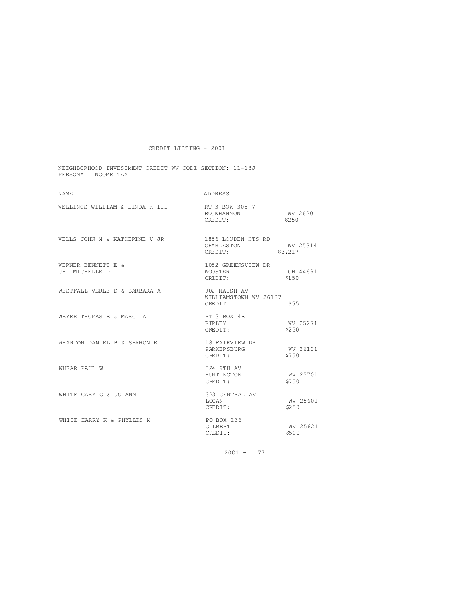NEIGHBORHOOD INVESTMENT CREDIT WV CODE SECTION: 11-13J PERSONAL INCOME TAX

| NAME                                 | ADDRESS                                          |                     |
|--------------------------------------|--------------------------------------------------|---------------------|
| WELLINGS WILLIAM & LINDA K III       | RT 3 BOX 305 7<br>BUCKHANNON WV 26201<br>CREDIT: | \$250               |
| WELLS JOHN M & KATHERINE V JR        | 1856 LOUDEN HTS RD<br>CHARLESTON<br>CREDIT:      | WV 25314<br>\$3,217 |
| WERNER BENNETT E &<br>UHL MICHELLE D | 1052 GREENSVIEW DR<br>WOOSTER<br>CREDIT:         | OH 44691<br>\$150   |
| WESTFALL VERLE D & BARBARA A         | 902 NAISH AV<br>WILLIAMSTOWN WV 26187<br>CREDIT: | \$55                |
| WEYER THOMAS E & MARCT A             | RT 3 BOX 4B<br>RIPLEY<br>CREDIT:                 | WV 25271<br>\$2.50  |
| WHARTON DANIEL B & SHARON E          | 18 FAIRVIEW DR<br>PARKERSBURG<br>CREDIT:         | WV 26101<br>\$750   |
| WHEAR PAUL W                         | 524 9TH AV<br>HUNTINGTON WV 25701<br>CREDIT:     | \$750               |
| WHITE GARY G & JO ANN                | 323 CENTRAL AV<br>LOSAN<br>CREDIT:               | WV 25601<br>\$250   |
| WHITE HARRY K & PHYLLIS M            | PO BOX 236<br>GTLBERT<br>CREDIT:                 | WV 25621<br>\$500   |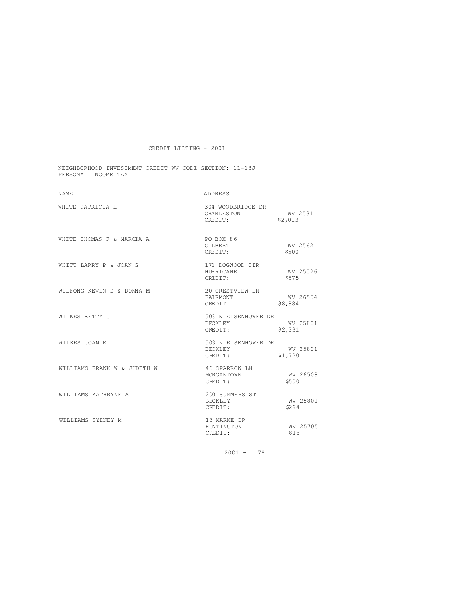NEIGHBORHOOD INVESTMENT CREDIT WV CODE SECTION: 11-13J PERSONAL INCOME TAX

| <b>NAME</b>                 | ADDRESS                                     |                     |
|-----------------------------|---------------------------------------------|---------------------|
| WHITE PATRICIA H            | 304 WOODBRIDGE DR<br>CHARLESTON<br>CREDIT:  | WV 25311<br>\$2,013 |
| WHITE THOMAS F & MARCIA A   | PO BOX 86<br>GILBERT<br>CREDIT:             | WV 25621<br>\$500   |
| WHITT LARRY P & JOAN G      | 171 DOGWOOD CIR<br>HURRICANE<br>CREDIT:     | WV 25526<br>\$575   |
| WILFONG KEVIN D & DONNA M   | 20 CRESTVIEW LN<br>FAIRMONT<br>CREDIT:      | WV 26554<br>\$8,884 |
| WILKES BETTY J              | 503 N EISENHOWER DR<br>BECKLEY<br>CREDIT:   | WV 25801<br>\$2,331 |
| WILKES JOAN E               | 503 N EISENHOWER DR<br>BECKLEY<br>CREDIT:   | WV 25801<br>\$1,720 |
| WILLIAMS FRANK W & JUDITH W | 46 SPARROW LN<br>MORGANTOWN<br>CREDIT:      | WV 26508<br>\$500   |
| WILLIAMS KATHRYNE A         | 200 SUMMERS ST<br><b>BECKLEY</b><br>CREDIT: | WV 25801<br>\$294   |
| WILLIAMS SYDNEY M           | 13 MARNE DR<br>HUNTINGTON<br>CREDIT:        | WV 25705<br>\$18    |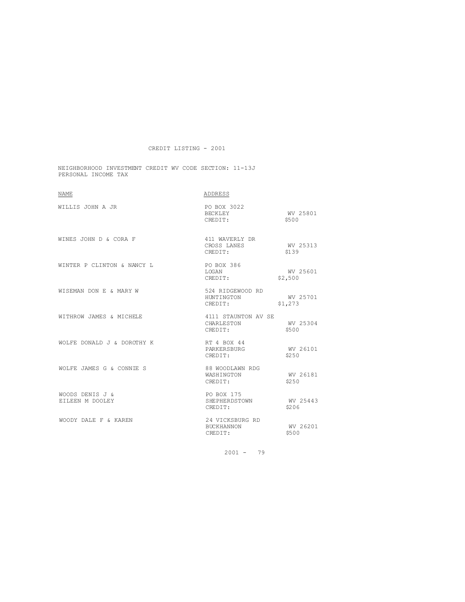NEIGHBORHOOD INVESTMENT CREDIT WV CODE SECTION: 11-13J PERSONAL INCOME TAX

| <b>NAME</b>                        | ADDRESS                                      |                     |
|------------------------------------|----------------------------------------------|---------------------|
| WILLIS JOHN A JR                   | PO BOX 3022<br>BECKLEY<br>CREDIT:            | WV 25801<br>\$500   |
| WINES JOHN D & CORA F              | 411 WAVERLY DR<br>CROSS LANES<br>CREDIT:     | WV 25313<br>\$139   |
| WINTER P CLINTON & NANCY L         | PO BOX 386<br>LOGAN<br>CREDIT:               | WV 25601<br>\$2,500 |
| WISEMAN DON E & MARY W             | 524 RIDGEWOOD RD<br>HUNTINGTON<br>CREDIT:    | WV 25701<br>\$1,273 |
| WITHROW JAMES & MICHELE            | 4111 STAUNTON AV SE<br>CHARLESTON<br>CREDIT: | WV 25304<br>\$500   |
| WOLFE DONALD J & DOROTHY K         | RT 4 BOX 44<br>PARKERSBURG<br>CREDIT:        | WV 26101<br>\$250   |
| WOLFE JAMES G & CONNIE S           | 88 WOODLAWN RDG<br>WASHINGTON<br>CREDIT:     | WV 26181<br>\$250   |
| WOODS DENIS J &<br>EILEEN M DOOLEY | PO BOX 175<br>SHEPHERDSTOWN<br>CREDIT:       | WV 25443<br>\$206   |
| WOODY DALE F & KAREN               | 24 VICKSBURG RD<br>BUCKHANNON<br>CREDIT:     | WV 26201<br>\$500   |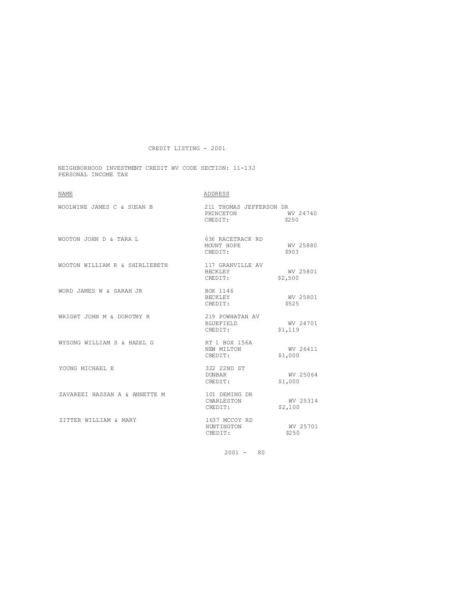NEIGHBORHOOD INVESTMENT CREDIT WV CODE SECTION: 11-13J PERSONAL INCOME TAX

| <b>NAME</b>                    | ADDRESS                                                  |                     |
|--------------------------------|----------------------------------------------------------|---------------------|
| WOOLWINE JAMES C & SUSAN B     | 211 THOMAS JEFFERSON DR<br>PRINCETON WV 24740<br>CREDIT: | \$250               |
| WOOTON JOHN D & TARA L         | 636 RACETRACK RD<br>MOUNT HOPE<br>CREDIT:                | WV 25880<br>\$903   |
| WOOTON WILLIAM R & SHIRLIEBETH | 117 GRANVILLE AV<br>BECKLEY<br>CREDIT:                   | WV 25801<br>\$2,500 |
| WORD JAMES W & SARAH JR        | BOX 1146<br>BECKLEY<br>CREDIT:                           | WV 25801<br>\$525   |
| WRIGHT JOHN M & DOROTHY R      | 219 POWHATAN AV<br>BLUEFIELD<br>CREDIT:                  | WV 24701<br>\$1,119 |
| WYSONG WILLIAM S & HAZEL G     | RT 1 BOX 156A<br>NEW MILTON<br>CREDIT:                   | WV 26411<br>\$1,000 |
| YOUNG MICHAEL E                | 322 22ND ST<br>DUNBAR<br>CREDIT:                         | WV 25064<br>\$1,000 |
| ZAVAREEI HASSAN A & ANNETTE M  | 101 DEMING DR<br>CHARLESTON<br>CREDIT:                   | WV 25314<br>\$2,100 |
| ZITTER WILLIAM & MARY          | 1637 MCCOY RD<br>HUNTINGTON<br>CREDIT:                   | WV 25701<br>\$250   |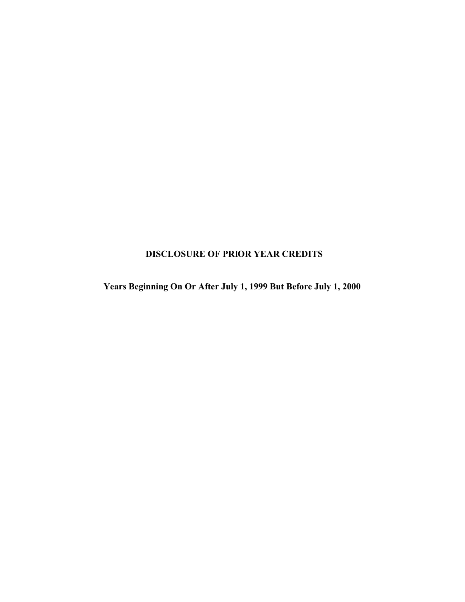# **DISCLOSURE OF PRIOR YEAR CREDITS**

**Years Beginning On Or After July 1, 1999 But Before July 1, 2000**